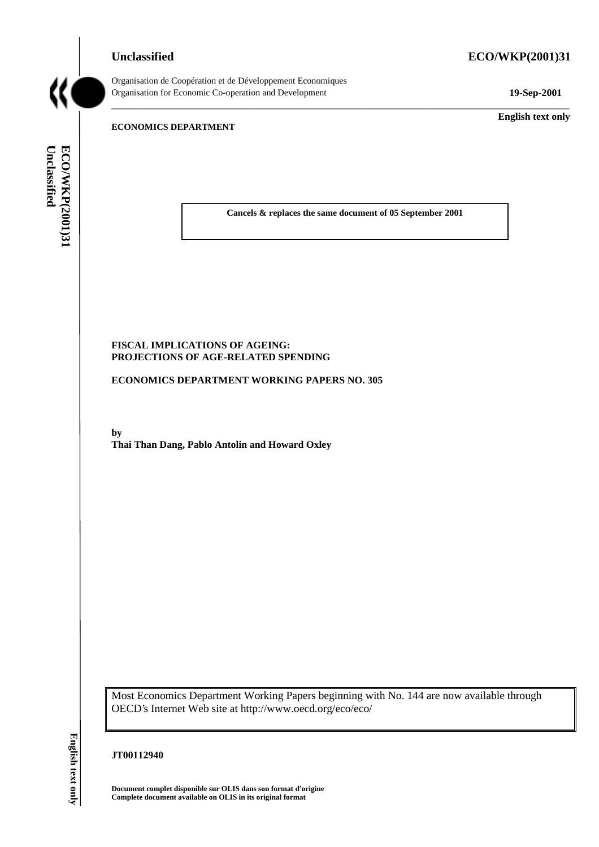## **Unclassified ECO/WKP(2001)31**



Organisation de Coopération et de Développement Economiques Organisation for Economic Co-operation and Development **19-Sep-2001**

**English text only**

#### **ECONOMICS DEPARTMENT**

Unclassified ECO/WKP(2001)31 **Unclassified ECO/WKP(2001)31**

**Cancels & replaces the same document of 05 September 2001**

 $\_$  , and the set of the set of the set of the set of the set of the set of the set of the set of the set of the set of the set of the set of the set of the set of the set of the set of the set of the set of the set of th

#### **FISCAL IMPLICATIONS OF AGEING: PROJECTIONS OF AGE-RELATED SPENDING**

**ECONOMICS DEPARTMENT WORKING PAPERS NO. 305**

**by Thai Than Dang, Pablo Antolin and Howard Oxley**

Most Economics Department Working Papers beginning with No. 144 are now available through OECD's Internet Web site at http://www.oecd.org/eco/eco/

## **JT00112940**

**Document complet disponible sur OLIS dans son format d'origine Complete document available on OLIS in its original format**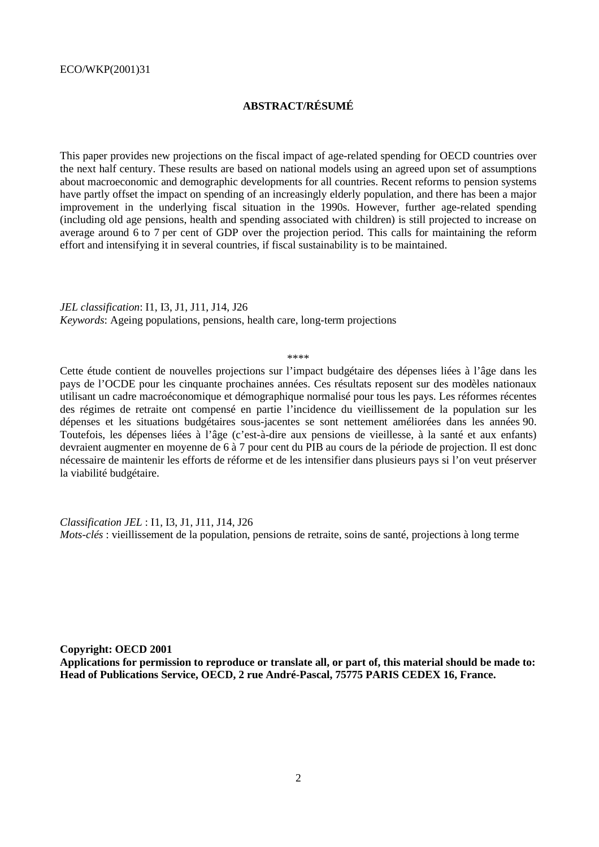## **ABSTRACT/RÉSUMÉ**

This paper provides new projections on the fiscal impact of age-related spending for OECD countries over the next half century. These results are based on national models using an agreed upon set of assumptions about macroeconomic and demographic developments for all countries. Recent reforms to pension systems have partly offset the impact on spending of an increasingly elderly population, and there has been a major improvement in the underlying fiscal situation in the 1990s. However, further age-related spending (including old age pensions, health and spending associated with children) is still projected to increase on average around 6 to 7 per cent of GDP over the projection period. This calls for maintaining the reform effort and intensifying it in several countries, if fiscal sustainability is to be maintained.

*JEL classification*: I1, I3, J1, J11, J14, J26 *Keywords*: Ageing populations, pensions, health care, long-term projections

#### \*\*\*\*

Cette étude contient de nouvelles projections sur l'impact budgétaire des dépenses liées à l'âge dans les pays de l'OCDE pour les cinquante prochaines années. Ces résultats reposent sur des modèles nationaux utilisant un cadre macroéconomique et démographique normalisé pour tous les pays. Les réformes récentes des régimes de retraite ont compensé en partie l'incidence du vieillissement de la population sur les dépenses et les situations budgétaires sous-jacentes se sont nettement améliorées dans les années 90. Toutefois, les dépenses liées à l'âge (c'est-à-dire aux pensions de vieillesse, à la santé et aux enfants) devraient augmenter en moyenne de 6 à 7 pour cent du PIB au cours de la période de projection. Il est donc nécessaire de maintenir les efforts de réforme et de les intensifier dans plusieurs pays si l'on veut préserver la viabilité budgétaire.

*Classification JEL* : I1, I3, J1, J11, J14, J26 *Mots-clés* : vieillissement de la population, pensions de retraite, soins de santé, projections à long terme

**Copyright: OECD 2001**

**Applications for permission to reproduce or translate all, or part of, this material should be made to: Head of Publications Service, OECD, 2 rue André-Pascal, 75775 PARIS CEDEX 16, France.**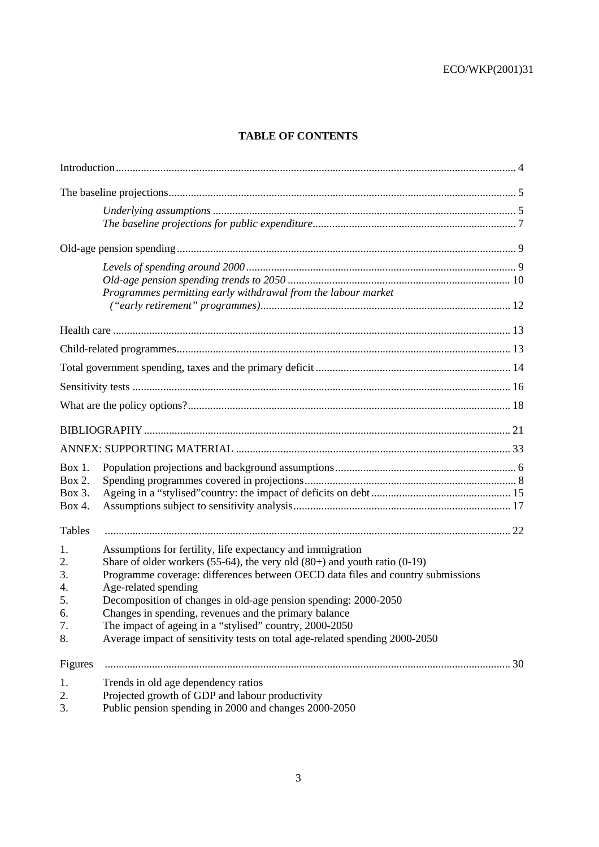## **TABLE OF CONTENTS**

|                                              | Programmes permitting early withdrawal from the labour market                                                                                                                                                                                                                                                                                                                                                                                                                                                                |  |
|----------------------------------------------|------------------------------------------------------------------------------------------------------------------------------------------------------------------------------------------------------------------------------------------------------------------------------------------------------------------------------------------------------------------------------------------------------------------------------------------------------------------------------------------------------------------------------|--|
|                                              |                                                                                                                                                                                                                                                                                                                                                                                                                                                                                                                              |  |
|                                              |                                                                                                                                                                                                                                                                                                                                                                                                                                                                                                                              |  |
|                                              |                                                                                                                                                                                                                                                                                                                                                                                                                                                                                                                              |  |
|                                              |                                                                                                                                                                                                                                                                                                                                                                                                                                                                                                                              |  |
|                                              |                                                                                                                                                                                                                                                                                                                                                                                                                                                                                                                              |  |
|                                              |                                                                                                                                                                                                                                                                                                                                                                                                                                                                                                                              |  |
|                                              |                                                                                                                                                                                                                                                                                                                                                                                                                                                                                                                              |  |
| Box 1.<br>Box 2.<br>Box 3.<br>Box 4.         |                                                                                                                                                                                                                                                                                                                                                                                                                                                                                                                              |  |
| Tables                                       |                                                                                                                                                                                                                                                                                                                                                                                                                                                                                                                              |  |
| 1.<br>2.<br>3.<br>4.<br>5.<br>6.<br>7.<br>8. | Assumptions for fertility, life expectancy and immigration<br>Share of older workers (55-64), the very old $(80+)$ and youth ratio $(0-19)$<br>Programme coverage: differences between OECD data files and country submissions<br>Age-related spending<br>Decomposition of changes in old-age pension spending: 2000-2050<br>Changes in spending, revenues and the primary balance<br>The impact of ageing in a "stylised" country, 2000-2050<br>Average impact of sensitivity tests on total age-related spending 2000-2050 |  |
| Figures                                      |                                                                                                                                                                                                                                                                                                                                                                                                                                                                                                                              |  |
| 1.<br>2.<br>3.                               | Trends in old age dependency ratios<br>Projected growth of GDP and labour productivity<br>Public pension spending in 2000 and changes 2000-2050                                                                                                                                                                                                                                                                                                                                                                              |  |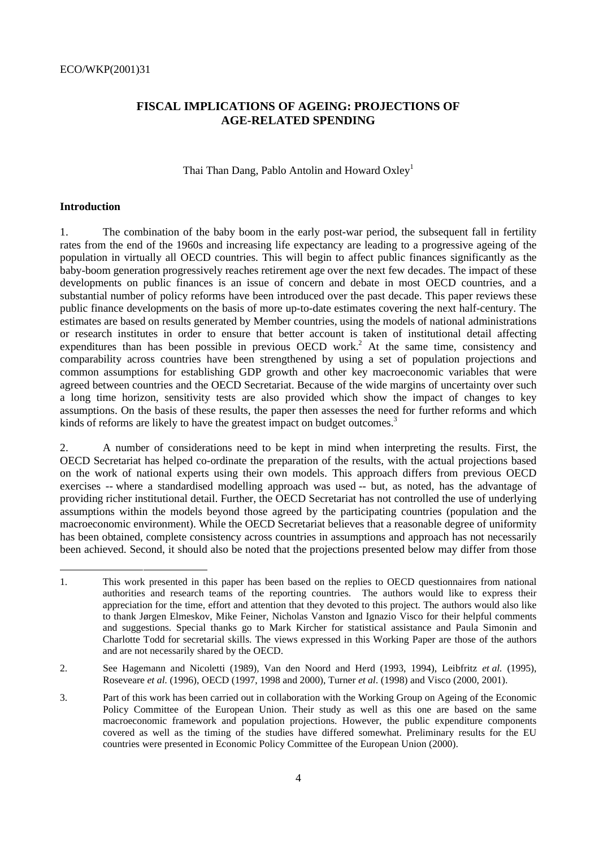## **FISCAL IMPLICATIONS OF AGEING: PROJECTIONS OF AGE-RELATED SPENDING**

## Thai Than Dang, Pablo Antolin and Howard  $Oxley<sup>1</sup>$

#### **Introduction**

-

1. The combination of the baby boom in the early post-war period, the subsequent fall in fertility rates from the end of the 1960s and increasing life expectancy are leading to a progressive ageing of the population in virtually all OECD countries. This will begin to affect public finances significantly as the baby-boom generation progressively reaches retirement age over the next few decades. The impact of these developments on public finances is an issue of concern and debate in most OECD countries, and a substantial number of policy reforms have been introduced over the past decade. This paper reviews these public finance developments on the basis of more up-to-date estimates covering the next half-century. The estimates are based on results generated by Member countries, using the models of national administrations or research institutes in order to ensure that better account is taken of institutional detail affecting expenditures than has been possible in previous OECD work.<sup>2</sup> At the same time, consistency and comparability across countries have been strengthened by using a set of population projections and common assumptions for establishing GDP growth and other key macroeconomic variables that were agreed between countries and the OECD Secretariat. Because of the wide margins of uncertainty over such a long time horizon, sensitivity tests are also provided which show the impact of changes to key assumptions. On the basis of these results, the paper then assesses the need for further reforms and which kinds of reforms are likely to have the greatest impact on budget outcomes.<sup>3</sup>

2. A number of considerations need to be kept in mind when interpreting the results. First, the OECD Secretariat has helped co-ordinate the preparation of the results, with the actual projections based on the work of national experts using their own models. This approach differs from previous OECD exercises -- where a standardised modelling approach was used -- but, as noted, has the advantage of providing richer institutional detail. Further, the OECD Secretariat has not controlled the use of underlying assumptions within the models beyond those agreed by the participating countries (population and the macroeconomic environment). While the OECD Secretariat believes that a reasonable degree of uniformity has been obtained, complete consistency across countries in assumptions and approach has not necessarily been achieved. Second, it should also be noted that the projections presented below may differ from those

2. See Hagemann and Nicoletti (1989), Van den Noord and Herd (1993, 1994), Leibfritz *et al.* (1995), Roseveare *et al.* (1996), OECD (1997, 1998 and 2000), Turner *et al*. (1998) and Visco (2000, 2001).

<sup>1.</sup> This work presented in this paper has been based on the replies to OECD questionnaires from national authorities and research teams of the reporting countries. The authors would like to express their appreciation for the time, effort and attention that they devoted to this project. The authors would also like to thank Jørgen Elmeskov, Mike Feiner, Nicholas Vanston and Ignazio Visco for their helpful comments and suggestions. Special thanks go to Mark Kircher for statistical assistance and Paula Simonin and Charlotte Todd for secretarial skills. The views expressed in this Working Paper are those of the authors and are not necessarily shared by the OECD.

<sup>3.</sup> Part of this work has been carried out in collaboration with the Working Group on Ageing of the Economic Policy Committee of the European Union. Their study as well as this one are based on the same macroeconomic framework and population projections. However, the public expenditure components covered as well as the timing of the studies have differed somewhat. Preliminary results for the EU countries were presented in Economic Policy Committee of the European Union (2000).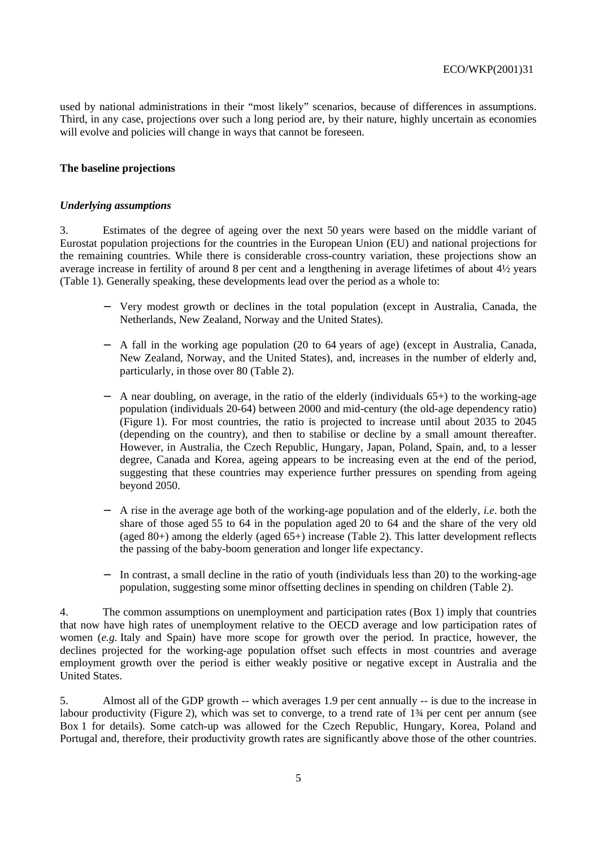used by national administrations in their "most likely" scenarios, because of differences in assumptions. Third, in any case, projections over such a long period are, by their nature, highly uncertain as economies will evolve and policies will change in ways that cannot be foreseen.

#### **The baseline projections**

#### *Underlying assumptions*

3. Estimates of the degree of ageing over the next 50 years were based on the middle variant of Eurostat population projections for the countries in the European Union (EU) and national projections for the remaining countries. While there is considerable cross-country variation, these projections show an average increase in fertility of around 8 per cent and a lengthening in average lifetimes of about 4½ years (Table 1). Generally speaking, these developments lead over the period as a whole to:

- − Very modest growth or declines in the total population (except in Australia, Canada, the Netherlands, New Zealand, Norway and the United States).
- − A fall in the working age population (20 to 64 years of age) (except in Australia, Canada, New Zealand, Norway, and the United States), and, increases in the number of elderly and, particularly, in those over 80 (Table 2).
- − A near doubling, on average, in the ratio of the elderly (individuals 65+) to the working-age population (individuals 20-64) between 2000 and mid-century (the old-age dependency ratio) (Figure 1). For most countries, the ratio is projected to increase until about 2035 to 2045 (depending on the country), and then to stabilise or decline by a small amount thereafter. However, in Australia, the Czech Republic, Hungary, Japan, Poland, Spain, and, to a lesser degree, Canada and Korea, ageing appears to be increasing even at the end of the period, suggesting that these countries may experience further pressures on spending from ageing beyond 2050.
- − A rise in the average age both of the working-age population and of the elderly, *i.e*. both the share of those aged 55 to 64 in the population aged 20 to 64 and the share of the very old (aged 80+) among the elderly (aged 65+) increase (Table 2). This latter development reflects the passing of the baby-boom generation and longer life expectancy.
- In contrast, a small decline in the ratio of youth (individuals less than 20) to the working-age population, suggesting some minor offsetting declines in spending on children (Table 2).

4. The common assumptions on unemployment and participation rates (Box 1) imply that countries that now have high rates of unemployment relative to the OECD average and low participation rates of women (*e.g.* Italy and Spain) have more scope for growth over the period. In practice, however, the declines projected for the working-age population offset such effects in most countries and average employment growth over the period is either weakly positive or negative except in Australia and the United States.

5. Almost all of the GDP growth -- which averages 1.9 per cent annually -- is due to the increase in labour productivity (Figure 2), which was set to converge, to a trend rate of 1<sup>3</sup>/4 per cent per annum (see Box 1 for details). Some catch-up was allowed for the Czech Republic, Hungary, Korea, Poland and Portugal and, therefore, their productivity growth rates are significantly above those of the other countries.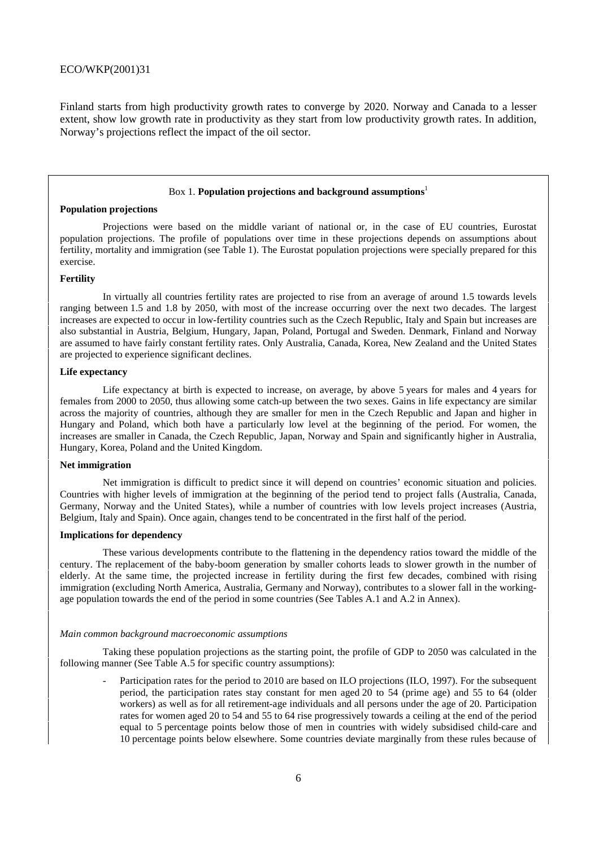Finland starts from high productivity growth rates to converge by 2020. Norway and Canada to a lesser extent, show low growth rate in productivity as they start from low productivity growth rates. In addition, Norway's projections reflect the impact of the oil sector.

#### Box 1. **Population projections and background assumptions**<sup>1</sup>

#### **Population projections**

Projections were based on the middle variant of national or, in the case of EU countries, Eurostat population projections. The profile of populations over time in these projections depends on assumptions about fertility, mortality and immigration (see Table 1). The Eurostat population projections were specially prepared for this exercise.

#### **Fertility**

In virtually all countries fertility rates are projected to rise from an average of around 1.5 towards levels ranging between 1.5 and 1.8 by 2050, with most of the increase occurring over the next two decades. The largest increases are expected to occur in low-fertility countries such as the Czech Republic, Italy and Spain but increases are also substantial in Austria, Belgium, Hungary, Japan, Poland, Portugal and Sweden. Denmark, Finland and Norway are assumed to have fairly constant fertility rates. Only Australia, Canada, Korea, New Zealand and the United States are projected to experience significant declines.

#### **Life expectancy**

Life expectancy at birth is expected to increase, on average, by above 5 years for males and 4 years for females from 2000 to 2050, thus allowing some catch-up between the two sexes. Gains in life expectancy are similar across the majority of countries, although they are smaller for men in the Czech Republic and Japan and higher in Hungary and Poland, which both have a particularly low level at the beginning of the period. For women, the increases are smaller in Canada, the Czech Republic, Japan, Norway and Spain and significantly higher in Australia, Hungary, Korea, Poland and the United Kingdom.

#### **Net immigration**

Net immigration is difficult to predict since it will depend on countries' economic situation and policies. Countries with higher levels of immigration at the beginning of the period tend to project falls (Australia, Canada, Germany, Norway and the United States), while a number of countries with low levels project increases (Austria, Belgium, Italy and Spain). Once again, changes tend to be concentrated in the first half of the period.

#### **Implications for dependency**

These various developments contribute to the flattening in the dependency ratios toward the middle of the century. The replacement of the baby-boom generation by smaller cohorts leads to slower growth in the number of elderly. At the same time, the projected increase in fertility during the first few decades, combined with rising immigration (excluding North America, Australia, Germany and Norway), contributes to a slower fall in the workingage population towards the end of the period in some countries (See Tables A.1 and A.2 in Annex).

#### *Main common background macroeconomic assumptions*

Taking these population projections as the starting point, the profile of GDP to 2050 was calculated in the following manner (See Table A.5 for specific country assumptions):

Participation rates for the period to 2010 are based on ILO projections (ILO, 1997). For the subsequent period, the participation rates stay constant for men aged 20 to 54 (prime age) and 55 to 64 (older workers) as well as for all retirement-age individuals and all persons under the age of 20. Participation rates for women aged 20 to 54 and 55 to 64 rise progressively towards a ceiling at the end of the period equal to 5 percentage points below those of men in countries with widely subsidised child-care and 10 percentage points below elsewhere. Some countries deviate marginally from these rules because of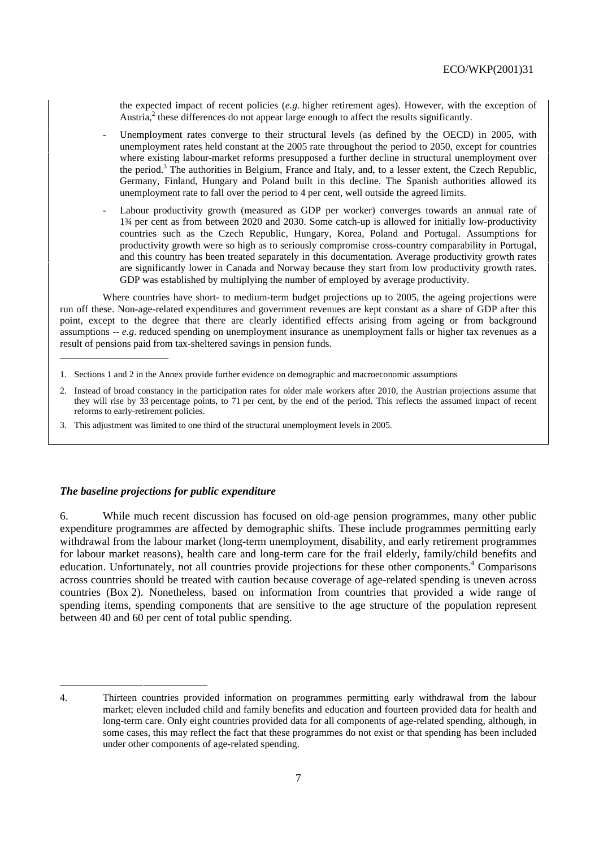the expected impact of recent policies (*e.g.* higher retirement ages). However, with the exception of Austria,<sup>2</sup> these differences do not appear large enough to affect the results significantly.

- Unemployment rates converge to their structural levels (as defined by the OECD) in 2005, with unemployment rates held constant at the 2005 rate throughout the period to 2050, except for countries where existing labour-market reforms presupposed a further decline in structural unemployment over the period.<sup>3</sup> The authorities in Belgium, France and Italy, and, to a lesser extent, the Czech Republic, Germany, Finland, Hungary and Poland built in this decline. The Spanish authorities allowed its unemployment rate to fall over the period to 4 per cent, well outside the agreed limits.
- Labour productivity growth (measured as GDP per worker) converges towards an annual rate of 1¾ per cent as from between 2020 and 2030. Some catch-up is allowed for initially low-productivity countries such as the Czech Republic, Hungary, Korea, Poland and Portugal. Assumptions for productivity growth were so high as to seriously compromise cross-country comparability in Portugal, and this country has been treated separately in this documentation. Average productivity growth rates are significantly lower in Canada and Norway because they start from low productivity growth rates. GDP was established by multiplying the number of employed by average productivity.

Where countries have short- to medium-term budget projections up to 2005, the ageing projections were run off these. Non-age-related expenditures and government revenues are kept constant as a share of GDP after this point, except to the degree that there are clearly identified effects arising from ageing or from background assumptions -- *e.g*. reduced spending on unemployment insurance as unemployment falls or higher tax revenues as a result of pensions paid from tax-sheltered savings in pension funds.

- 2. Instead of broad constancy in the participation rates for older male workers after 2010, the Austrian projections assume that they will rise by 33 percentage points, to 71 per cent, by the end of the period. This reflects the assumed impact of recent reforms to early-retirement policies.
- 3. This adjustment was limited to one third of the structural unemployment levels in 2005.

#### *The baseline projections for public expenditure*

\_\_\_\_\_\_\_\_\_\_\_\_\_\_\_\_\_\_\_\_\_\_\_\_

-

6. While much recent discussion has focused on old-age pension programmes, many other public expenditure programmes are affected by demographic shifts. These include programmes permitting early withdrawal from the labour market (long-term unemployment, disability, and early retirement programmes for labour market reasons), health care and long-term care for the frail elderly, family/child benefits and education. Unfortunately, not all countries provide projections for these other components.<sup>4</sup> Comparisons across countries should be treated with caution because coverage of age-related spending is uneven across countries (Box 2). Nonetheless, based on information from countries that provided a wide range of spending items, spending components that are sensitive to the age structure of the population represent between 40 and 60 per cent of total public spending.

<sup>1.</sup> Sections 1 and 2 in the Annex provide further evidence on demographic and macroeconomic assumptions

<sup>4.</sup> Thirteen countries provided information on programmes permitting early withdrawal from the labour market; eleven included child and family benefits and education and fourteen provided data for health and long-term care. Only eight countries provided data for all components of age-related spending, although, in some cases, this may reflect the fact that these programmes do not exist or that spending has been included under other components of age-related spending.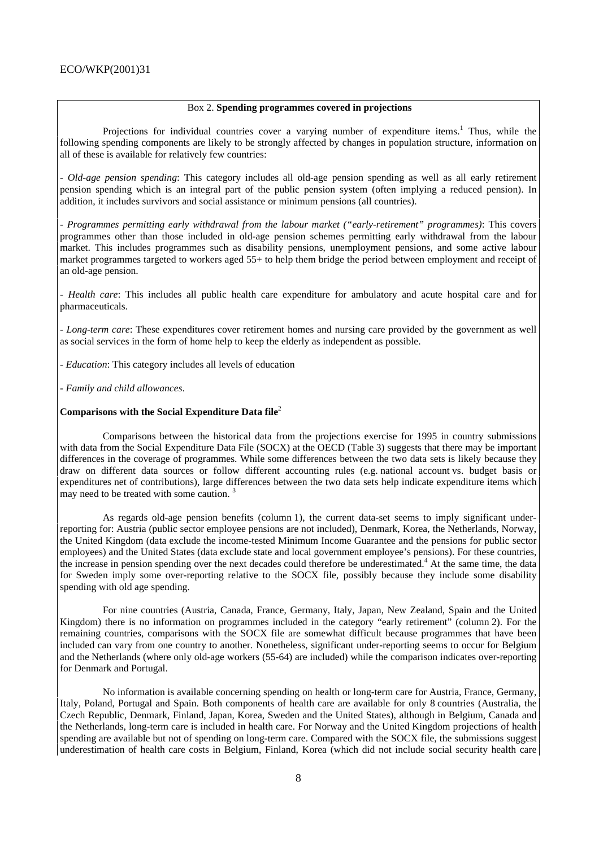#### Box 2. **Spending programmes covered in projections**

Projections for individual countries cover a varying number of expenditure items.<sup>1</sup> Thus, while the following spending components are likely to be strongly affected by changes in population structure, information on all of these is available for relatively few countries:

- *Old-age pension spending*: This category includes all old-age pension spending as well as all early retirement pension spending which is an integral part of the public pension system (often implying a reduced pension). In addition, it includes survivors and social assistance or minimum pensions (all countries).

- *Programmes permitting early withdrawal from the labour market ("early-retirement" programmes)*: This covers programmes other than those included in old-age pension schemes permitting early withdrawal from the labour market. This includes programmes such as disability pensions, unemployment pensions, and some active labour market programmes targeted to workers aged 55+ to help them bridge the period between employment and receipt of an old-age pension.

- *Health care*: This includes all public health care expenditure for ambulatory and acute hospital care and for pharmaceuticals.

*- Long-term care*: These expenditures cover retirement homes and nursing care provided by the government as well as social services in the form of home help to keep the elderly as independent as possible.

- *Education*: This category includes all levels of education

- *Family and child allowances*.

#### **Comparisons with the Social Expenditure Data file**<sup>2</sup>

Comparisons between the historical data from the projections exercise for 1995 in country submissions with data from the Social Expenditure Data File (SOCX) at the OECD (Table 3) suggests that there may be important differences in the coverage of programmes. While some differences between the two data sets is likely because they draw on different data sources or follow different accounting rules (e.g. national account vs. budget basis or expenditures net of contributions), large differences between the two data sets help indicate expenditure items which may need to be treated with some caution.<sup>3</sup>

As regards old-age pension benefits (column 1), the current data-set seems to imply significant underreporting for: Austria (public sector employee pensions are not included), Denmark, Korea, the Netherlands, Norway, the United Kingdom (data exclude the income-tested Minimum Income Guarantee and the pensions for public sector employees) and the United States (data exclude state and local government employee's pensions). For these countries, the increase in pension spending over the next decades could therefore be underestimated.<sup>4</sup> At the same time, the data for Sweden imply some over-reporting relative to the SOCX file, possibly because they include some disability spending with old age spending.

For nine countries (Austria, Canada, France, Germany, Italy, Japan, New Zealand, Spain and the United Kingdom) there is no information on programmes included in the category "early retirement" (column 2). For the remaining countries, comparisons with the SOCX file are somewhat difficult because programmes that have been included can vary from one country to another. Nonetheless, significant under-reporting seems to occur for Belgium and the Netherlands (where only old-age workers (55-64) are included) while the comparison indicates over-reporting for Denmark and Portugal.

No information is available concerning spending on health or long-term care for Austria, France, Germany, Italy, Poland, Portugal and Spain. Both components of health care are available for only 8 countries (Australia, the Czech Republic, Denmark, Finland, Japan, Korea, Sweden and the United States), although in Belgium, Canada and the Netherlands, long-term care is included in health care. For Norway and the United Kingdom projections of health spending are available but not of spending on long-term care. Compared with the SOCX file, the submissions suggest underestimation of health care costs in Belgium, Finland, Korea (which did not include social security health care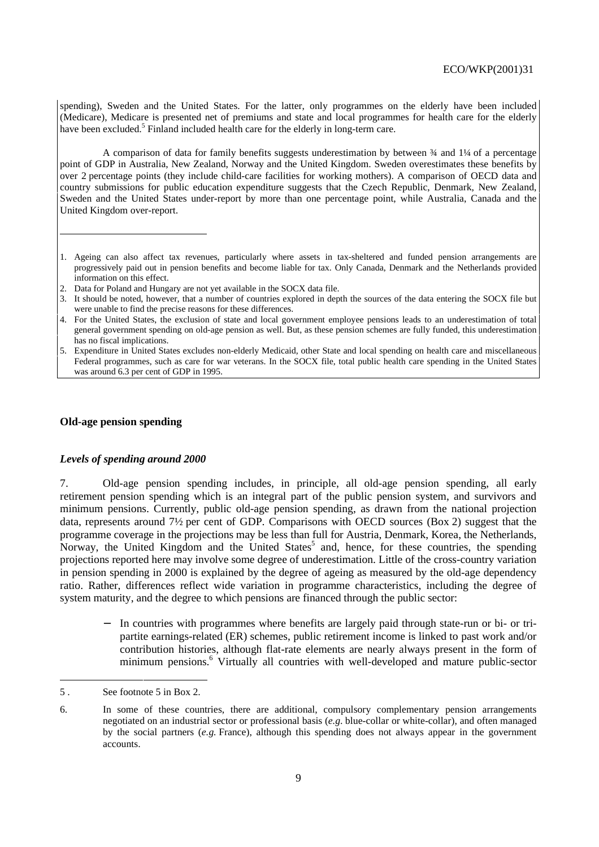spending), Sweden and the United States. For the latter, only programmes on the elderly have been included (Medicare), Medicare is presented net of premiums and state and local programmes for health care for the elderly have been excluded.<sup>5</sup> Finland included health care for the elderly in long-term care.

A comparison of data for family benefits suggests underestimation by between ¾ and 1¼ of a percentage point of GDP in Australia, New Zealand, Norway and the United Kingdom. Sweden overestimates these benefits by over 2 percentage points (they include child-care facilities for working mothers). A comparison of OECD data and country submissions for public education expenditure suggests that the Czech Republic, Denmark, New Zealand, Sweden and the United States under-report by more than one percentage point, while Australia, Canada and the United Kingdom over-report.

#### **Old-age pension spending**

-

#### *Levels of spending around 2000*

7. Old-age pension spending includes, in principle, all old-age pension spending, all early retirement pension spending which is an integral part of the public pension system, and survivors and minimum pensions. Currently, public old-age pension spending, as drawn from the national projection data, represents around 7½ per cent of GDP. Comparisons with OECD sources (Box 2) suggest that the programme coverage in the projections may be less than full for Austria, Denmark, Korea, the Netherlands, Norway, the United Kingdom and the United States<sup>5</sup> and, hence, for these countries, the spending projections reported here may involve some degree of underestimation. Little of the cross-country variation in pension spending in 2000 is explained by the degree of ageing as measured by the old-age dependency ratio. Rather, differences reflect wide variation in programme characteristics, including the degree of system maturity, and the degree to which pensions are financed through the public sector:

− In countries with programmes where benefits are largely paid through state-run or bi- or tripartite earnings-related (ER) schemes, public retirement income is linked to past work and/or contribution histories, although flat-rate elements are nearly always present in the form of minimum pensions.<sup>6</sup> Virtually all countries with well-developed and mature public-sector

-

<sup>1.</sup> Ageing can also affect tax revenues, particularly where assets in tax-sheltered and funded pension arrangements are progressively paid out in pension benefits and become liable for tax. Only Canada, Denmark and the Netherlands provided information on this effect.

<sup>2.</sup> Data for Poland and Hungary are not yet available in the SOCX data file.

<sup>3.</sup> It should be noted, however, that a number of countries explored in depth the sources of the data entering the SOCX file but were unable to find the precise reasons for these differences.

<sup>4.</sup> For the United States, the exclusion of state and local government employee pensions leads to an underestimation of total general government spending on old-age pension as well. But, as these pension schemes are fully funded, this underestimation has no fiscal implications.

<sup>5.</sup> Expenditure in United States excludes non-elderly Medicaid, other State and local spending on health care and miscellaneous Federal programmes, such as care for war veterans. In the SOCX file, total public health care spending in the United States was around 6.3 per cent of GDP in 1995.

<sup>5 .</sup> See footnote 5 in Box 2.

<sup>6.</sup> In some of these countries, there are additional, compulsory complementary pension arrangements negotiated on an industrial sector or professional basis (*e.g*. blue-collar or white-collar), and often managed by the social partners (*e.g.* France), although this spending does not always appear in the government accounts.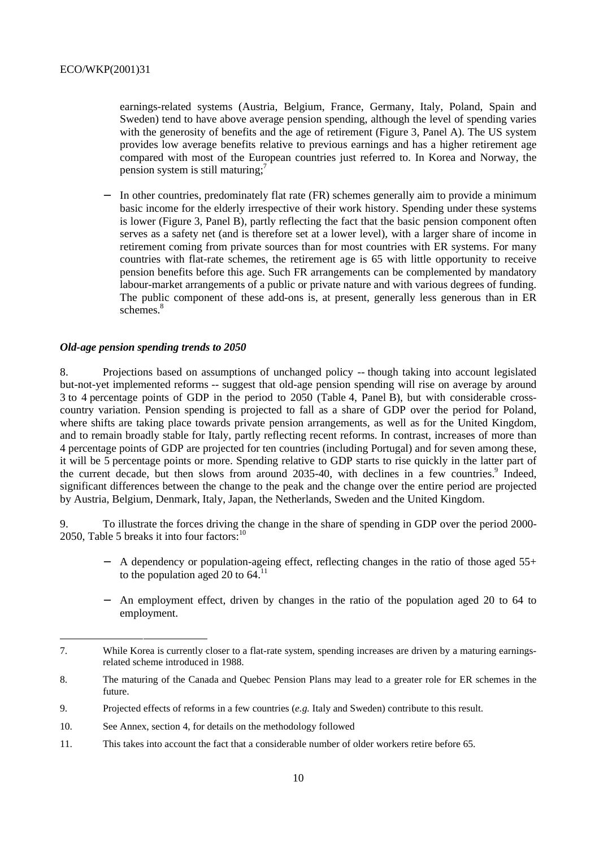earnings-related systems (Austria, Belgium, France, Germany, Italy, Poland, Spain and Sweden) tend to have above average pension spending, although the level of spending varies with the generosity of benefits and the age of retirement (Figure 3, Panel A). The US system provides low average benefits relative to previous earnings and has a higher retirement age compared with most of the European countries just referred to. In Korea and Norway, the pension system is still maturing;<sup>7</sup>

In other countries, predominately flat rate (FR) schemes generally aim to provide a minimum basic income for the elderly irrespective of their work history. Spending under these systems is lower (Figure 3, Panel B), partly reflecting the fact that the basic pension component often serves as a safety net (and is therefore set at a lower level), with a larger share of income in retirement coming from private sources than for most countries with ER systems. For many countries with flat-rate schemes, the retirement age is 65 with little opportunity to receive pension benefits before this age. Such FR arrangements can be complemented by mandatory labour-market arrangements of a public or private nature and with various degrees of funding. The public component of these add-ons is, at present, generally less generous than in ER schemes.<sup>8</sup>

#### *Old-age pension spending trends to 2050*

-

8. Projections based on assumptions of unchanged policy -- though taking into account legislated but-not-yet implemented reforms -- suggest that old-age pension spending will rise on average by around 3 to 4 percentage points of GDP in the period to 2050 (Table 4, Panel B), but with considerable crosscountry variation. Pension spending is projected to fall as a share of GDP over the period for Poland, where shifts are taking place towards private pension arrangements, as well as for the United Kingdom, and to remain broadly stable for Italy, partly reflecting recent reforms. In contrast, increases of more than 4 percentage points of GDP are projected for ten countries (including Portugal) and for seven among these, it will be 5 percentage points or more. Spending relative to GDP starts to rise quickly in the latter part of the current decade, but then slows from around 2035-40, with declines in a few countries.<sup>9</sup> Indeed, significant differences between the change to the peak and the change over the entire period are projected by Austria, Belgium, Denmark, Italy, Japan, the Netherlands, Sweden and the United Kingdom.

9. To illustrate the forces driving the change in the share of spending in GDP over the period 2000- 2050, Table 5 breaks it into four factors: $10$ 

- − A dependency or population-ageing effect, reflecting changes in the ratio of those aged 55+ to the population aged 20 to  $64$ <sup>.11</sup>
- An employment effect, driven by changes in the ratio of the population aged 20 to 64 to employment.

11. This takes into account the fact that a considerable number of older workers retire before 65.

<sup>7.</sup> While Korea is currently closer to a flat-rate system, spending increases are driven by a maturing earningsrelated scheme introduced in 1988.

<sup>8.</sup> The maturing of the Canada and Quebec Pension Plans may lead to a greater role for ER schemes in the future.

<sup>9.</sup> Projected effects of reforms in a few countries (*e.g.* Italy and Sweden) contribute to this result.

<sup>10.</sup> See Annex, section 4, for details on the methodology followed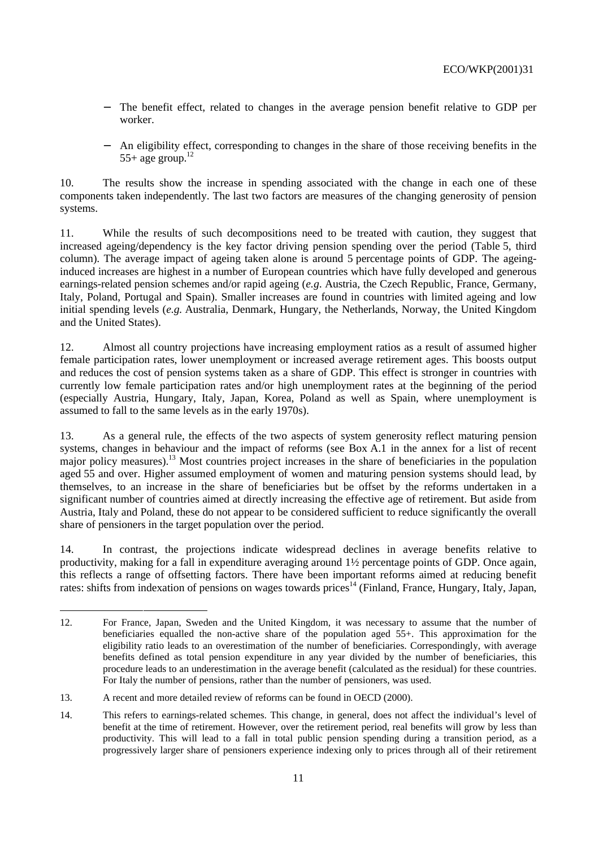- − The benefit effect, related to changes in the average pension benefit relative to GDP per worker.
- − An eligibility effect, corresponding to changes in the share of those receiving benefits in the 55+ age group. $12$

10. The results show the increase in spending associated with the change in each one of these components taken independently. The last two factors are measures of the changing generosity of pension systems.

11. While the results of such decompositions need to be treated with caution, they suggest that increased ageing/dependency is the key factor driving pension spending over the period (Table 5, third column). The average impact of ageing taken alone is around 5 percentage points of GDP. The ageinginduced increases are highest in a number of European countries which have fully developed and generous earnings-related pension schemes and/or rapid ageing (*e.g*. Austria, the Czech Republic, France, Germany, Italy, Poland, Portugal and Spain). Smaller increases are found in countries with limited ageing and low initial spending levels (*e.g.* Australia*,* Denmark, Hungary, the Netherlands, Norway, the United Kingdom and the United States).

12. Almost all country projections have increasing employment ratios as a result of assumed higher female participation rates, lower unemployment or increased average retirement ages. This boosts output and reduces the cost of pension systems taken as a share of GDP. This effect is stronger in countries with currently low female participation rates and/or high unemployment rates at the beginning of the period (especially Austria, Hungary, Italy, Japan, Korea, Poland as well as Spain, where unemployment is assumed to fall to the same levels as in the early 1970s).

13. As a general rule, the effects of the two aspects of system generosity reflect maturing pension systems, changes in behaviour and the impact of reforms (see Box A.1 in the annex for a list of recent major policy measures).<sup>13</sup> Most countries project increases in the share of beneficiaries in the population aged 55 and over. Higher assumed employment of women and maturing pension systems should lead, by themselves, to an increase in the share of beneficiaries but be offset by the reforms undertaken in a significant number of countries aimed at directly increasing the effective age of retirement. But aside from Austria, Italy and Poland, these do not appear to be considered sufficient to reduce significantly the overall share of pensioners in the target population over the period.

14. In contrast, the projections indicate widespread declines in average benefits relative to productivity, making for a fall in expenditure averaging around 1½ percentage points of GDP. Once again, this reflects a range of offsetting factors. There have been important reforms aimed at reducing benefit rates: shifts from indexation of pensions on wages towards prices<sup>14</sup> (Finland, France, Hungary, Italy, Japan,

<sup>-</sup>12. For France, Japan, Sweden and the United Kingdom, it was necessary to assume that the number of beneficiaries equalled the non-active share of the population aged 55+. This approximation for the eligibility ratio leads to an overestimation of the number of beneficiaries. Correspondingly, with average benefits defined as total pension expenditure in any year divided by the number of beneficiaries, this procedure leads to an underestimation in the average benefit (calculated as the residual) for these countries. For Italy the number of pensions, rather than the number of pensioners, was used.

<sup>13.</sup> A recent and more detailed review of reforms can be found in OECD (2000).

<sup>14.</sup> This refers to earnings-related schemes. This change, in general, does not affect the individual's level of benefit at the time of retirement. However, over the retirement period, real benefits will grow by less than productivity. This will lead to a fall in total public pension spending during a transition period, as a progressively larger share of pensioners experience indexing only to prices through all of their retirement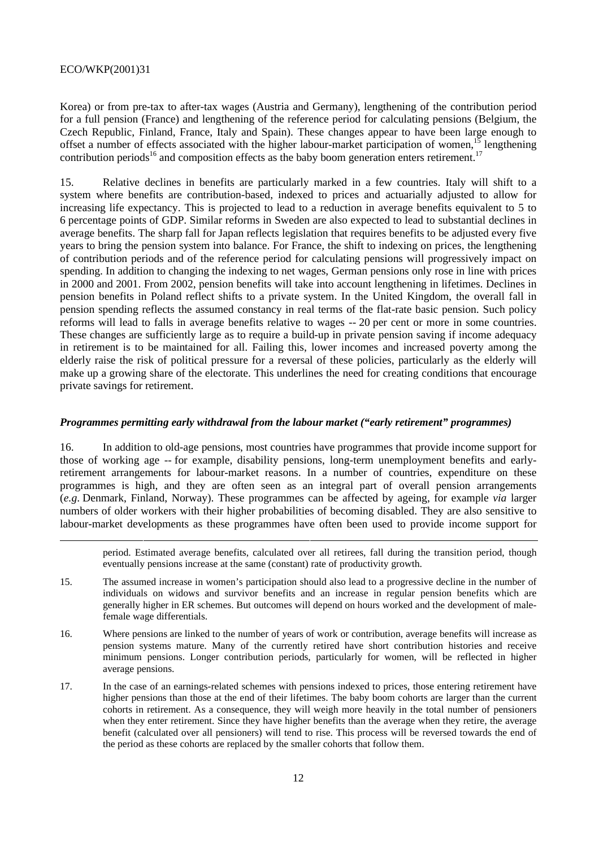1

Korea) or from pre-tax to after-tax wages (Austria and Germany), lengthening of the contribution period for a full pension (France) and lengthening of the reference period for calculating pensions (Belgium, the Czech Republic, Finland, France, Italy and Spain). These changes appear to have been large enough to offset a number of effects associated with the higher labour-market participation of women, $15$  lengthening contribution periods<sup>16</sup> and composition effects as the baby boom generation enters retirement.<sup>17</sup>

15. Relative declines in benefits are particularly marked in a few countries. Italy will shift to a system where benefits are contribution-based, indexed to prices and actuarially adjusted to allow for increasing life expectancy. This is projected to lead to a reduction in average benefits equivalent to 5 to 6 percentage points of GDP. Similar reforms in Sweden are also expected to lead to substantial declines in average benefits. The sharp fall for Japan reflects legislation that requires benefits to be adjusted every five years to bring the pension system into balance. For France, the shift to indexing on prices, the lengthening of contribution periods and of the reference period for calculating pensions will progressively impact on spending. In addition to changing the indexing to net wages, German pensions only rose in line with prices in 2000 and 2001. From 2002, pension benefits will take into account lengthening in lifetimes. Declines in pension benefits in Poland reflect shifts to a private system. In the United Kingdom, the overall fall in pension spending reflects the assumed constancy in real terms of the flat-rate basic pension. Such policy reforms will lead to falls in average benefits relative to wages -- 20 per cent or more in some countries. These changes are sufficiently large as to require a build-up in private pension saving if income adequacy in retirement is to be maintained for all. Failing this, lower incomes and increased poverty among the elderly raise the risk of political pressure for a reversal of these policies, particularly as the elderly will make up a growing share of the electorate. This underlines the need for creating conditions that encourage private savings for retirement.

#### *Programmes permitting early withdrawal from the labour market ("early retirement" programmes)*

16. In addition to old-age pensions, most countries have programmes that provide income support for those of working age -- for example, disability pensions, long-term unemployment benefits and earlyretirement arrangements for labour-market reasons. In a number of countries, expenditure on these programmes is high, and they are often seen as an integral part of overall pension arrangements (*e.g*. Denmark, Finland, Norway). These programmes can be affected by ageing, for example *via* larger numbers of older workers with their higher probabilities of becoming disabled. They are also sensitive to labour-market developments as these programmes have often been used to provide income support for

period. Estimated average benefits, calculated over all retirees, fall during the transition period, though eventually pensions increase at the same (constant) rate of productivity growth.

- 15. The assumed increase in women's participation should also lead to a progressive decline in the number of individuals on widows and survivor benefits and an increase in regular pension benefits which are generally higher in ER schemes. But outcomes will depend on hours worked and the development of malefemale wage differentials.
- 16. Where pensions are linked to the number of years of work or contribution, average benefits will increase as pension systems mature. Many of the currently retired have short contribution histories and receive minimum pensions. Longer contribution periods, particularly for women, will be reflected in higher average pensions.
- 17. In the case of an earnings-related schemes with pensions indexed to prices, those entering retirement have higher pensions than those at the end of their lifetimes. The baby boom cohorts are larger than the current cohorts in retirement. As a consequence, they will weigh more heavily in the total number of pensioners when they enter retirement. Since they have higher benefits than the average when they retire, the average benefit (calculated over all pensioners) will tend to rise. This process will be reversed towards the end of the period as these cohorts are replaced by the smaller cohorts that follow them.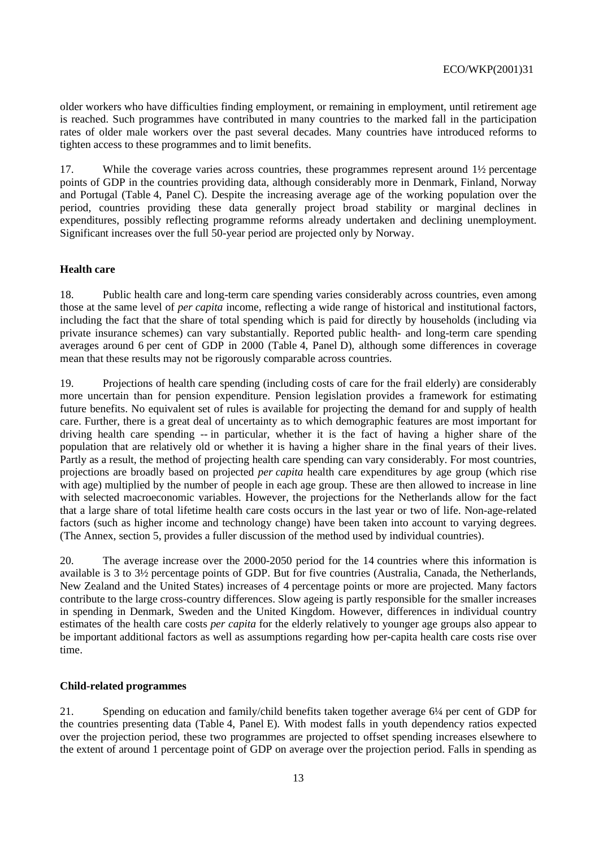older workers who have difficulties finding employment, or remaining in employment, until retirement age is reached. Such programmes have contributed in many countries to the marked fall in the participation rates of older male workers over the past several decades. Many countries have introduced reforms to tighten access to these programmes and to limit benefits.

17. While the coverage varies across countries, these programmes represent around 1½ percentage points of GDP in the countries providing data, although considerably more in Denmark, Finland, Norway and Portugal (Table 4, Panel C). Despite the increasing average age of the working population over the period, countries providing these data generally project broad stability or marginal declines in expenditures, possibly reflecting programme reforms already undertaken and declining unemployment. Significant increases over the full 50-year period are projected only by Norway.

### **Health care**

18. Public health care and long-term care spending varies considerably across countries, even among those at the same level of *per capita* income, reflecting a wide range of historical and institutional factors, including the fact that the share of total spending which is paid for directly by households (including via private insurance schemes) can vary substantially. Reported public health- and long-term care spending averages around 6 per cent of GDP in 2000 (Table 4, Panel D), although some differences in coverage mean that these results may not be rigorously comparable across countries.

19. Projections of health care spending (including costs of care for the frail elderly) are considerably more uncertain than for pension expenditure. Pension legislation provides a framework for estimating future benefits. No equivalent set of rules is available for projecting the demand for and supply of health care. Further, there is a great deal of uncertainty as to which demographic features are most important for driving health care spending -- in particular, whether it is the fact of having a higher share of the population that are relatively old or whether it is having a higher share in the final years of their lives. Partly as a result, the method of projecting health care spending can vary considerably. For most countries, projections are broadly based on projected *per capita* health care expenditures by age group (which rise with age) multiplied by the number of people in each age group. These are then allowed to increase in line with selected macroeconomic variables. However, the projections for the Netherlands allow for the fact that a large share of total lifetime health care costs occurs in the last year or two of life. Non-age-related factors (such as higher income and technology change) have been taken into account to varying degrees. (The Annex, section 5, provides a fuller discussion of the method used by individual countries).

20. The average increase over the 2000-2050 period for the 14 countries where this information is available is 3 to 3½ percentage points of GDP. But for five countries (Australia, Canada, the Netherlands, New Zealand and the United States) increases of 4 percentage points or more are projected. Many factors contribute to the large cross-country differences. Slow ageing is partly responsible for the smaller increases in spending in Denmark, Sweden and the United Kingdom. However, differences in individual country estimates of the health care costs *per capita* for the elderly relatively to younger age groups also appear to be important additional factors as well as assumptions regarding how per-capita health care costs rise over time.

#### **Child-related programmes**

21. Spending on education and family/child benefits taken together average 6¼ per cent of GDP for the countries presenting data (Table 4, Panel E). With modest falls in youth dependency ratios expected over the projection period, these two programmes are projected to offset spending increases elsewhere to the extent of around 1 percentage point of GDP on average over the projection period. Falls in spending as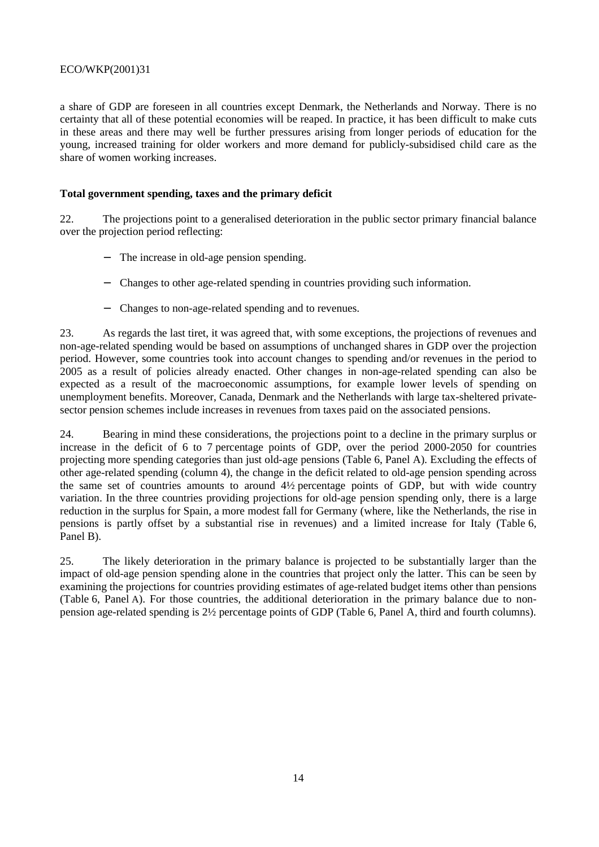a share of GDP are foreseen in all countries except Denmark, the Netherlands and Norway. There is no certainty that all of these potential economies will be reaped. In practice, it has been difficult to make cuts in these areas and there may well be further pressures arising from longer periods of education for the young, increased training for older workers and more demand for publicly-subsidised child care as the share of women working increases.

## **Total government spending, taxes and the primary deficit**

22. The projections point to a generalised deterioration in the public sector primary financial balance over the projection period reflecting:

- − The increase in old-age pension spending.
- − Changes to other age-related spending in countries providing such information.
- − Changes to non-age-related spending and to revenues.

23. As regards the last tiret, it was agreed that, with some exceptions, the projections of revenues and non-age-related spending would be based on assumptions of unchanged shares in GDP over the projection period. However, some countries took into account changes to spending and/or revenues in the period to 2005 as a result of policies already enacted. Other changes in non-age-related spending can also be expected as a result of the macroeconomic assumptions, for example lower levels of spending on unemployment benefits. Moreover, Canada, Denmark and the Netherlands with large tax-sheltered privatesector pension schemes include increases in revenues from taxes paid on the associated pensions.

24. Bearing in mind these considerations, the projections point to a decline in the primary surplus or increase in the deficit of 6 to 7 percentage points of GDP, over the period 2000-2050 for countries projecting more spending categories than just old-age pensions (Table 6, Panel A). Excluding the effects of other age-related spending (column 4), the change in the deficit related to old-age pension spending across the same set of countries amounts to around 4½ percentage points of GDP, but with wide country variation. In the three countries providing projections for old-age pension spending only, there is a large reduction in the surplus for Spain, a more modest fall for Germany (where, like the Netherlands, the rise in pensions is partly offset by a substantial rise in revenues) and a limited increase for Italy (Table 6, Panel B).

25. The likely deterioration in the primary balance is projected to be substantially larger than the impact of old-age pension spending alone in the countries that project only the latter. This can be seen by examining the projections for countries providing estimates of age-related budget items other than pensions (Table 6, Panel A). For those countries, the additional deterioration in the primary balance due to nonpension age-related spending is 2½ percentage points of GDP (Table 6, Panel A, third and fourth columns).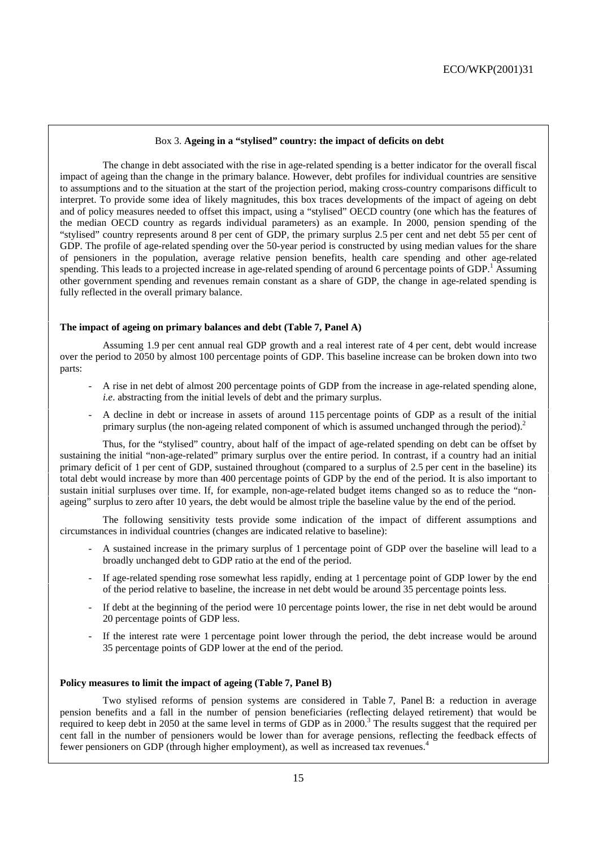#### Box 3. **Ageing in a "stylised" country: the impact of deficits on debt**

The change in debt associated with the rise in age-related spending is a better indicator for the overall fiscal impact of ageing than the change in the primary balance. However, debt profiles for individual countries are sensitive to assumptions and to the situation at the start of the projection period, making cross-country comparisons difficult to interpret. To provide some idea of likely magnitudes, this box traces developments of the impact of ageing on debt and of policy measures needed to offset this impact, using a "stylised" OECD country (one which has the features of the median OECD country as regards individual parameters) as an example. In 2000, pension spending of the "stylised" country represents around 8 per cent of GDP, the primary surplus 2.5 per cent and net debt 55 per cent of GDP. The profile of age-related spending over the 50-year period is constructed by using median values for the share of pensioners in the population, average relative pension benefits, health care spending and other age-related spending. This leads to a projected increase in age-related spending of around 6 percentage points of GDP.<sup>1</sup> Assuming other government spending and revenues remain constant as a share of GDP, the change in age-related spending is fully reflected in the overall primary balance.

#### **The impact of ageing on primary balances and debt (Table 7, Panel A)**

Assuming 1.9 per cent annual real GDP growth and a real interest rate of 4 per cent, debt would increase over the period to 2050 by almost 100 percentage points of GDP. This baseline increase can be broken down into two parts:

- A rise in net debt of almost 200 percentage points of GDP from the increase in age-related spending alone, *i.e*. abstracting from the initial levels of debt and the primary surplus.
- A decline in debt or increase in assets of around 115 percentage points of GDP as a result of the initial primary surplus (the non-ageing related component of which is assumed unchanged through the period).<sup>2</sup>

Thus, for the "stylised" country, about half of the impact of age-related spending on debt can be offset by sustaining the initial "non-age-related" primary surplus over the entire period. In contrast, if a country had an initial primary deficit of 1 per cent of GDP, sustained throughout (compared to a surplus of 2.5 per cent in the baseline) its total debt would increase by more than 400 percentage points of GDP by the end of the period. It is also important to sustain initial surpluses over time. If, for example, non-age-related budget items changed so as to reduce the "nonageing" surplus to zero after 10 years, the debt would be almost triple the baseline value by the end of the period.

The following sensitivity tests provide some indication of the impact of different assumptions and circumstances in individual countries (changes are indicated relative to baseline):

- A sustained increase in the primary surplus of 1 percentage point of GDP over the baseline will lead to a broadly unchanged debt to GDP ratio at the end of the period.
- If age-related spending rose somewhat less rapidly, ending at 1 percentage point of GDP lower by the end of the period relative to baseline, the increase in net debt would be around 35 percentage points less.
- If debt at the beginning of the period were 10 percentage points lower, the rise in net debt would be around 20 percentage points of GDP less.
- If the interest rate were 1 percentage point lower through the period, the debt increase would be around 35 percentage points of GDP lower at the end of the period.

#### **Policy measures to limit the impact of ageing (Table 7, Panel B)**

Two stylised reforms of pension systems are considered in Table 7, Panel B: a reduction in average pension benefits and a fall in the number of pension beneficiaries (reflecting delayed retirement) that would be required to keep debt in 2050 at the same level in terms of GDP as in 2000.<sup>3</sup> The results suggest that the required per cent fall in the number of pensioners would be lower than for average pensions, reflecting the feedback effects of fewer pensioners on GDP (through higher employment), as well as increased tax revenues.<sup>4</sup>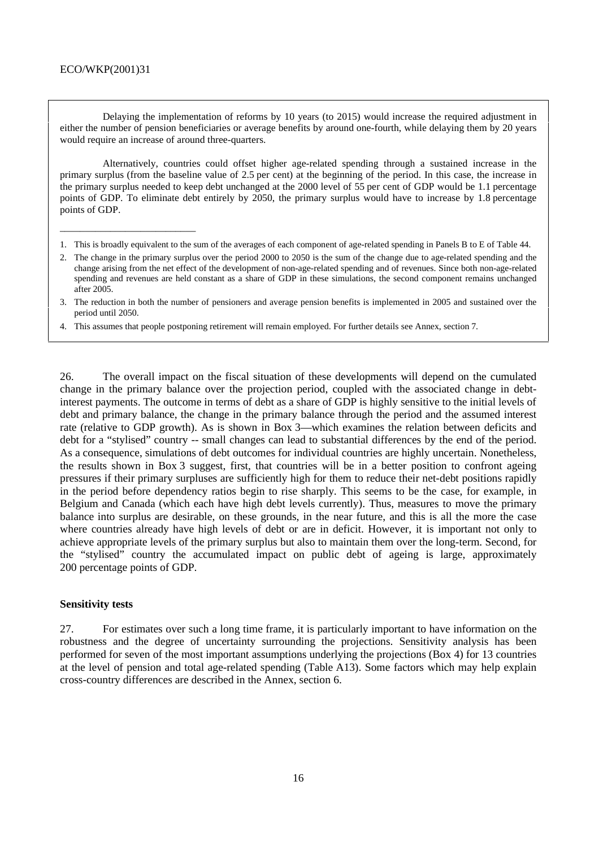\_\_\_\_\_\_\_\_\_\_\_\_\_\_\_\_\_\_\_\_\_\_\_\_\_\_\_

Delaying the implementation of reforms by 10 years (to 2015) would increase the required adjustment in either the number of pension beneficiaries or average benefits by around one-fourth, while delaying them by 20 years would require an increase of around three-quarters.

Alternatively, countries could offset higher age-related spending through a sustained increase in the primary surplus (from the baseline value of 2.5 per cent) at the beginning of the period. In this case, the increase in the primary surplus needed to keep debt unchanged at the 2000 level of 55 per cent of GDP would be 1.1 percentage points of GDP. To eliminate debt entirely by 2050, the primary surplus would have to increase by 1.8 percentage points of GDP.

4. This assumes that people postponing retirement will remain employed. For further details see Annex, section 7.

26. The overall impact on the fiscal situation of these developments will depend on the cumulated change in the primary balance over the projection period, coupled with the associated change in debtinterest payments. The outcome in terms of debt as a share of GDP is highly sensitive to the initial levels of debt and primary balance, the change in the primary balance through the period and the assumed interest rate (relative to GDP growth). As is shown in Box 3—which examines the relation between deficits and debt for a "stylised" country -- small changes can lead to substantial differences by the end of the period. As a consequence, simulations of debt outcomes for individual countries are highly uncertain. Nonetheless, the results shown in Box 3 suggest, first, that countries will be in a better position to confront ageing pressures if their primary surpluses are sufficiently high for them to reduce their net-debt positions rapidly in the period before dependency ratios begin to rise sharply. This seems to be the case, for example, in Belgium and Canada (which each have high debt levels currently). Thus, measures to move the primary balance into surplus are desirable, on these grounds, in the near future, and this is all the more the case where countries already have high levels of debt or are in deficit. However, it is important not only to achieve appropriate levels of the primary surplus but also to maintain them over the long-term. Second, for the "stylised" country the accumulated impact on public debt of ageing is large, approximately 200 percentage points of GDP.

#### **Sensitivity tests**

27. For estimates over such a long time frame, it is particularly important to have information on the robustness and the degree of uncertainty surrounding the projections. Sensitivity analysis has been performed for seven of the most important assumptions underlying the projections (Box 4) for 13 countries at the level of pension and total age-related spending (Table A13). Some factors which may help explain cross-country differences are described in the Annex, section 6.

<sup>1.</sup> This is broadly equivalent to the sum of the averages of each component of age-related spending in Panels B to E of Table 44.

<sup>2.</sup> The change in the primary surplus over the period 2000 to 2050 is the sum of the change due to age-related spending and the change arising from the net effect of the development of non-age-related spending and of revenues. Since both non-age-related spending and revenues are held constant as a share of GDP in these simulations, the second component remains unchanged after 2005.

<sup>3.</sup> The reduction in both the number of pensioners and average pension benefits is implemented in 2005 and sustained over the period until 2050.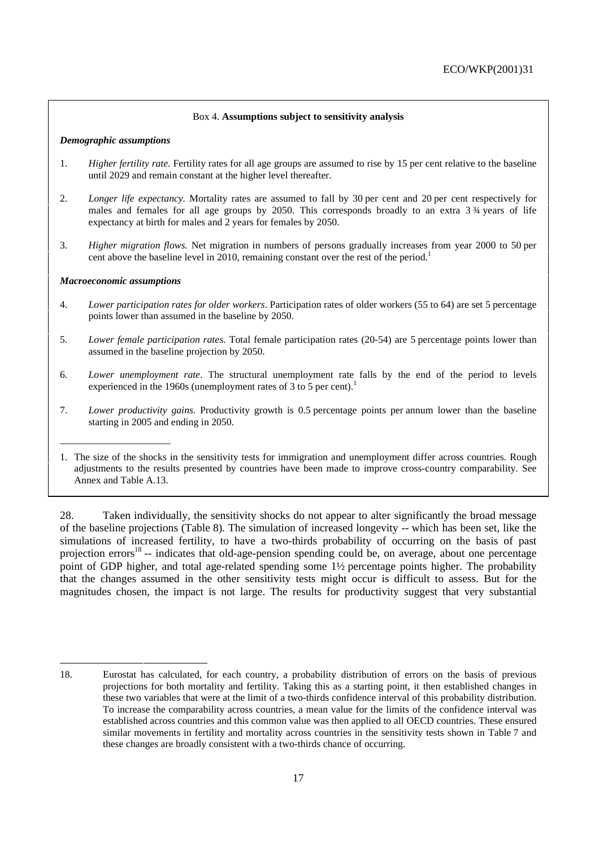#### Box 4. **Assumptions subject to sensitivity analysis**

#### *Demographic assumptions*

- 1. *Higher fertility rate.* Fertility rates for all age groups are assumed to rise by 15 per cent relative to the baseline until 2029 and remain constant at the higher level thereafter.
- 2. *Longer life expectancy.* Mortality rates are assumed to fall by 30 per cent and 20 per cent respectively for males and females for all age groups by 2050. This corresponds broadly to an extra 3 ¾ years of life expectancy at birth for males and 2 years for females by 2050.
- 3. *Higher migration flows.* Net migration in numbers of persons gradually increases from year 2000 to 50 per cent above the baseline level in 2010, remaining constant over the rest of the period.<sup>1</sup>

#### *Macroeconomic assumptions*

\_\_\_\_\_\_\_\_\_\_\_\_\_\_\_\_\_\_\_\_\_\_

- 4. *Lower participation rates for older workers*. Participation rates of older workers (55 to 64) are set 5 percentage points lower than assumed in the baseline by 2050.
- 5. *Lower female participation rates*. Total female participation rates (20-54) are 5 percentage points lower than assumed in the baseline projection by 2050.
- 6. *Lower unemployment rate*. The structural unemployment rate falls by the end of the period to levels experienced in the 1960s (unemployment rates of 3 to 5 per cent).<sup>1</sup>
- 7. *Lower productivity gains*. Productivity growth is 0.5 percentage points per annum lower than the baseline starting in 2005 and ending in 2050.
- 1. The size of the shocks in the sensitivity tests for immigration and unemployment differ across countries. Rough adjustments to the results presented by countries have been made to improve cross-country comparability. See Annex and Table A.13.

28. Taken individually, the sensitivity shocks do not appear to alter significantly the broad message of the baseline projections (Table 8). The simulation of increased longevity -- which has been set, like the simulations of increased fertility, to have a two-thirds probability of occurring on the basis of past projection errors<sup>18</sup> -- indicates that old-age-pension spending could be, on average, about one percentage point of GDP higher, and total age-related spending some 1½ percentage points higher. The probability that the changes assumed in the other sensitivity tests might occur is difficult to assess. But for the magnitudes chosen, the impact is not large. The results for productivity suggest that very substantial

<sup>-</sup>18. Eurostat has calculated, for each country, a probability distribution of errors on the basis of previous projections for both mortality and fertility. Taking this as a starting point, it then established changes in these two variables that were at the limit of a two-thirds confidence interval of this probability distribution. To increase the comparability across countries, a mean value for the limits of the confidence interval was established across countries and this common value was then applied to all OECD countries. These ensured similar movements in fertility and mortality across countries in the sensitivity tests shown in Table 7 and these changes are broadly consistent with a two-thirds chance of occurring.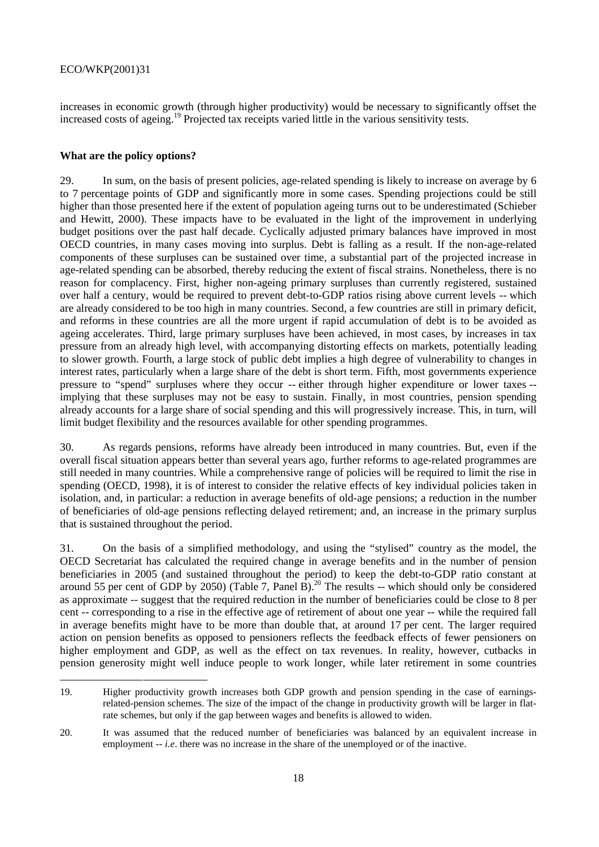-

increases in economic growth (through higher productivity) would be necessary to significantly offset the increased costs of ageing.19 Projected tax receipts varied little in the various sensitivity tests.

### **What are the policy options?**

29. In sum, on the basis of present policies, age-related spending is likely to increase on average by 6 to 7 percentage points of GDP and significantly more in some cases. Spending projections could be still higher than those presented here if the extent of population ageing turns out to be underestimated (Schieber and Hewitt, 2000). These impacts have to be evaluated in the light of the improvement in underlying budget positions over the past half decade. Cyclically adjusted primary balances have improved in most OECD countries, in many cases moving into surplus. Debt is falling as a result. If the non-age-related components of these surpluses can be sustained over time, a substantial part of the projected increase in age-related spending can be absorbed, thereby reducing the extent of fiscal strains. Nonetheless, there is no reason for complacency. First, higher non-ageing primary surpluses than currently registered, sustained over half a century, would be required to prevent debt-to-GDP ratios rising above current levels -- which are already considered to be too high in many countries. Second, a few countries are still in primary deficit, and reforms in these countries are all the more urgent if rapid accumulation of debt is to be avoided as ageing accelerates. Third, large primary surpluses have been achieved, in most cases, by increases in tax pressure from an already high level, with accompanying distorting effects on markets, potentially leading to slower growth. Fourth, a large stock of public debt implies a high degree of vulnerability to changes in interest rates, particularly when a large share of the debt is short term. Fifth, most governments experience pressure to "spend" surpluses where they occur -- either through higher expenditure or lower taxes - implying that these surpluses may not be easy to sustain. Finally, in most countries, pension spending already accounts for a large share of social spending and this will progressively increase. This, in turn, will limit budget flexibility and the resources available for other spending programmes.

30. As regards pensions, reforms have already been introduced in many countries. But, even if the overall fiscal situation appears better than several years ago, further reforms to age-related programmes are still needed in many countries. While a comprehensive range of policies will be required to limit the rise in spending (OECD, 1998), it is of interest to consider the relative effects of key individual policies taken in isolation, and, in particular: a reduction in average benefits of old-age pensions; a reduction in the number of beneficiaries of old-age pensions reflecting delayed retirement; and, an increase in the primary surplus that is sustained throughout the period.

31. On the basis of a simplified methodology, and using the "stylised" country as the model, the OECD Secretariat has calculated the required change in average benefits and in the number of pension beneficiaries in 2005 (and sustained throughout the period) to keep the debt-to-GDP ratio constant at around 55 per cent of GDP by 2050) (Table 7, Panel B).<sup>20</sup> The results -- which should only be considered as approximate -- suggest that the required reduction in the number of beneficiaries could be close to 8 per cent -- corresponding to a rise in the effective age of retirement of about one year -- while the required fall in average benefits might have to be more than double that, at around 17 per cent. The larger required action on pension benefits as opposed to pensioners reflects the feedback effects of fewer pensioners on higher employment and GDP, as well as the effect on tax revenues. In reality, however, cutbacks in pension generosity might well induce people to work longer, while later retirement in some countries

<sup>19.</sup> Higher productivity growth increases both GDP growth and pension spending in the case of earningsrelated-pension schemes. The size of the impact of the change in productivity growth will be larger in flatrate schemes, but only if the gap between wages and benefits is allowed to widen.

<sup>20.</sup> It was assumed that the reduced number of beneficiaries was balanced by an equivalent increase in employment -- *i.e.* there was no increase in the share of the unemployed or of the inactive.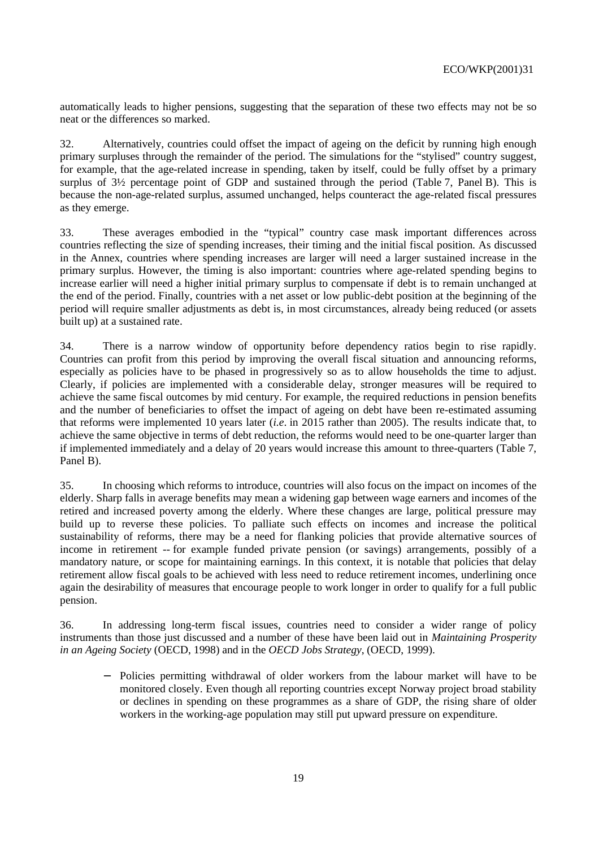automatically leads to higher pensions, suggesting that the separation of these two effects may not be so neat or the differences so marked.

32. Alternatively, countries could offset the impact of ageing on the deficit by running high enough primary surpluses through the remainder of the period. The simulations for the "stylised" country suggest, for example, that the age-related increase in spending, taken by itself, could be fully offset by a primary surplus of  $3\frac{1}{2}$  percentage point of GDP and sustained through the period (Table 7, Panel B). This is because the non-age-related surplus, assumed unchanged, helps counteract the age-related fiscal pressures as they emerge.

33. These averages embodied in the "typical" country case mask important differences across countries reflecting the size of spending increases, their timing and the initial fiscal position. As discussed in the Annex, countries where spending increases are larger will need a larger sustained increase in the primary surplus. However, the timing is also important: countries where age-related spending begins to increase earlier will need a higher initial primary surplus to compensate if debt is to remain unchanged at the end of the period. Finally, countries with a net asset or low public-debt position at the beginning of the period will require smaller adjustments as debt is, in most circumstances, already being reduced (or assets built up) at a sustained rate.

34. There is a narrow window of opportunity before dependency ratios begin to rise rapidly. Countries can profit from this period by improving the overall fiscal situation and announcing reforms, especially as policies have to be phased in progressively so as to allow households the time to adjust. Clearly, if policies are implemented with a considerable delay, stronger measures will be required to achieve the same fiscal outcomes by mid century. For example, the required reductions in pension benefits and the number of beneficiaries to offset the impact of ageing on debt have been re-estimated assuming that reforms were implemented 10 years later (*i.e*. in 2015 rather than 2005). The results indicate that, to achieve the same objective in terms of debt reduction, the reforms would need to be one-quarter larger than if implemented immediately and a delay of 20 years would increase this amount to three-quarters (Table 7, Panel B).

35. In choosing which reforms to introduce, countries will also focus on the impact on incomes of the elderly. Sharp falls in average benefits may mean a widening gap between wage earners and incomes of the retired and increased poverty among the elderly. Where these changes are large, political pressure may build up to reverse these policies. To palliate such effects on incomes and increase the political sustainability of reforms, there may be a need for flanking policies that provide alternative sources of income in retirement -- for example funded private pension (or savings) arrangements, possibly of a mandatory nature, or scope for maintaining earnings. In this context, it is notable that policies that delay retirement allow fiscal goals to be achieved with less need to reduce retirement incomes, underlining once again the desirability of measures that encourage people to work longer in order to qualify for a full public pension.

36. In addressing long-term fiscal issues, countries need to consider a wider range of policy instruments than those just discussed and a number of these have been laid out in *Maintaining Prosperity in an Ageing Society* (OECD, 1998) and in the *OECD Jobs Strategy*, (OECD, 1999).

− Policies permitting withdrawal of older workers from the labour market will have to be monitored closely. Even though all reporting countries except Norway project broad stability or declines in spending on these programmes as a share of GDP, the rising share of older workers in the working-age population may still put upward pressure on expenditure.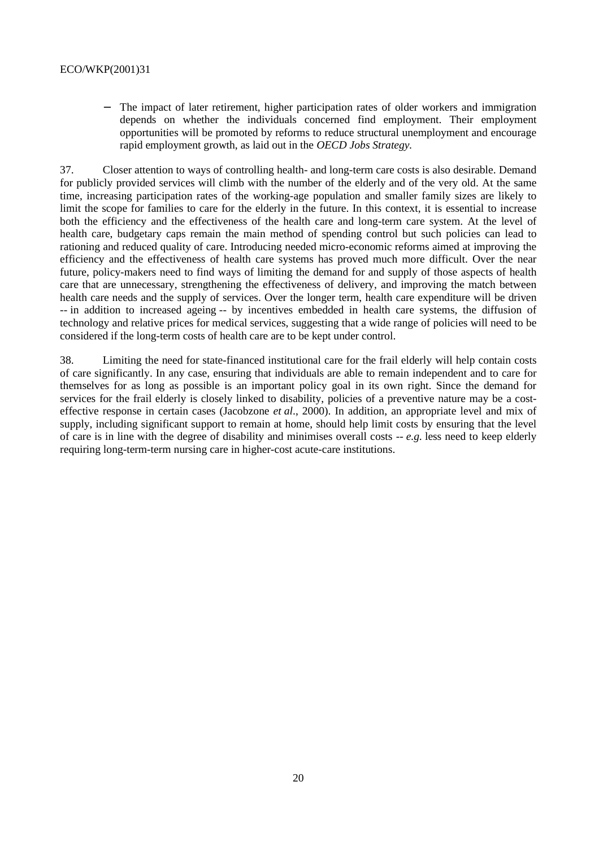The impact of later retirement, higher participation rates of older workers and immigration depends on whether the individuals concerned find employment. Their employment opportunities will be promoted by reforms to reduce structural unemployment and encourage rapid employment growth, as laid out in the *OECD Jobs Strategy.*

37. Closer attention to ways of controlling health- and long-term care costs is also desirable. Demand for publicly provided services will climb with the number of the elderly and of the very old. At the same time, increasing participation rates of the working-age population and smaller family sizes are likely to limit the scope for families to care for the elderly in the future. In this context, it is essential to increase both the efficiency and the effectiveness of the health care and long-term care system. At the level of health care, budgetary caps remain the main method of spending control but such policies can lead to rationing and reduced quality of care. Introducing needed micro-economic reforms aimed at improving the efficiency and the effectiveness of health care systems has proved much more difficult. Over the near future, policy-makers need to find ways of limiting the demand for and supply of those aspects of health care that are unnecessary, strengthening the effectiveness of delivery, and improving the match between health care needs and the supply of services. Over the longer term, health care expenditure will be driven -- in addition to increased ageing -- by incentives embedded in health care systems, the diffusion of technology and relative prices for medical services, suggesting that a wide range of policies will need to be considered if the long-term costs of health care are to be kept under control.

38. Limiting the need for state-financed institutional care for the frail elderly will help contain costs of care significantly. In any case, ensuring that individuals are able to remain independent and to care for themselves for as long as possible is an important policy goal in its own right. Since the demand for services for the frail elderly is closely linked to disability, policies of a preventive nature may be a costeffective response in certain cases (Jacobzone *et al*., 2000). In addition, an appropriate level and mix of supply, including significant support to remain at home, should help limit costs by ensuring that the level of care is in line with the degree of disability and minimises overall costs -- *e.g*. less need to keep elderly requiring long-term-term nursing care in higher-cost acute-care institutions.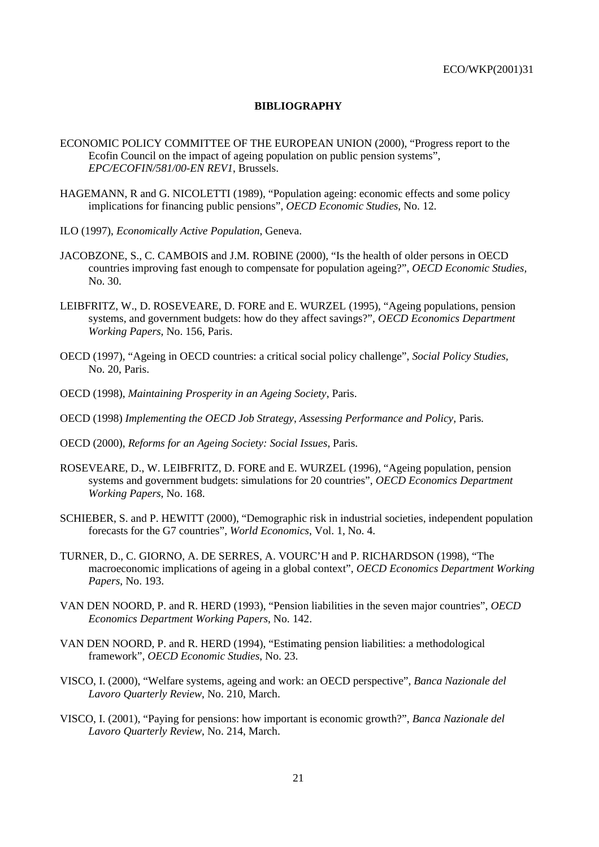#### **BIBLIOGRAPHY**

- ECONOMIC POLICY COMMITTEE OF THE EUROPEAN UNION (2000), "Progress report to the Ecofin Council on the impact of ageing population on public pension systems", *EPC/ECOFIN/581/00-EN REV1*, Brussels.
- HAGEMANN, R and G. NICOLETTI (1989), "Population ageing: economic effects and some policy implications for financing public pensions", *OECD Economic Studies*, No. 12.
- ILO (1997), *Economically Active Population*, Geneva.
- JACOBZONE, S., C. CAMBOIS and J.M. ROBINE (2000), "Is the health of older persons in OECD countries improving fast enough to compensate for population ageing?", *OECD Economic Studies,* No. 30.
- LEIBFRITZ, W., D. ROSEVEARE, D. FORE and E. WURZEL (1995), "Ageing populations, pension systems, and government budgets: how do they affect savings?", *OECD Economics Department Working Papers*, No. 156, Paris.
- OECD (1997), "Ageing in OECD countries: a critical social policy challenge", *Social Policy Studies,* No. 20, Paris.
- OECD (1998), *Maintaining Prosperity in an Ageing Society*, Paris.
- OECD (1998) *Implementing the OECD Job Strategy*, *Assessing Performance and Policy,* Paris*.*
- OECD (2000), *Reforms for an Ageing Society: Social Issues*, Paris.
- ROSEVEARE, D., W. LEIBFRITZ, D. FORE and E. WURZEL (1996), "Ageing population, pension systems and government budgets: simulations for 20 countries", *OECD Economics Department Working Papers*, No. 168.
- SCHIEBER, S. and P. HEWITT (2000), "Demographic risk in industrial societies, independent population forecasts for the G7 countries", *World Economics*, Vol. 1, No. 4.
- TURNER, D., C. GIORNO, A. DE SERRES, A. VOURC'H and P. RICHARDSON (1998), "The macroeconomic implications of ageing in a global context", *OECD Economics Department Working Papers*, No. 193.
- VAN DEN NOORD, P. and R. HERD (1993), "Pension liabilities in the seven major countries", *OECD Economics Department Working Papers*, No. 142.
- VAN DEN NOORD, P. and R. HERD (1994), "Estimating pension liabilities: a methodological framework", *OECD Economic Studies*, No. 23.
- VISCO, I. (2000), "Welfare systems, ageing and work: an OECD perspective", *Banca Nazionale del Lavoro Quarterly Review*, No. 210, March.
- VISCO, I. (2001), "Paying for pensions: how important is economic growth?", *Banca Nazionale del Lavoro Quarterly Review*, No. 214, March.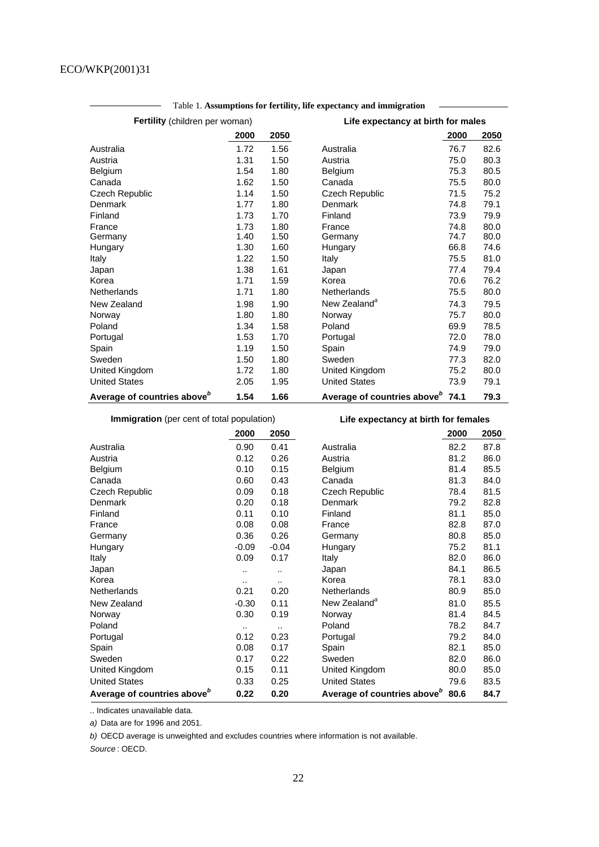| <b>Fertility</b> (children per woman)   | Life expectancy at birth for males |      |                                                     |      |      |
|-----------------------------------------|------------------------------------|------|-----------------------------------------------------|------|------|
|                                         | 2000                               | 2050 |                                                     | 2000 | 2050 |
| Australia                               | 1.72                               | 1.56 | Australia                                           | 76.7 | 82.6 |
| Austria                                 | 1.31                               | 1.50 | Austria                                             | 75.0 | 80.3 |
| Belgium                                 | 1.54                               | 1.80 | Belgium                                             | 75.3 | 80.5 |
| Canada                                  | 1.62                               | 1.50 | Canada                                              | 75.5 | 80.0 |
| Czech Republic                          | 1.14                               | 1.50 | Czech Republic                                      | 71.5 | 75.2 |
| Denmark                                 | 1.77                               | 1.80 | Denmark                                             | 74.8 | 79.1 |
| Finland                                 | 1.73                               | 1.70 | Finland                                             | 73.9 | 79.9 |
| France                                  | 1.73                               | 1.80 | France                                              | 74.8 | 80.0 |
| Germany                                 | 1.40                               | 1.50 | Germany                                             | 74.7 | 80.0 |
| Hungary                                 | 1.30                               | 1.60 | Hungary                                             | 66.8 | 74.6 |
| Italy                                   | 1.22                               | 1.50 | Italy                                               | 75.5 | 81.0 |
| Japan                                   | 1.38                               | 1.61 | Japan                                               | 77.4 | 79.4 |
| Korea                                   | 1.71                               | 1.59 | Korea                                               | 70.6 | 76.2 |
| <b>Netherlands</b>                      | 1.71                               | 1.80 | Netherlands                                         | 75.5 | 80.0 |
| New Zealand                             | 1.98                               | 1.90 | New Zealand <sup>a</sup>                            | 74.3 | 79.5 |
| Norway                                  | 1.80                               | 1.80 | Norway                                              | 75.7 | 80.0 |
| Poland                                  | 1.34                               | 1.58 | Poland                                              | 69.9 | 78.5 |
| Portugal                                | 1.53                               | 1.70 | Portugal                                            | 72.0 | 78.0 |
| Spain                                   | 1.19                               | 1.50 | Spain                                               | 74.9 | 79.0 |
| Sweden                                  | 1.50                               | 1.80 | Sweden                                              | 77.3 | 82.0 |
| United Kingdom                          | 1.72                               | 1.80 | United Kingdom                                      | 75.2 | 80.0 |
| <b>United States</b>                    | 2.05                               | 1.95 | <b>United States</b>                                | 73.9 | 79.1 |
| Average of countries above <sup>b</sup> | 1.54                               | 1.66 | Average of countries above <sup><i>b</i></sup> 74.1 |      | 79.3 |

Table 1. **Assumptions for fertility, life expectancy and immigration**

**Immigration** (per cent of total population) **Life expectancy at birth for females** 

|                                         | 2000    | 2050    |                                         | 2000 | 2050 |
|-----------------------------------------|---------|---------|-----------------------------------------|------|------|
| Australia                               | 0.90    | 0.41    | Australia                               | 82.2 | 87.8 |
| Austria                                 | 0.12    | 0.26    | Austria                                 | 81.2 | 86.0 |
| <b>Belgium</b>                          | 0.10    | 0.15    | Belgium                                 | 81.4 | 85.5 |
| Canada                                  | 0.60    | 0.43    | Canada                                  | 81.3 | 84.0 |
| Czech Republic                          | 0.09    | 0.18    | Czech Republic                          | 78.4 | 81.5 |
| Denmark                                 | 0.20    | 0.18    | Denmark                                 | 79.2 | 82.8 |
| Finland                                 | 0.11    | 0.10    | Finland                                 | 81.1 | 85.0 |
| France                                  | 0.08    | 0.08    | France                                  | 82.8 | 87.0 |
| Germany                                 | 0.36    | 0.26    | Germany                                 | 80.8 | 85.0 |
| Hungary                                 | $-0.09$ | $-0.04$ | Hungary                                 | 75.2 | 81.1 |
| Italy                                   | 0.09    | 0.17    | Italy                                   | 82.0 | 86.0 |
| Japan                                   |         |         | Japan                                   | 84.1 | 86.5 |
| Korea                                   |         |         | Korea                                   | 78.1 | 83.0 |
| Netherlands                             | 0.21    | 0.20    | Netherlands                             | 80.9 | 85.0 |
| New Zealand                             | $-0.30$ | 0.11    | New Zealand <sup>a</sup>                | 81.0 | 85.5 |
| Norway                                  | 0.30    | 0.19    | Norway                                  | 81.4 | 84.5 |
| Poland                                  |         |         | Poland                                  | 78.2 | 84.7 |
| Portugal                                | 0.12    | 0.23    | Portugal                                | 79.2 | 84.0 |
| Spain                                   | 0.08    | 0.17    | Spain                                   | 82.1 | 85.0 |
| Sweden                                  | 0.17    | 0.22    | Sweden                                  | 82.0 | 86.0 |
| United Kingdom                          | 0.15    | 0.11    | United Kingdom                          | 80.0 | 85.0 |
| <b>United States</b>                    | 0.33    | 0.25    | <b>United States</b>                    | 79.6 | 83.5 |
| Average of countries above <sup>b</sup> | 0.22    | 0.20    | Average of countries above <sup>b</sup> | 80.6 | 84.7 |

.. Indicates unavailable data.

a) Data are for 1996 and 2051.

b) OECD average is unweighted and excludes countries where information is not available.

Source: OECD.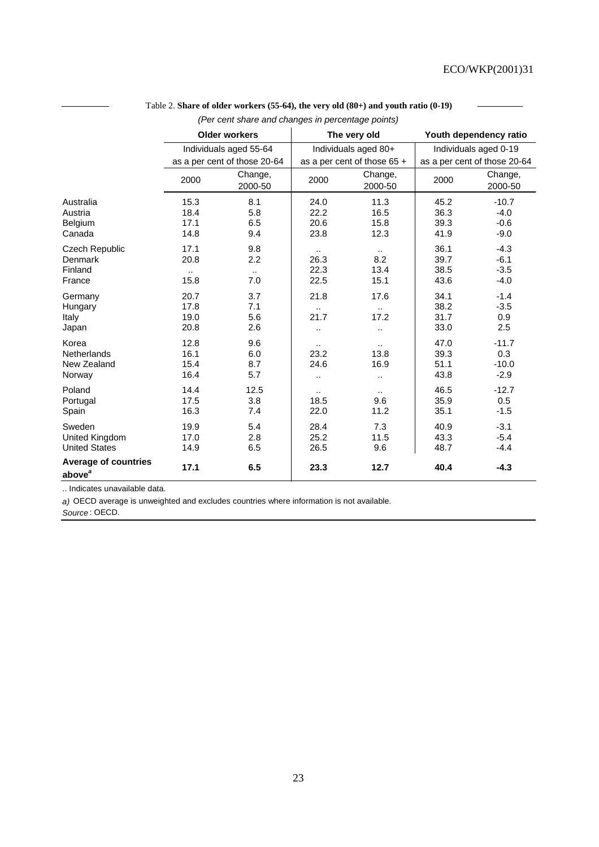|                                                   |                                   | (Per cent share and changes in percentage points) |                                        |                                  |                              |                                       |
|---------------------------------------------------|-----------------------------------|---------------------------------------------------|----------------------------------------|----------------------------------|------------------------------|---------------------------------------|
|                                                   |                                   | <b>Older workers</b>                              |                                        | The very old                     |                              | Youth dependency ratio                |
|                                                   |                                   | Individuals aged 55-64                            |                                        | Individuals aged 80+             | Individuals aged 0-19        |                                       |
|                                                   |                                   | as a per cent of those 20-64                      |                                        | as a per cent of those 65 +      |                              | as a per cent of those 20-64          |
|                                                   | 2000                              | Change,<br>2000-50                                | 2000                                   | Change,<br>2000-50               | 2000                         | Change,<br>2000-50                    |
| Australia<br>Austria<br>Belgium<br>Canada         | 15.3<br>18.4<br>17.1<br>14.8      | 8.1<br>5.8<br>6.5<br>9.4                          | 24.0<br>22.2<br>20.6<br>23.8           | 11.3<br>16.5<br>15.8<br>12.3     | 45.2<br>36.3<br>39.3<br>41.9 | $-10.7$<br>$-4.0$<br>$-0.6$<br>$-9.0$ |
| Czech Republic<br>Denmark<br>Finland<br>France    | 17.1<br>20.8<br>$\cdot$ .<br>15.8 | 9.8<br>2.2<br>$\cdot$ .<br>7.0                    | $\cdot$ .<br>26.3<br>22.3<br>22.5      | $\cdot$ .<br>8.2<br>13.4<br>15.1 | 36.1<br>39.7<br>38.5<br>43.6 | $-4.3$<br>$-6.1$<br>$-3.5$<br>$-4.0$  |
| Germany<br>Hungary<br>Italy<br>Japan              | 20.7<br>17.8<br>19.0<br>20.8      | 3.7<br>7.1<br>5.6<br>2.6                          | 21.8<br>$\ddotsc$<br>21.7<br>          | 17.6<br>$\ddotsc$<br>17.2<br>    | 34.1<br>38.2<br>31.7<br>33.0 | $-1.4$<br>$-3.5$<br>0.9<br>2.5        |
| Korea<br>Netherlands<br>New Zealand<br>Norway     | 12.8<br>16.1<br>15.4<br>16.4      | 9.6<br>6.0<br>8.7<br>5.7                          | $\cdot$ .<br>23.2<br>24.6<br>$\ddotsc$ | 13.8<br>16.9<br>ä.               | 47.0<br>39.3<br>51.1<br>43.8 | $-11.7$<br>0.3<br>$-10.0$<br>$-2.9$   |
| Poland<br>Portugal<br>Spain                       | 14.4<br>17.5<br>16.3              | 12.5<br>3.8<br>7.4                                | $\ddotsc$<br>18.5<br>22.0              | $\cdot$ .<br>9.6<br>11.2         | 46.5<br>35.9<br>35.1         | $-12.7$<br>0.5<br>$-1.5$              |
| Sweden<br>United Kingdom<br><b>United States</b>  | 19.9<br>17.0<br>14.9              | 5.4<br>2.8<br>6.5                                 | 28.4<br>25.2<br>26.5                   | 7.3<br>11.5<br>9.6               | 40.9<br>43.3<br>48.7         | $-3.1$<br>$-5.4$<br>$-4.4$            |
| <b>Average of countries</b><br>above <sup>a</sup> | 17.1                              | 6.5                                               | 23.3                                   | 12.7                             | 40.4                         | $-4.3$                                |

## Table 2. **Share of older workers (55-64), the very old (80+) and youth ratio (0-19)**

.. Indicates unavailable data.

a) OECD average is unweighted and excludes countries where information is not available.

Source: OECD.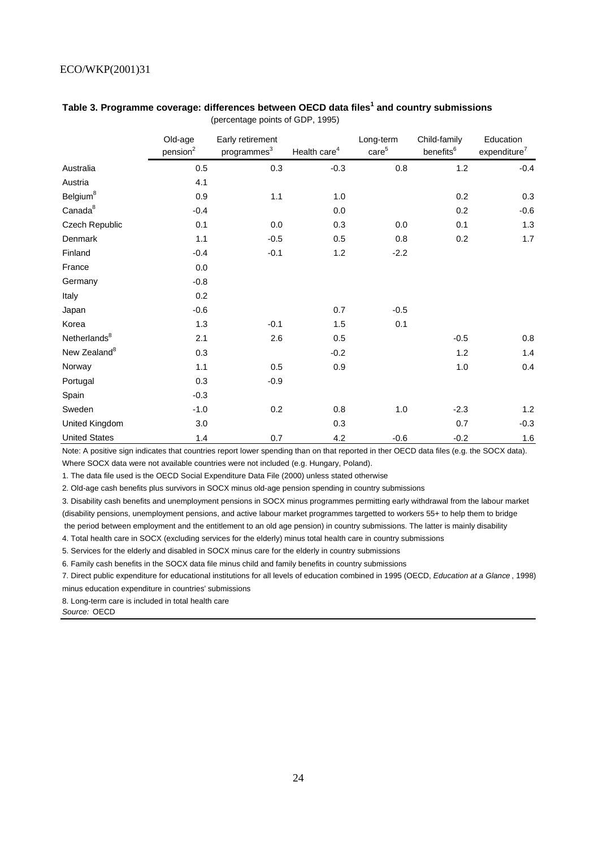|                          | Old-age<br>pension <sup>2</sup> | Early retirement<br>programmes <sup>3</sup> | Health care <sup>4</sup> | Long-term<br>care <sup>5</sup> | Child-family<br>benefits <sup>6</sup> | Education<br>expenditur <sup>7</sup> |
|--------------------------|---------------------------------|---------------------------------------------|--------------------------|--------------------------------|---------------------------------------|--------------------------------------|
| Australia                | 0.5                             | 0.3                                         | $-0.3$                   | 0.8                            | 1.2                                   | $-0.4$                               |
| Austria                  | 4.1                             |                                             |                          |                                |                                       |                                      |
| Belgium <sup>8</sup>     | 0.9                             | 1.1                                         | 1.0                      |                                | 0.2                                   | 0.3                                  |
| Canada <sup>8</sup>      | $-0.4$                          |                                             | 0.0                      |                                | 0.2                                   | $-0.6$                               |
| Czech Republic           | 0.1                             | 0.0                                         | 0.3                      | 0.0                            | 0.1                                   | 1.3                                  |
| Denmark                  | 1.1                             | $-0.5$                                      | 0.5                      | 0.8                            | 0.2                                   | 1.7                                  |
| Finland                  | $-0.4$                          | $-0.1$                                      | 1.2                      | $-2.2$                         |                                       |                                      |
| France                   | 0.0                             |                                             |                          |                                |                                       |                                      |
| Germany                  | $-0.8$                          |                                             |                          |                                |                                       |                                      |
| Italy                    | 0.2                             |                                             |                          |                                |                                       |                                      |
| Japan                    | $-0.6$                          |                                             | 0.7                      | $-0.5$                         |                                       |                                      |
| Korea                    | 1.3                             | $-0.1$                                      | 1.5                      | 0.1                            |                                       |                                      |
| Netherlands <sup>8</sup> | 2.1                             | 2.6                                         | 0.5                      |                                | $-0.5$                                | 0.8                                  |
| New Zealand <sup>8</sup> | 0.3                             |                                             | $-0.2$                   |                                | 1.2                                   | 1.4                                  |
| Norway                   | 1.1                             | 0.5                                         | 0.9                      |                                | 1.0                                   | 0.4                                  |
| Portugal                 | 0.3                             | $-0.9$                                      |                          |                                |                                       |                                      |
| Spain                    | $-0.3$                          |                                             |                          |                                |                                       |                                      |
| Sweden                   | $-1.0$                          | 0.2                                         | 0.8                      | 1.0                            | $-2.3$                                | 1.2                                  |
| United Kingdom           | 3.0                             |                                             | 0.3                      |                                | 0.7                                   | $-0.3$                               |
| <b>United States</b>     | 1.4                             | 0.7                                         | 4.2                      | $-0.6$                         | $-0.2$                                | 1.6                                  |

#### **Table 3. Programme coverage: differences between OECD data files<sup>1</sup> and country submissions** (percentage points of GDP, 1995)

Note: A positive sign indicates that countries report lower spending than on that reported in ther OECD data files (e.g. the SOCX data). Where SOCX data were not available countries were not included (e.g. Hungary, Poland).

1. The data file used is the OECD Social Expenditure Data File (2000) unless stated otherwise

2. Old-age cash benefits plus survivors in SOCX minus old-age pension spending in country submissions

3. Disability cash benefits and unemployment pensions in SOCX minus programmes permitting early withdrawal from the labour market (disability pensions, unemployment pensions, and active labour market programmes targetted to workers 55+ to help them to bridge the period between employment and the entitlement to an old age pension) in country submissions. The latter is mainly disability

4. Total health care in SOCX (excluding services for the elderly) minus total health care in country submissions

5. Services for the elderly and disabled in SOCX minus care for the elderly in country submissions

6. Family cash benefits in the SOCX data file minus child and family benefits in country submissions

7. Direct public expenditure for educational institutions for all levels of education combined in 1995 (OECD, Education at a Glance, 1998) minus education expenditure in countries' submissions

8. Long-term care is included in total health care

Source: OECD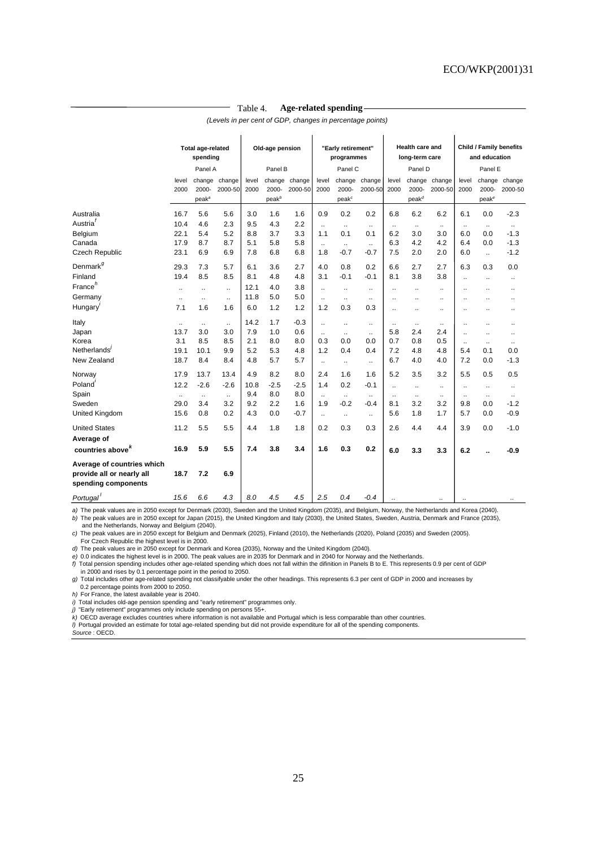|                                                                                           |                                                          | Total age-related<br>spending                   |                                                      |                                   | Old-age pension                    |                                       |                                                                         | "Early retirement"<br>programmes                                     |                                                           |                                          | Health care and<br>long-term care          |                                                      |                                                            | <b>Child / Family benefits</b><br>and education |                                                  |
|-------------------------------------------------------------------------------------------|----------------------------------------------------------|-------------------------------------------------|------------------------------------------------------|-----------------------------------|------------------------------------|---------------------------------------|-------------------------------------------------------------------------|----------------------------------------------------------------------|-----------------------------------------------------------|------------------------------------------|--------------------------------------------|------------------------------------------------------|------------------------------------------------------------|-------------------------------------------------|--------------------------------------------------|
|                                                                                           |                                                          | Panel A                                         |                                                      |                                   | Panel B                            |                                       |                                                                         | Panel C                                                              |                                                           |                                          | Panel D                                    |                                                      |                                                            | Panel E                                         |                                                  |
|                                                                                           | level<br>2000                                            | 2000-<br>peak <sup>a</sup>                      | change change<br>2000-50                             | level<br>2000                     | 2000-<br>peak <sup>b</sup>         | change change<br>2000-50              | level<br>2000                                                           | 2000-<br>$\mathsf{peak}^c$                                           | change change<br>2000-50                                  | level<br>2000                            | change<br>2000-<br>peak <sup>d</sup>       | change<br>2000-50                                    | level<br>2000                                              | change<br>2000-<br>peak®                        | change<br>2000-50                                |
| Australia<br>Austria<br>Belgium<br>Canada<br>Czech Republic                               | 16.7<br>10.4<br>22.1<br>17.9<br>23.1                     | 5.6<br>4.6<br>5.4<br>8.7<br>6.9                 | 5.6<br>2.3<br>5.2<br>8.7<br>6.9                      | 3.0<br>9.5<br>8.8<br>5.1<br>7.8   | 1.6<br>4.3<br>3.7<br>5.8<br>6.8    | 1.6<br>2.2<br>3.3<br>5.8<br>6.8       | 0.9<br>$\ddot{\phantom{1}}$<br>1.1<br>$\ldots$<br>1.8                   | 0.2<br>$\ldots$<br>0.1<br>$\ddotsc$<br>$-0.7$                        | 0.2<br>$\cdot$ .<br>0.1<br>$\sim$<br>$-0.7$               | 6.8<br>$\ldots$<br>6.2<br>6.3<br>7.5     | 6.2<br>$\ddotsc$<br>3.0<br>4.2<br>2.0      | 6.2<br>$\ldots$<br>3.0<br>4.2<br>2.0                 | 6.1<br>$\ddotsc$<br>6.0<br>6.4<br>6.0                      | 0.0<br>$\ddotsc$<br>0.0<br>0.0<br>$\mathbf{r}$  | $-2.3$<br>$\ldots$<br>$-1.3$<br>$-1.3$<br>$-1.2$ |
| Denmark <sup>g</sup><br>Finland<br>France <sup>h</sup><br>Germany<br>Hungary <sup>'</sup> | 29.3<br>19.4<br>$\ddot{\phantom{a}}$<br>$\ddotsc$<br>7.1 | 7.3<br>8.5<br>$\ddot{\phantom{a}}$<br>Ω.<br>1.6 | 5.7<br>8.5<br>$\ddotsc$<br>$\sim$<br>1.6             | 6.1<br>8.1<br>12.1<br>11.8<br>6.0 | 3.6<br>4.8<br>4.0<br>5.0<br>1.2    | 2.7<br>4.8<br>3.8<br>5.0<br>1.2       | 4.0<br>3.1<br>$\mathbf{r}$<br>$\ddot{\phantom{1}}$<br>1.2               | 0.8<br>$-0.1$<br>$\ddot{\phantom{a}}$<br>$\ddot{\phantom{a}}$<br>0.3 | 0.2<br>$-0.1$<br>$\ldots$<br>$\ddotsc$<br>0.3             | 6.6<br>8.1<br>$\ddot{\phantom{a}}$<br>μ, | 2.7<br>3.8<br>Ω.                           | 2.7<br>3.8<br>$\ldots$<br>μ,<br>$\ddot{\phantom{a}}$ | 6.3<br>$\mathbb{Z}^2$                                      | 0.3<br>$\ddot{\phantom{a}}$                     | 0.0<br>$\ddotsc$<br>$\ddot{\phantom{a}}$<br>٠.   |
| Italy<br>Japan<br>Korea<br>Netherlands <sup>/</sup><br>New Zealand                        | $\ldots$<br>13.7<br>3.1<br>19.1<br>18.7                  | $\ldots$<br>3.0<br>8.5<br>10.1<br>8.4           | $\ldots$<br>3.0<br>8.5<br>9.9<br>8.4                 | 14.2<br>7.9<br>2.1<br>5.2<br>4.8  | 1.7<br>1.0<br>8.0<br>5.3<br>5.7    | $-0.3$<br>0.6<br>8.0<br>4.8<br>5.7    | $\ddot{\phantom{a}}$<br>$\ddotsc$<br>0.3<br>1.2<br>$\ddot{\phantom{1}}$ | $\ddotsc$<br>$\ddotsc$<br>0.0<br>0.4<br>$\ddotsc$                    | $\cdot$ .<br>$\cdot$ .<br>0.0<br>0.4<br>$\cdot$ .         | $\ddotsc$<br>5.8<br>0.7<br>7.2<br>6.7    | $\ddotsc$<br>2.4<br>0.8<br>4.8<br>4.0      | $\ldots$<br>2.4<br>0.5<br>4.8<br>4.0                 | $\ddot{\phantom{a}}$<br>$\ddot{\phantom{a}}$<br>5.4<br>7.2 | $\ddotsc$<br>0.1<br>0.0                         | $\ddotsc$<br>0.0<br>$-1.3$                       |
| Norway<br>Poland<br>Spain<br>Sweden<br>United Kingdom                                     | 17.9<br>12.2<br>$\ddotsc$<br>29.0<br>15.6                | 13.7<br>$-2.6$<br>$\ldots$<br>3.4<br>0.8        | 13.4<br>$-2.6$<br>$\ddot{\phantom{a}}$<br>3.2<br>0.2 | 4.9<br>10.8<br>9.4<br>9.2<br>4.3  | 8.2<br>$-2.5$<br>8.0<br>2.2<br>0.0 | 8.0<br>$-2.5$<br>8.0<br>1.6<br>$-0.7$ | 2.4<br>1.4<br>$\ddot{\phantom{a}}$<br>1.9<br>$\ddot{\phantom{a}}$       | 1.6<br>0.2<br>$\ddot{\phantom{a}}$<br>$-0.2$<br>$\ddotsc$            | 1.6<br>$-0.1$<br>$\ddot{\phantom{a}}$<br>$-0.4$<br>$\sim$ | 5.2<br>ä.<br>$\ddotsc$<br>8.1<br>5.6     | 3.5<br>$\ldots$<br>$\ddotsc$<br>3.2<br>1.8 | 3.2<br>$\ldots$<br>$\cdot$ .<br>3.2<br>1.7           | 5.5<br>$\ldots$<br>$\ddot{\phantom{0}}$<br>9.8<br>5.7      | 0.5<br>$\ddotsc$<br>$\ldots$<br>0.0<br>0.0      | 0.5<br>$\ddotsc$<br>$-1.2$<br>$-0.9$             |
| <b>United States</b><br>Average of<br>countries above <sup>k</sup>                        | 11.2<br>16.9                                             | 5.5<br>5.9                                      | 5.5<br>5.5                                           | 4.4<br>7.4                        | 1.8<br>3.8                         | 1.8<br>3.4                            | 0.2<br>1.6                                                              | 0.3<br>0.3                                                           | 0.3<br>0.2                                                | 2.6<br>6.0                               | 4.4<br>3.3                                 | 4.4<br>3.3                                           | 3.9<br>6.2                                                 | 0.0                                             | $-1.0$<br>-0.9                                   |
| Average of countries which<br>provide all or nearly all<br>spending components            | 18.7                                                     | 7.2                                             | 6.9                                                  |                                   |                                    |                                       |                                                                         |                                                                      |                                                           |                                          |                                            |                                                      |                                                            |                                                 |                                                  |
| Portugal <sup>1</sup>                                                                     | 15.6                                                     | 6.6                                             | 4.3                                                  | 8.0                               | 4.5                                | 4.5                                   | 2.5                                                                     | 0.4                                                                  | $-0.4$                                                    |                                          |                                            |                                                      |                                                            |                                                 |                                                  |

#### Table 4. **Age-related spending**

(Levels in per cent of GDP, changes in percentage points)

a) The peak values are in 2050 except for Denmark (2030), Sweden and the United Kingdom (2035), and Belgium, Norway, the Netherlands and Korea (2040). b) The peak values are in 2050 except for Japan (2015), the United Kingdom and Italy (2030), the United States, Sweden, Austria, Denmark and France (2035), and the Netherlands, Norway and Belgium (2040).

c) The peak values are in 2050 except for Belgium and Denmark (2025), Finland (2010), the Netherlands (2020), Poland (2035) and Sweden (2005).

For Czech Republic the highest level is in 2000. d) The peak values are in 2050 except for Denmark and Korea (2035), Norway and the United Kingdom (2040).

e) 0.0 indicates the highest level is in 2000. The peak values are in 2035 for Denmark and in 2040 for Norway and the Netherlands.

f) Total pension spending includes other age-related spending which does not fall within the difinition in Panels B to E. This represents 0.9 per cent of GDP

in 2000 and rises by 0.1 percentage point in the period to 2050.<br>g) Total includes other age-related spending not classifyable under the other headings. This represents 6.3 per cent of GDP in 2000 and increases by 0.2 percentage points from 2000 to 2050.

h) For France, the latest available year is 2040. i) Total includes old-age pension spending and "early retirement" programmes only.

j) "Early retirement" programmes only include spending on persons 55+.

k) OECD average excludes countries where information is not available and Portugal which is less comparable than other countries.

l) Portugal provided an estimate for total age-related spending but did not provide expenditure for all of the spending components. Source : OECD.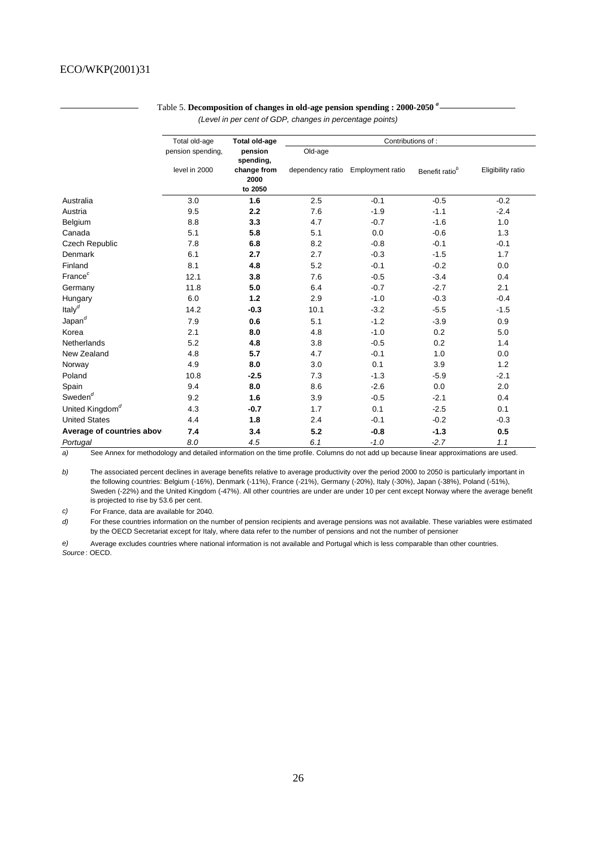|                             | Total old-age     | Total old-age                  | Contributions of: |                                   |                            |                   |  |  |
|-----------------------------|-------------------|--------------------------------|-------------------|-----------------------------------|----------------------------|-------------------|--|--|
|                             | pension spending, | pension<br>spending,           | Old-age           |                                   |                            |                   |  |  |
|                             | level in 2000     | change from<br>2000<br>to 2050 |                   | dependency ratio Employment ratio | Benefit ratio <sup>b</sup> | Eligibility ratio |  |  |
| Australia                   | 3.0               | 1.6                            | 2.5               | $-0.1$                            | $-0.5$                     | $-0.2$            |  |  |
| Austria                     | 9.5               | 2.2                            | 7.6               | $-1.9$                            | $-1.1$                     | $-2.4$            |  |  |
| Belgium                     | 8.8               | 3.3                            | 4.7               | $-0.7$                            | $-1.6$                     | 1.0               |  |  |
| Canada                      | 5.1               | 5.8                            | 5.1               | 0.0                               | $-0.6$                     | 1.3               |  |  |
| <b>Czech Republic</b>       | 7.8               | 6.8                            | 8.2               | $-0.8$                            | $-0.1$                     | $-0.1$            |  |  |
| Denmark                     | 6.1               | 2.7                            | 2.7               | $-0.3$                            | $-1.5$                     | 1.7               |  |  |
| Finland                     | 8.1               | 4.8                            | 5.2               | $-0.1$                            | $-0.2$                     | 0.0               |  |  |
| France <sup>c</sup>         | 12.1              | 3.8                            | 7.6               | $-0.5$                            | $-3.4$                     | 0.4               |  |  |
| Germany                     | 11.8              | 5.0                            | 6.4               | $-0.7$                            | $-2.7$                     | 2.1               |  |  |
| Hungary                     | 6.0               | 1.2                            | 2.9               | $-1.0$                            | $-0.3$                     | $-0.4$            |  |  |
| Italy <sup>d</sup>          | 14.2              | $-0.3$                         | 10.1              | $-3.2$                            | $-5.5$                     | $-1.5$            |  |  |
| Japan $d$                   | 7.9               | 0.6                            | 5.1               | $-1.2$                            | $-3.9$                     | 0.9               |  |  |
| Korea                       | 2.1               | 8.0                            | 4.8               | $-1.0$                            | 0.2                        | 5.0               |  |  |
| Netherlands                 | 5.2               | 4.8                            | 3.8               | $-0.5$                            | 0.2                        | 1.4               |  |  |
| New Zealand                 | 4.8               | 5.7                            | 4.7               | $-0.1$                            | 1.0                        | 0.0               |  |  |
| Norway                      | 4.9               | 8.0                            | 3.0               | 0.1                               | 3.9                        | 1.2               |  |  |
| Poland                      | 10.8              | $-2.5$                         | 7.3               | $-1.3$                            | $-5.9$                     | $-2.1$            |  |  |
| Spain                       | 9.4               | 8.0                            | 8.6               | $-2.6$                            | 0.0                        | 2.0               |  |  |
| Sweden $d$                  | 9.2               | 1.6                            | 3.9               | $-0.5$                            | $-2.1$                     | 0.4               |  |  |
| United Kingdom <sup>d</sup> | 4.3               | $-0.7$                         | 1.7               | 0.1                               | $-2.5$                     | 0.1               |  |  |
| <b>United States</b>        | 4.4               | 1.8                            | 2.4               | $-0.1$                            | $-0.2$                     | $-0.3$            |  |  |
| Average of countries abov   | 7.4               | 3.4                            | 5.2               | $-0.8$                            | $-1.3$                     | 0.5               |  |  |
| Portugal                    | 8.0               | 4.5                            | 6.1               | $-1.0$                            | $-2.7$                     | 1.1               |  |  |

#### Table 5. **Decomposition of changes in old-age pension spending : 2000-2050** *<sup>a</sup>*

(Level in per cent of GDP, changes in percentage points)

 $\overline{a}$ See Annex for methodology and detailed information on the time profile. Columns do not add up because linear approximations are used.

b) The associated percent declines in average benefits relative to average productivity over the period 2000 to 2050 is particularly important in the following countries: Belgium (-16%), Denmark (-11%), France (-21%), Germany (-20%), Italy (-30%), Japan (-38%), Poland (-51%), Sweden (-22%) and the United Kingdom (-47%). All other countries are under are under 10 per cent except Norway where the average benefit is projected to rise by 53.6 per cent.

c) For France, data are available for 2040.

d) For these countries information on the number of pension recipients and average pensions was not available. These variables were estimated by the OECD Secretariat except for Italy, where data refer to the number of pensions and not the number of pensioner

e) Average excludes countries where national information is not available and Portugal which is less comparable than other countries. Source: OECD.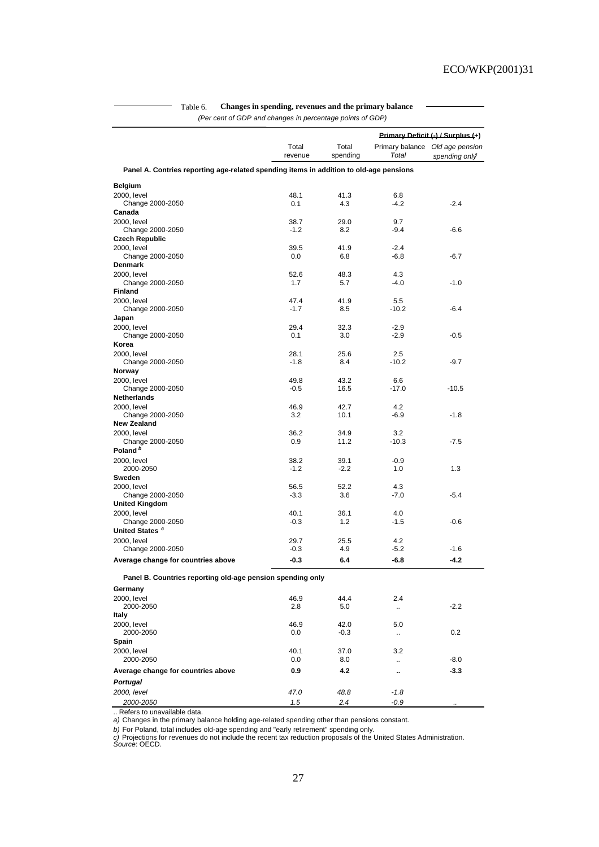|                                                                                        |                  |                   |                  | Primary Deficit (-) / Surplus (+)                |
|----------------------------------------------------------------------------------------|------------------|-------------------|------------------|--------------------------------------------------|
|                                                                                        | Total<br>revenue | Total<br>spending | Total            | Primary balance Old age pension<br>spending only |
| Panel A. Contries reporting age-related spending items in addition to old-age pensions |                  |                   |                  |                                                  |
| <b>Belgium</b>                                                                         |                  |                   |                  |                                                  |
| 2000, level                                                                            | 48.1             | 41.3              | 6.8              |                                                  |
| Change 2000-2050                                                                       | 0.1              | 4.3               | $-4.2$           | $-2.4$                                           |
| Canada                                                                                 |                  |                   |                  |                                                  |
| 2000, level                                                                            | 38.7             | 29.0              | 9.7              |                                                  |
| Change 2000-2050                                                                       | $-1.2$           | 8.2               | $-9.4$           | $-6.6$                                           |
| <b>Czech Republic</b>                                                                  |                  |                   |                  |                                                  |
| 2000, level<br>Change 2000-2050                                                        | 39.5<br>0.0      | 41.9<br>6.8       | $-2.4$<br>$-6.8$ | $-6.7$                                           |
| Denmark                                                                                |                  |                   |                  |                                                  |
| 2000, level                                                                            | 52.6             | 48.3              | 4.3              |                                                  |
| Change 2000-2050                                                                       | 1.7              | 5.7               | $-4.0$           | $-1.0$                                           |
| <b>Finland</b>                                                                         |                  |                   |                  |                                                  |
| 2000, level                                                                            | 47.4             | 41.9              | 5.5              |                                                  |
| Change 2000-2050                                                                       | $-1.7$           | 8.5               | $-10.2$          | $-6.4$                                           |
| Japan                                                                                  |                  |                   |                  |                                                  |
| 2000, level                                                                            | 29.4             | 32.3              | $-2.9$           |                                                  |
| Change 2000-2050                                                                       | 0.1              | 3.0               | $-2.9$           | $-0.5$                                           |
| Korea                                                                                  |                  |                   |                  |                                                  |
| 2000, level                                                                            | 28.1             | 25.6              | 2.5              |                                                  |
| Change 2000-2050<br>Norway                                                             | $-1.8$           | 8.4               | $-10.2$          | $-9.7$                                           |
| 2000, level                                                                            | 49.8             | 43.2              | 6.6              |                                                  |
| Change 2000-2050                                                                       | $-0.5$           | 16.5              | $-17.0$          | $-10.5$                                          |
| Netherlands                                                                            |                  |                   |                  |                                                  |
| 2000, level                                                                            | 46.9             | 42.7              | 4.2              |                                                  |
| Change 2000-2050                                                                       | 3.2              | 10.1              | $-6.9$           | $-1.8$                                           |
| <b>New Zealand</b>                                                                     |                  |                   |                  |                                                  |
| 2000, level                                                                            | 36.2             | 34.9              | 3.2              |                                                  |
| Change 2000-2050                                                                       | 0.9              | 11.2              | $-10.3$          | $-7.5$                                           |
| Poland <sup>b</sup>                                                                    |                  |                   |                  |                                                  |
| 2000, level                                                                            | 38.2             | 39.1              | $-0.9$           |                                                  |
| 2000-2050                                                                              | $-1.2$           | $-2.2$            | 1.0              | 1.3                                              |
| Sweden                                                                                 |                  |                   |                  |                                                  |
| 2000, level<br>Change 2000-2050                                                        | 56.5<br>$-3.3$   | 52.2<br>3.6       | 4.3<br>$-7.0$    | $-5.4$                                           |
| <b>United Kingdom</b>                                                                  |                  |                   |                  |                                                  |
| 2000, level                                                                            | 40.1             | 36.1              | 4.0              |                                                  |
| Change 2000-2050                                                                       | $-0.3$           | 1.2               | $-1.5$           | $-0.6$                                           |
| United States <sup>c</sup>                                                             |                  |                   |                  |                                                  |
| 2000, level                                                                            | 29.7             | 25.5              | 4.2              |                                                  |
| Change 2000-2050                                                                       | $-0.3$           | 4.9               | $-5.2$           | $-1.6$                                           |
| Average change for countries above                                                     | $-0.3$           | 6.4               | $-6.8$           | $-4.2$                                           |
| Panel B. Countries reporting old-age pension spending only                             |                  |                   |                  |                                                  |
| Germany                                                                                |                  |                   |                  |                                                  |
| 2000, level                                                                            | 46.9             | 44.4              | 2.4              |                                                  |
| 2000-2050                                                                              | 2.8              | 5.0               | $\alpha$         | $-2.2$                                           |
| Italy                                                                                  |                  |                   |                  |                                                  |
| 2000, level                                                                            | 46.9             | 42.0              | 5.0              |                                                  |
| 2000-2050                                                                              | $0.0\,$          | $-0.3$            | $\sim$           | 0.2                                              |
| Spain                                                                                  |                  |                   |                  |                                                  |
| 2000, level                                                                            | 40.1             | 37.0              | 3.2              |                                                  |
| 2000-2050                                                                              | 0.0              | 8.0               | $\cdot$          | $-8.0$                                           |
| Average change for countries above                                                     | 0.9              | 4.2               | ٠.               | $-3.3$                                           |
| Portugal                                                                               |                  |                   |                  |                                                  |
| 2000, level                                                                            | 47.0             | 48.8              | $-1.8$           |                                                  |
| 2000-2050                                                                              | 1.5              | 2.4               | -0.9             |                                                  |

Table 6. **Changes in spending, revenues and the primary balance**

.. Refers to unavailable data. a) Changes in the primary balance holding age-related spending other than pensions constant.

b) For Poland, total includes old-age spending and "early retirement" spending only.

c) Projections for revenues do not include the recent tax reduction proposals of the United States Administration.<br>Source: OECD.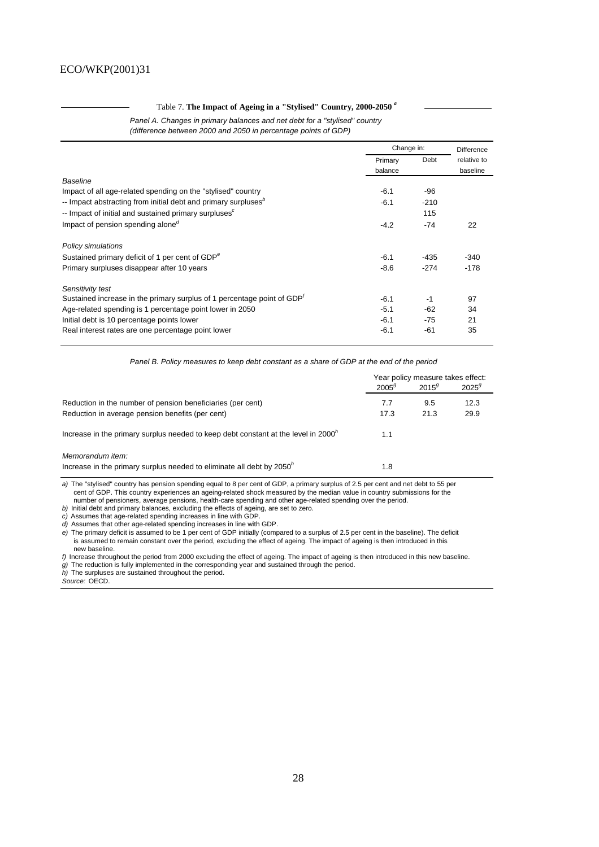#### Table 7. **The Impact of Ageing in a "Stylised" Country, 2000-2050** *<sup>a</sup>*

#### Panel A. Changes in primary balances and net debt for a "stylised" country (difference between 2000 and 2050 in percentage points of GDP)

|                                                                                     | Change in: | <b>Difference</b> |             |
|-------------------------------------------------------------------------------------|------------|-------------------|-------------|
|                                                                                     | Primary    | Debt              | relative to |
|                                                                                     | balance    |                   | baseline    |
| Baseline                                                                            |            |                   |             |
| Impact of all age-related spending on the "stylised" country                        | $-6.1$     | $-96$             |             |
| -- Impact abstracting from initial debt and primary surpluses <sup>b</sup>          | $-6.1$     | $-210$            |             |
| -- Impact of initial and sustained primary surpluses <sup>c</sup>                   |            | 115               |             |
| Impact of pension spending alone <sup>d</sup>                                       | $-4.2$     | $-74$             | 22          |
| Policy simulations                                                                  |            |                   |             |
| Sustained primary deficit of 1 per cent of GDP <sup>e</sup>                         | $-6.1$     | $-435$            | $-340$      |
| Primary surpluses disappear after 10 years                                          | $-8.6$     | $-274$            | $-178$      |
| Sensitivity test                                                                    |            |                   |             |
| Sustained increase in the primary surplus of 1 percentage point of GDP <sup>T</sup> | $-6.1$     | $-1$              | 97          |
| Age-related spending is 1 percentage point lower in 2050                            | $-5.1$     | $-62$             | 34          |
| Initial debt is 10 percentage points lower                                          | $-6.1$     | $-75$             | 21          |
| Real interest rates are one percentage point lower                                  | $-6.1$     | -61               | 35          |

Panel B. Policy measures to keep debt constant as a share of GDP at the end of the period

|                                                                                                |            | Year policy measure takes effect: |            |
|------------------------------------------------------------------------------------------------|------------|-----------------------------------|------------|
|                                                                                                | $2005^{9}$ | $2015^{9}$                        | $2025^{9}$ |
| Reduction in the number of pension beneficiaries (per cent)                                    | 7.7        | 9.5                               | 12.3       |
| Reduction in average pension benefits (per cent)                                               | 17.3       | 21.3                              | 29.9       |
| Increase in the primary surplus needed to keep debt constant at the level in 2000 <sup>n</sup> | 1.1        |                                   |            |
| Memorandum item:                                                                               |            |                                   |            |
| Increase in the primary surplus needed to eliminate all debt by 2050 <sup>h</sup>              | 1.8        |                                   |            |

a) The "stylised" country has pension spending equal to 8 per cent of GDP, a primary surplus of 2.5 per cent and net debt to 55 per cent of GDP. This country experiences an ageing-related shock measured by the median value in country submissions for the number of pensioners, average pensions, health-care spending and other age-related spending over the period. b) Initial debt and primary balances, excluding the effects of ageing, are set to zero.

c) Assumes that age-related spending increases in line with GDP.

d) Assumes that other age-related spending increases in line with GDP.

e) The primary deficit is assumed to be 1 per cent of GDP initially (compared to a surplus of 2.5 per cent in the baseline). The deficit is assumed to remain constant over the period, excluding the effect of ageing. The impact of ageing is then introduced in this new baseline.

f) Increase throughout the period from 2000 excluding the effect of ageing. The impact of ageing is then introduced in this new baseline.

g) The reduction is fully implemented in the corresponding year and sustained through the period.

 $h$ ) The surpluses are sustained throughout the period.

Source: OECD.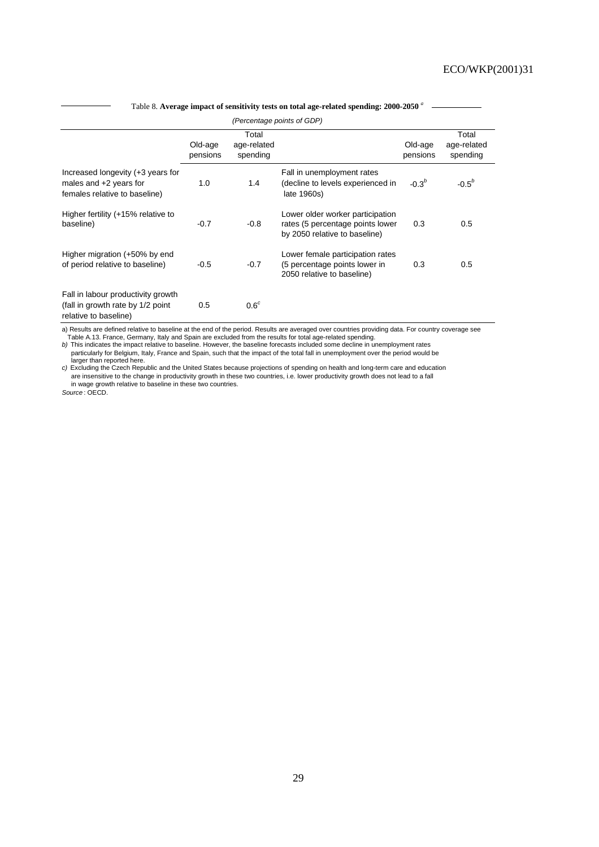|                                                                                                  |                     |                                  | (Percentage points of GDP)                                                                            |                     |                                  |
|--------------------------------------------------------------------------------------------------|---------------------|----------------------------------|-------------------------------------------------------------------------------------------------------|---------------------|----------------------------------|
|                                                                                                  | Old-age<br>pensions | Total<br>age-related<br>spending |                                                                                                       | Old-age<br>pensions | Total<br>age-related<br>spending |
| Increased longevity (+3 years for<br>males and +2 years for<br>females relative to baseline)     | 1.0                 | 1.4                              | Fall in unemployment rates<br>(decline to levels experienced in<br>late 1960s)                        | $-0.3^{b}$          | $-0.5^{b}$                       |
| Higher fertility (+15% relative to<br>baseline)                                                  | $-0.7$              | $-0.8$                           | Lower older worker participation<br>rates (5 percentage points lower<br>by 2050 relative to baseline) | 0.3                 | 0.5                              |
| Higher migration (+50% by end<br>of period relative to baseline)                                 | $-0.5$              | $-0.7$                           | Lower female participation rates<br>(5 percentage points lower in<br>2050 relative to baseline)       | 0.3                 | 0.5                              |
| Fall in labour productivity growth<br>(fall in growth rate by 1/2 point<br>relative to baseline) | 0.5                 | 0.6 <sup>c</sup>                 |                                                                                                       |                     |                                  |

#### Table 8. **Average impact of sensitivity tests on total age-related spending: 2000-2050** *<sup>a</sup>*  $\overline{a}$

a) Results are defined relative to baseline at the end of the period. Results are averaged over countries providing data. For country coverage see<br>Table A.13. France, Germany, Italy and Spain are excluded from the results

particularly for Belgium, Italy, France and Spain, such that the impact of the total fall in unemployment over the period would be larger than reported here.

c) Excluding the Czech Republic and the United States because projections of spending on health and long-term care and education are insensitive to the change in productivity growth in these two countries, i.e. lower productivity growth does not lead to a fall in wage growth relative to baseline in these two countries.

Source : OECD.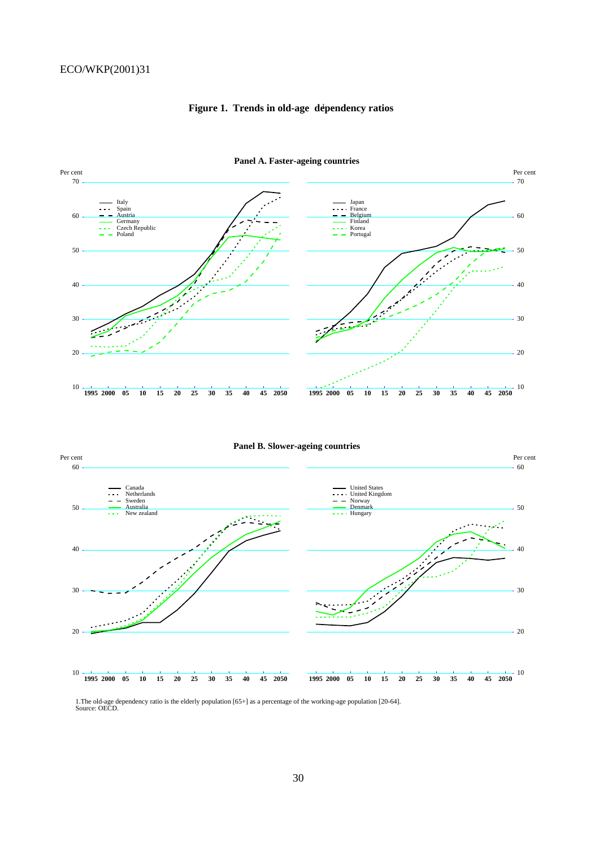

#### **Figure 1. Trends in old-age dependency ratios** 1

**Panel A. Faster-ageing countries**





1.The old-age dependency ratio is the elderly population [65+] as a percentage of the working-age population [20-64]. Source: OECD.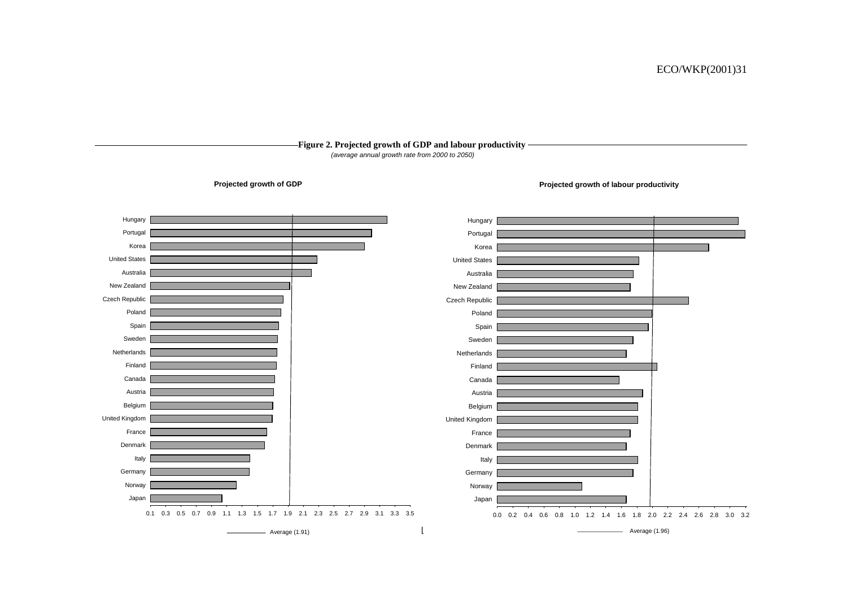

 **Figure 2. Projected growth of GDP and labour productivity** (average annual growth rate from 2000 to 2050)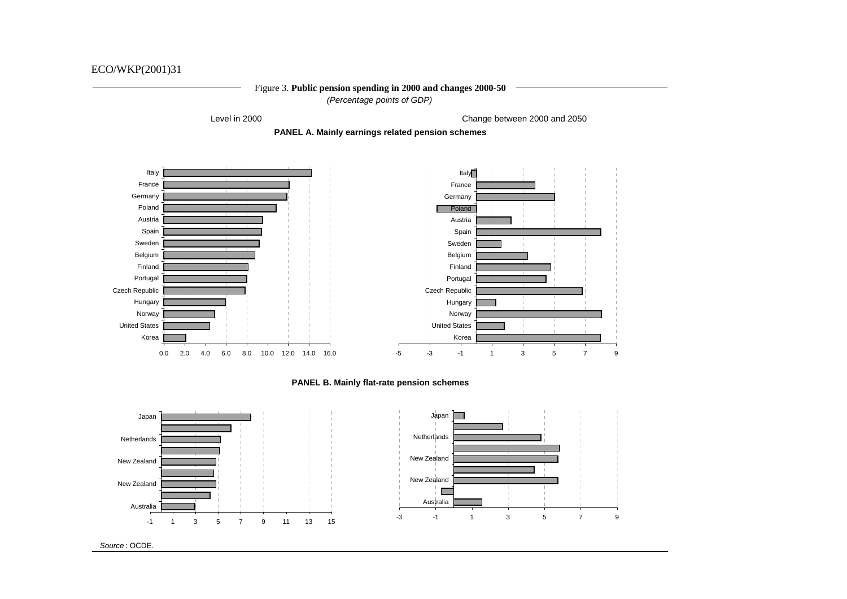





Source : OCDE.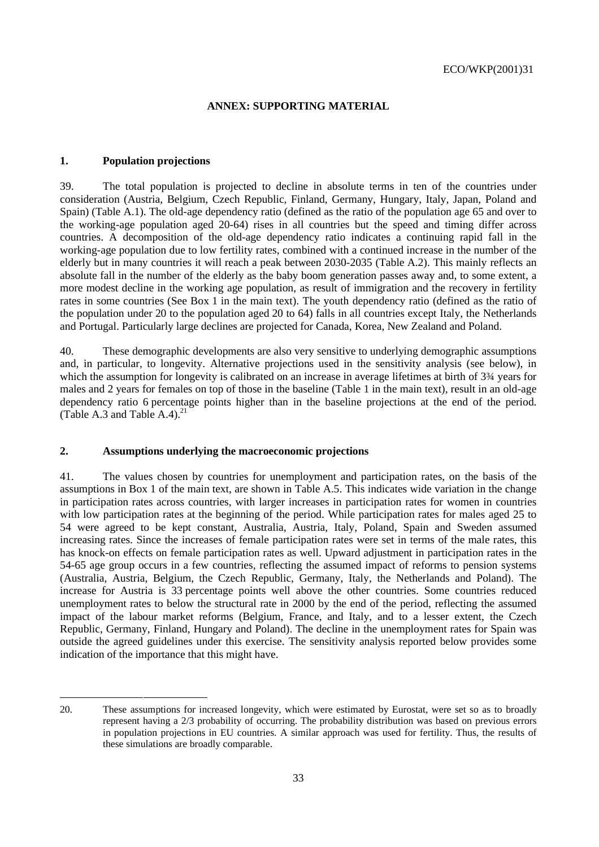### **ANNEX: SUPPORTING MATERIAL**

#### **1. Population projections**

1

39. The total population is projected to decline in absolute terms in ten of the countries under consideration (Austria, Belgium, Czech Republic, Finland, Germany, Hungary, Italy, Japan, Poland and Spain) (Table A.1). The old-age dependency ratio (defined as the ratio of the population age 65 and over to the working-age population aged 20-64) rises in all countries but the speed and timing differ across countries. A decomposition of the old-age dependency ratio indicates a continuing rapid fall in the working-age population due to low fertility rates, combined with a continued increase in the number of the elderly but in many countries it will reach a peak between 2030-2035 (Table A.2). This mainly reflects an absolute fall in the number of the elderly as the baby boom generation passes away and, to some extent, a more modest decline in the working age population, as result of immigration and the recovery in fertility rates in some countries (See Box 1 in the main text). The youth dependency ratio (defined as the ratio of the population under 20 to the population aged 20 to 64) falls in all countries except Italy, the Netherlands and Portugal. Particularly large declines are projected for Canada, Korea, New Zealand and Poland.

40. These demographic developments are also very sensitive to underlying demographic assumptions and, in particular, to longevity. Alternative projections used in the sensitivity analysis (see below), in which the assumption for longevity is calibrated on an increase in average lifetimes at birth of  $3\frac{3}{4}$  years for males and 2 years for females on top of those in the baseline (Table 1 in the main text), result in an old-age dependency ratio 6 percentage points higher than in the baseline projections at the end of the period. (Table A.3 and Table A.4). $^{21}$ 

#### **2. Assumptions underlying the macroeconomic projections**

41. The values chosen by countries for unemployment and participation rates, on the basis of the assumptions in Box 1 of the main text, are shown in Table A.5. This indicates wide variation in the change in participation rates across countries, with larger increases in participation rates for women in countries with low participation rates at the beginning of the period. While participation rates for males aged 25 to 54 were agreed to be kept constant, Australia, Austria, Italy, Poland, Spain and Sweden assumed increasing rates. Since the increases of female participation rates were set in terms of the male rates, this has knock-on effects on female participation rates as well. Upward adjustment in participation rates in the 54-65 age group occurs in a few countries, reflecting the assumed impact of reforms to pension systems (Australia, Austria, Belgium, the Czech Republic, Germany, Italy, the Netherlands and Poland). The increase for Austria is 33 percentage points well above the other countries. Some countries reduced unemployment rates to below the structural rate in 2000 by the end of the period, reflecting the assumed impact of the labour market reforms (Belgium, France, and Italy, and to a lesser extent, the Czech Republic, Germany, Finland, Hungary and Poland). The decline in the unemployment rates for Spain was outside the agreed guidelines under this exercise. The sensitivity analysis reported below provides some indication of the importance that this might have.

<sup>20.</sup> These assumptions for increased longevity, which were estimated by Eurostat, were set so as to broadly represent having a 2/3 probability of occurring. The probability distribution was based on previous errors in population projections in EU countries. A similar approach was used for fertility. Thus, the results of these simulations are broadly comparable.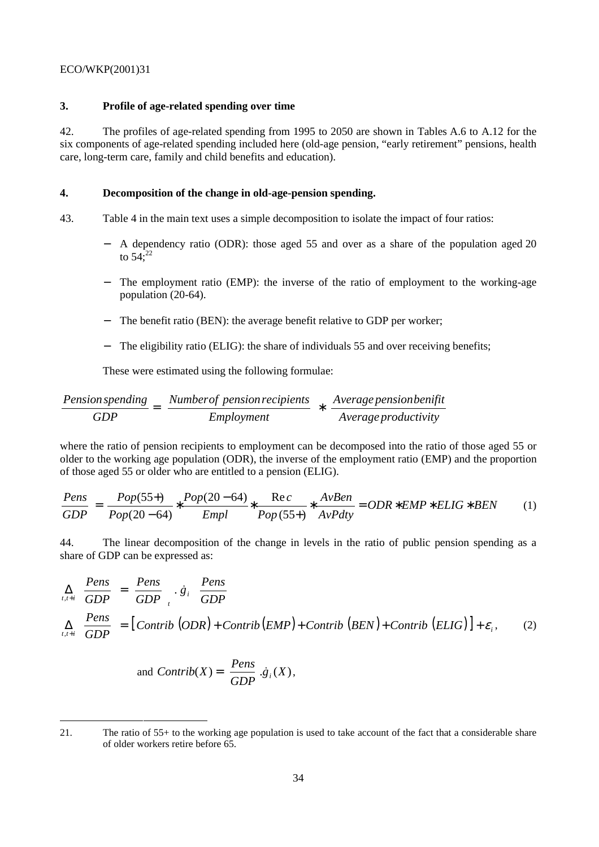## **3. Profile of age-related spending over time**

42. The profiles of age-related spending from 1995 to 2050 are shown in Tables A.6 to A.12 for the six components of age-related spending included here (old-age pension, "early retirement" pensions, health care, long-term care, family and child benefits and education).

## **4. Decomposition of the change in old-age-pension spending.**

- 43. Table 4 in the main text uses a simple decomposition to isolate the impact of four ratios:
	- − A dependency ratio (ODR): those aged 55 and over as a share of the population aged 20 to  $54^{22}$
	- The employment ratio (EMP): the inverse of the ratio of employment to the working-age population (20-64).
	- The benefit ratio (BEN): the average benefit relative to GDP per worker;
	- The eligibility ratio (ELIG): the share of individuals 55 and over receiving benefits;

These were estimated using the following formulae:

$$
\frac{Pension spending}{GDP} = \left(\frac{Numberof pension recipients}{Employment}\right) * \left(\frac{Average pensionbenifit}{Average productivity}\right)
$$

where the ratio of pension recipients to employment can be decomposed into the ratio of those aged 55 or older to the working age population (ODR), the inverse of the employment ratio (EMP) and the proportion of those aged 55 or older who are entitled to a pension (ELIG).

$$
\frac{Pens}{GDP} = \frac{Pop(55+)}{Pop(20-64)} * \frac{Pop(20-64)}{Empl} * \frac{Rec}{Pop(55+)} * \frac{AvBen}{AvPdty} = ODR * EMP * ELIG * BEN
$$
 (1)

44. The linear decomposition of the change in levels in the ratio of public pension spending as a share of GDP can be expressed as:

$$
\Delta \left( \frac{Pens}{GDP} \right) = \left( \frac{Pens}{GDP} \right), \ \dot{g}_i \left( \frac{Pens}{GDP} \right)
$$
\n
$$
\Delta \left( \frac{Pens}{GDP} \right) = \left[ \text{Contrib} \left( ODR \right) + \text{Contrib} \left( EMP \right) + \text{Contrib} \left( BEN \right) + \text{Contrib} \left( ELIG \right) \right] + \varepsilon_i, \tag{2}
$$
\n
$$
\text{and } \text{Contrib}(X) = \left( \frac{Pens}{GDP} \right) \dot{g}_i(X),
$$

<sup>-</sup>21. The ratio of 55+ to the working age population is used to take account of the fact that a considerable share of older workers retire before 65.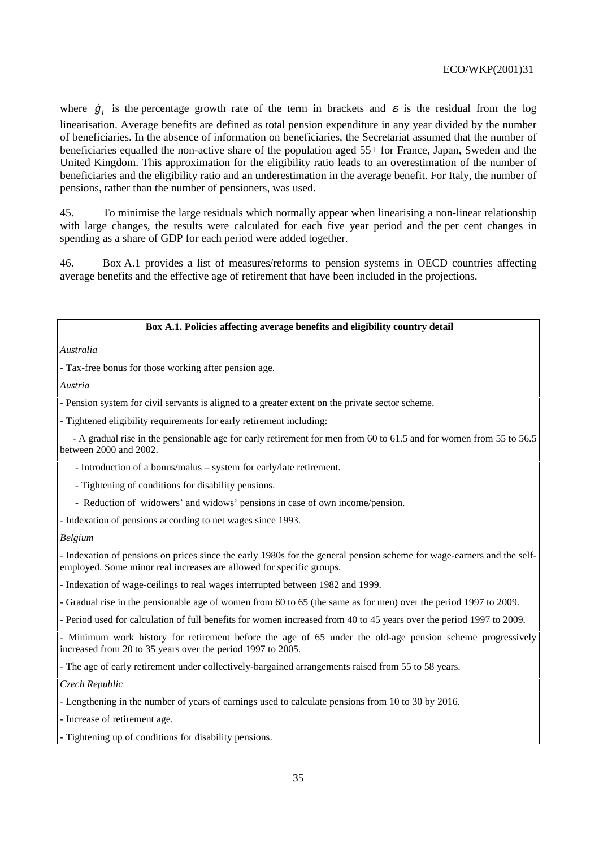where  $\dot{g}_i$  is the percentage growth rate of the term in brackets and  $\varepsilon_i$  is the residual from the log linearisation. Average benefits are defined as total pension expenditure in any year divided by the number of beneficiaries. In the absence of information on beneficiaries, the Secretariat assumed that the number of beneficiaries equalled the non-active share of the population aged 55+ for France, Japan, Sweden and the United Kingdom. This approximation for the eligibility ratio leads to an overestimation of the number of beneficiaries and the eligibility ratio and an underestimation in the average benefit. For Italy, the number of pensions, rather than the number of pensioners, was used.

45. To minimise the large residuals which normally appear when linearising a non-linear relationship with large changes, the results were calculated for each five year period and the per cent changes in spending as a share of GDP for each period were added together.

46. Box A.1 provides a list of measures/reforms to pension systems in OECD countries affecting average benefits and the effective age of retirement that have been included in the projections.

#### **Box A.1. Policies affecting average benefits and eligibility country detail**

*Australia*

- Tax-free bonus for those working after pension age.

*Austria*

- Pension system for civil servants is aligned to a greater extent on the private sector scheme.

- Tightened eligibility requirements for early retirement including:

 - A gradual rise in the pensionable age for early retirement for men from 60 to 61.5 and for women from 55 to 56.5 between 2000 and 2002.

- Introduction of a bonus/malus – system for early/late retirement.

- Tightening of conditions for disability pensions.

- Reduction of widowers' and widows' pensions in case of own income/pension.

- Indexation of pensions according to net wages since 1993.

*Belgium*

- Indexation of pensions on prices since the early 1980s for the general pension scheme for wage-earners and the selfemployed. Some minor real increases are allowed for specific groups.

- Indexation of wage-ceilings to real wages interrupted between 1982 and 1999.

- Gradual rise in the pensionable age of women from 60 to 65 (the same as for men) over the period 1997 to 2009.

- Period used for calculation of full benefits for women increased from 40 to 45 years over the period 1997 to 2009.

- Minimum work history for retirement before the age of 65 under the old-age pension scheme progressively increased from 20 to 35 years over the period 1997 to 2005.

- The age of early retirement under collectively-bargained arrangements raised from 55 to 58 years.

*Czech Republic*

- Lengthening in the number of years of earnings used to calculate pensions from 10 to 30 by 2016.

- Increase of retirement age.

Tightening up of conditions for disability pensions.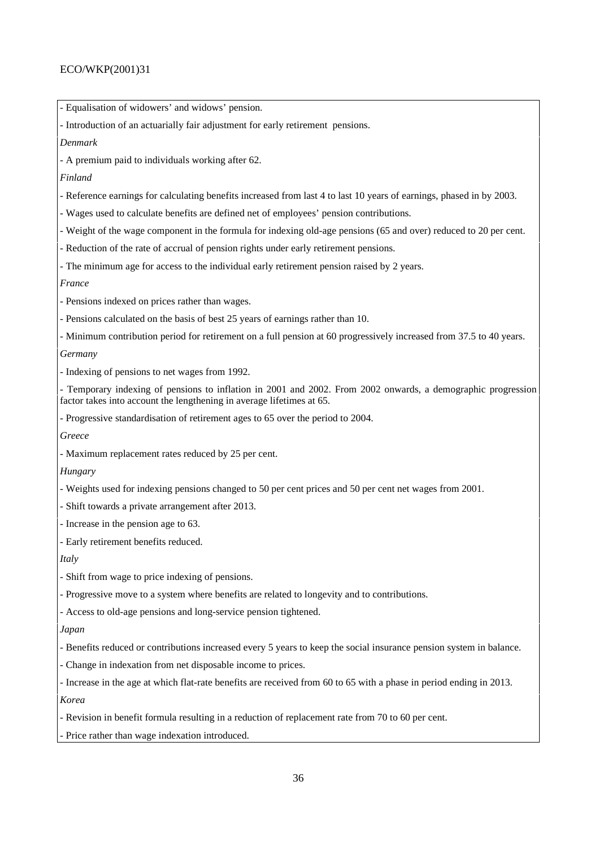| - Equalisation of widowers' and widows' pension.                                                                                                                                      |
|---------------------------------------------------------------------------------------------------------------------------------------------------------------------------------------|
| - Introduction of an actuarially fair adjustment for early retirement pensions.                                                                                                       |
| Denmark                                                                                                                                                                               |
| - A premium paid to individuals working after 62.                                                                                                                                     |
| Finland                                                                                                                                                                               |
| - Reference earnings for calculating benefits increased from last 4 to last 10 years of earnings, phased in by 2003.                                                                  |
| - Wages used to calculate benefits are defined net of employees' pension contributions.                                                                                               |
| - Weight of the wage component in the formula for indexing old-age pensions (65 and over) reduced to 20 per cent.                                                                     |
| - Reduction of the rate of accrual of pension rights under early retirement pensions.                                                                                                 |
| - The minimum age for access to the individual early retirement pension raised by 2 years.                                                                                            |
| France                                                                                                                                                                                |
| - Pensions indexed on prices rather than wages.                                                                                                                                       |
| - Pensions calculated on the basis of best 25 years of earnings rather than 10.                                                                                                       |
| - Minimum contribution period for retirement on a full pension at 60 progressively increased from 37.5 to 40 years.                                                                   |
| Germany                                                                                                                                                                               |
| - Indexing of pensions to net wages from 1992.                                                                                                                                        |
| - Temporary indexing of pensions to inflation in 2001 and 2002. From 2002 onwards, a demographic progression<br>factor takes into account the lengthening in average lifetimes at 65. |
| - Progressive standardisation of retirement ages to 65 over the period to 2004.                                                                                                       |
| Greece                                                                                                                                                                                |
| - Maximum replacement rates reduced by 25 per cent.                                                                                                                                   |
| Hungary                                                                                                                                                                               |
| - Weights used for indexing pensions changed to 50 per cent prices and 50 per cent net wages from 2001.                                                                               |
| - Shift towards a private arrangement after 2013.                                                                                                                                     |
| - Increase in the pension age to 63.                                                                                                                                                  |
| - Early retirement benefits reduced.                                                                                                                                                  |
| <i>Italy</i>                                                                                                                                                                          |
| - Shift from wage to price indexing of pensions.                                                                                                                                      |
| - Progressive move to a system where benefits are related to longevity and to contributions.                                                                                          |
| - Access to old-age pensions and long-service pension tightened.                                                                                                                      |
| Japan                                                                                                                                                                                 |
| - Benefits reduced or contributions increased every 5 years to keep the social insurance pension system in balance.                                                                   |
| - Change in indexation from net disposable income to prices.                                                                                                                          |
| - Increase in the age at which flat-rate benefits are received from 60 to 65 with a phase in period ending in 2013.                                                                   |
| Korea                                                                                                                                                                                 |
| - Revision in benefit formula resulting in a reduction of replacement rate from 70 to 60 per cent.                                                                                    |
| - Price rather than wage indexation introduced.                                                                                                                                       |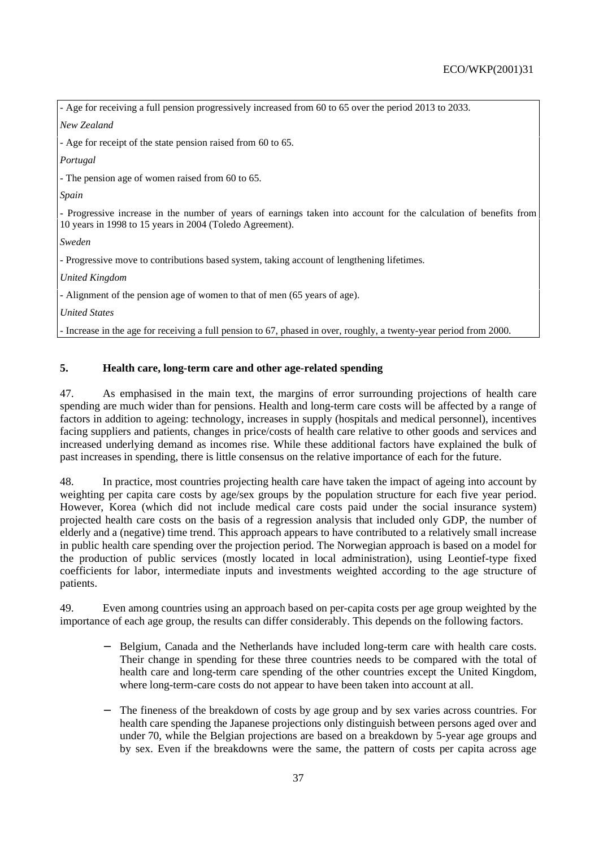- Age for receiving a full pension progressively increased from 60 to 65 over the period 2013 to 2033.

*New Zealand*

- Age for receipt of the state pension raised from 60 to 65.

*Portugal*

- The pension age of women raised from 60 to 65.

*Spain*

- Progressive increase in the number of years of earnings taken into account for the calculation of benefits from 10 years in 1998 to 15 years in 2004 (Toledo Agreement).

*Sweden*

- Progressive move to contributions based system, taking account of lengthening lifetimes.

*United Kingdom*

- Alignment of the pension age of women to that of men (65 years of age).

*United States*

- Increase in the age for receiving a full pension to 67, phased in over, roughly, a twenty-year period from 2000.

## **5. Health care, long-term care and other age-related spending**

47. As emphasised in the main text, the margins of error surrounding projections of health care spending are much wider than for pensions. Health and long-term care costs will be affected by a range of factors in addition to ageing: technology, increases in supply (hospitals and medical personnel), incentives facing suppliers and patients, changes in price/costs of health care relative to other goods and services and increased underlying demand as incomes rise. While these additional factors have explained the bulk of past increases in spending, there is little consensus on the relative importance of each for the future.

48. In practice, most countries projecting health care have taken the impact of ageing into account by weighting per capita care costs by age/sex groups by the population structure for each five year period. However, Korea (which did not include medical care costs paid under the social insurance system) projected health care costs on the basis of a regression analysis that included only GDP, the number of elderly and a (negative) time trend. This approach appears to have contributed to a relatively small increase in public health care spending over the projection period. The Norwegian approach is based on a model for the production of public services (mostly located in local administration), using Leontief-type fixed coefficients for labor, intermediate inputs and investments weighted according to the age structure of patients.

49. Even among countries using an approach based on per-capita costs per age group weighted by the importance of each age group, the results can differ considerably. This depends on the following factors.

- − Belgium, Canada and the Netherlands have included long-term care with health care costs. Their change in spending for these three countries needs to be compared with the total of health care and long-term care spending of the other countries except the United Kingdom, where long-term-care costs do not appear to have been taken into account at all.
- The fineness of the breakdown of costs by age group and by sex varies across countries. For health care spending the Japanese projections only distinguish between persons aged over and under 70, while the Belgian projections are based on a breakdown by 5-year age groups and by sex. Even if the breakdowns were the same, the pattern of costs per capita across age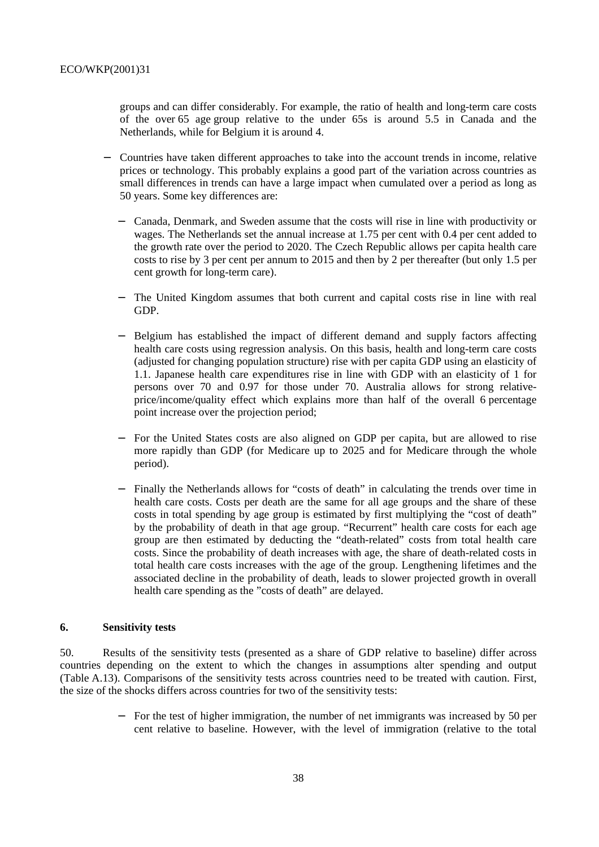groups and can differ considerably. For example, the ratio of health and long-term care costs of the over 65 age group relative to the under 65s is around 5.5 in Canada and the Netherlands, while for Belgium it is around 4.

- − Countries have taken different approaches to take into the account trends in income, relative prices or technology. This probably explains a good part of the variation across countries as small differences in trends can have a large impact when cumulated over a period as long as 50 years. Some key differences are:
	- − Canada, Denmark, and Sweden assume that the costs will rise in line with productivity or wages. The Netherlands set the annual increase at 1.75 per cent with 0.4 per cent added to the growth rate over the period to 2020. The Czech Republic allows per capita health care costs to rise by 3 per cent per annum to 2015 and then by 2 per thereafter (but only 1.5 per cent growth for long-term care).
	- The United Kingdom assumes that both current and capital costs rise in line with real GDP.
	- − Belgium has established the impact of different demand and supply factors affecting health care costs using regression analysis. On this basis, health and long-term care costs (adjusted for changing population structure) rise with per capita GDP using an elasticity of 1.1. Japanese health care expenditures rise in line with GDP with an elasticity of 1 for persons over 70 and 0.97 for those under 70. Australia allows for strong relativeprice/income/quality effect which explains more than half of the overall 6 percentage point increase over the projection period;
	- For the United States costs are also aligned on GDP per capita, but are allowed to rise more rapidly than GDP (for Medicare up to 2025 and for Medicare through the whole period).
	- Finally the Netherlands allows for "costs of death" in calculating the trends over time in health care costs. Costs per death are the same for all age groups and the share of these costs in total spending by age group is estimated by first multiplying the "cost of death" by the probability of death in that age group. "Recurrent" health care costs for each age group are then estimated by deducting the "death-related" costs from total health care costs. Since the probability of death increases with age, the share of death-related costs in total health care costs increases with the age of the group. Lengthening lifetimes and the associated decline in the probability of death, leads to slower projected growth in overall health care spending as the "costs of death" are delayed.

## **6. Sensitivity tests**

50. Results of the sensitivity tests (presented as a share of GDP relative to baseline) differ across countries depending on the extent to which the changes in assumptions alter spending and output (Table A.13). Comparisons of the sensitivity tests across countries need to be treated with caution. First, the size of the shocks differs across countries for two of the sensitivity tests:

> − For the test of higher immigration, the number of net immigrants was increased by 50 per cent relative to baseline. However, with the level of immigration (relative to the total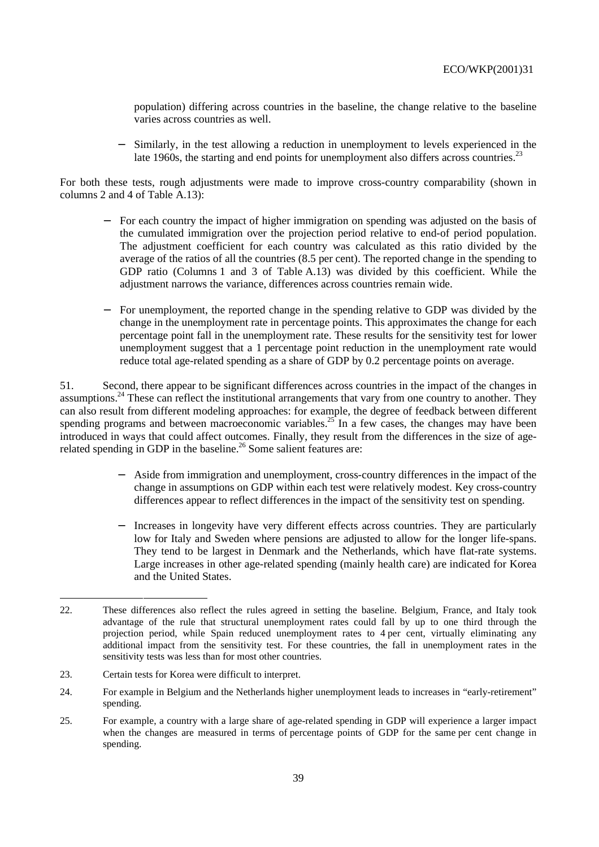population) differing across countries in the baseline, the change relative to the baseline varies across countries as well.

Similarly, in the test allowing a reduction in unemployment to levels experienced in the late 1960s, the starting and end points for unemployment also differs across countries.<sup>23</sup>

For both these tests, rough adjustments were made to improve cross-country comparability (shown in columns 2 and 4 of Table A.13):

- For each country the impact of higher immigration on spending was adjusted on the basis of the cumulated immigration over the projection period relative to end-of period population. The adjustment coefficient for each country was calculated as this ratio divided by the average of the ratios of all the countries (8.5 per cent). The reported change in the spending to GDP ratio (Columns 1 and 3 of Table A.13) was divided by this coefficient. While the adjustment narrows the variance, differences across countries remain wide.
- For unemployment, the reported change in the spending relative to GDP was divided by the change in the unemployment rate in percentage points. This approximates the change for each percentage point fall in the unemployment rate. These results for the sensitivity test for lower unemployment suggest that a 1 percentage point reduction in the unemployment rate would reduce total age-related spending as a share of GDP by 0.2 percentage points on average.

51. Second, there appear to be significant differences across countries in the impact of the changes in assumptions.<sup>24</sup> These can reflect the institutional arrangements that vary from one country to another. They can also result from different modeling approaches: for example, the degree of feedback between different spending programs and between macroeconomic variables.<sup>25</sup> In a few cases, the changes may have been introduced in ways that could affect outcomes. Finally, they result from the differences in the size of agerelated spending in GDP in the baseline.<sup>26</sup> Some salient features are:

- − Aside from immigration and unemployment, cross-country differences in the impact of the change in assumptions on GDP within each test were relatively modest. Key cross-country differences appear to reflect differences in the impact of the sensitivity test on spending.
- Increases in longevity have very different effects across countries. They are particularly low for Italy and Sweden where pensions are adjusted to allow for the longer life-spans. They tend to be largest in Denmark and the Netherlands, which have flat-rate systems. Large increases in other age-related spending (mainly health care) are indicated for Korea and the United States.

-

<sup>22.</sup> These differences also reflect the rules agreed in setting the baseline. Belgium, France, and Italy took advantage of the rule that structural unemployment rates could fall by up to one third through the projection period, while Spain reduced unemployment rates to 4 per cent, virtually eliminating any additional impact from the sensitivity test. For these countries, the fall in unemployment rates in the sensitivity tests was less than for most other countries.

<sup>23.</sup> Certain tests for Korea were difficult to interpret.

<sup>24.</sup> For example in Belgium and the Netherlands higher unemployment leads to increases in "early-retirement" spending.

<sup>25.</sup> For example, a country with a large share of age-related spending in GDP will experience a larger impact when the changes are measured in terms of percentage points of GDP for the same per cent change in spending.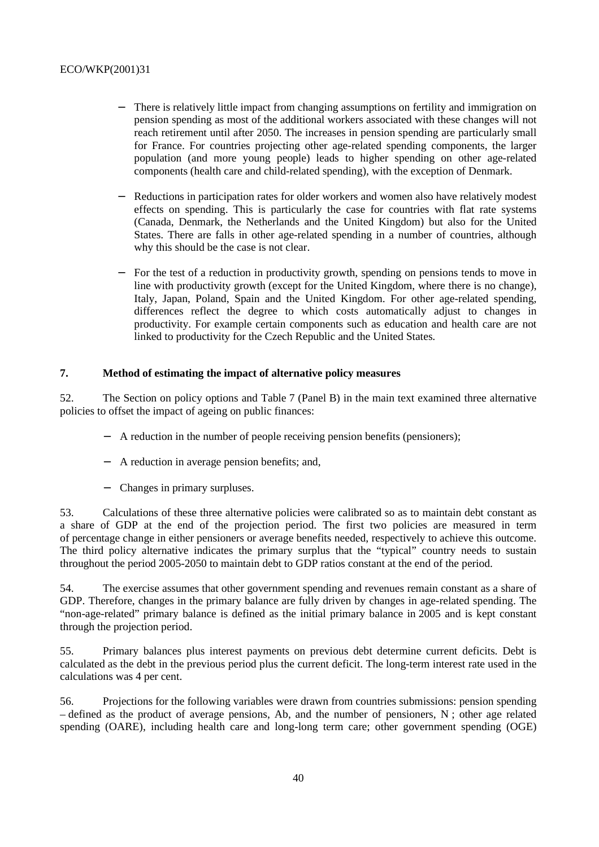- There is relatively little impact from changing assumptions on fertility and immigration on pension spending as most of the additional workers associated with these changes will not reach retirement until after 2050. The increases in pension spending are particularly small for France. For countries projecting other age-related spending components, the larger population (and more young people) leads to higher spending on other age-related components (health care and child-related spending), with the exception of Denmark.
- Reductions in participation rates for older workers and women also have relatively modest effects on spending. This is particularly the case for countries with flat rate systems (Canada, Denmark, the Netherlands and the United Kingdom) but also for the United States. There are falls in other age-related spending in a number of countries, although why this should be the case is not clear.
- − For the test of a reduction in productivity growth, spending on pensions tends to move in line with productivity growth (except for the United Kingdom, where there is no change), Italy, Japan, Poland, Spain and the United Kingdom. For other age-related spending, differences reflect the degree to which costs automatically adjust to changes in productivity. For example certain components such as education and health care are not linked to productivity for the Czech Republic and the United States.

## **7. Method of estimating the impact of alternative policy measures**

52. The Section on policy options and Table 7 (Panel B) in the main text examined three alternative policies to offset the impact of ageing on public finances:

- − A reduction in the number of people receiving pension benefits (pensioners);
- − A reduction in average pension benefits; and,
- − Changes in primary surpluses.

53. Calculations of these three alternative policies were calibrated so as to maintain debt constant as a share of GDP at the end of the projection period. The first two policies are measured in term of percentage change in either pensioners or average benefits needed, respectively to achieve this outcome. The third policy alternative indicates the primary surplus that the "typical" country needs to sustain throughout the period 2005-2050 to maintain debt to GDP ratios constant at the end of the period.

54. The exercise assumes that other government spending and revenues remain constant as a share of GDP. Therefore, changes in the primary balance are fully driven by changes in age-related spending. The "non-age-related" primary balance is defined as the initial primary balance in 2005 and is kept constant through the projection period.

55. Primary balances plus interest payments on previous debt determine current deficits. Debt is calculated as the debt in the previous period plus the current deficit. The long-term interest rate used in the calculations was 4 per cent.

56. Projections for the following variables were drawn from countries submissions: pension spending  $-$  defined as the product of average pensions, Ab, and the number of pensioners, N; other age related spending (OARE), including health care and long-long term care; other government spending (OGE)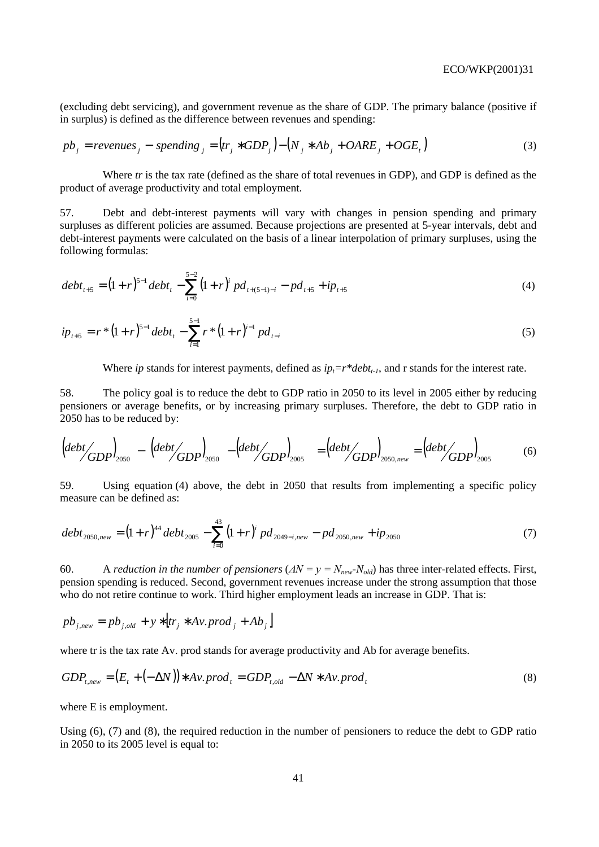(excluding debt servicing), and government revenue as the share of GDP. The primary balance (positive if in surplus) is defined as the difference between revenues and spending:

$$
pb_j = revenues_j - spending_j = (tr_j * GDP_j) - (N_j * Ab_j + OARE_j + OGE_t)
$$
\n(3)

Where *tr* is the tax rate (defined as the share of total revenues in GDP), and GDP is defined as the product of average productivity and total employment.

57. Debt and debt-interest payments will vary with changes in pension spending and primary surpluses as different policies are assumed. Because projections are presented at 5-year intervals, debt and debt-interest payments were calculated on the basis of a linear interpolation of primary surpluses, using the following formulas:

$$
debt_{t+5} = (1+r)^{5-1}debt_t - \sum_{i=0}^{5-2} (1+r)^i pd_{t+(5-1)-i} - pd_{t+5} + ip_{t+5}
$$
\n<sup>(4)</sup>

$$
ip_{t+5} = r^{*}(1+r)^{5-1}debt_{t} - \sum_{i=1}^{5-1} r^{*}(1+r)^{i-1}pd_{t-i}
$$
\n(5)

Where *ip* stands for interest payments, defined as  $ip_t = r^*debt_{t-1}$ , and r stands for the interest rate.

58. The policy goal is to reduce the debt to GDP ratio in 2050 to its level in 2005 either by reducing pensioners or average benefits, or by increasing primary surpluses. Therefore, the debt to GDP ratio in 2050 has to be reduced by:

$$
\left(\frac{debt}{GDP}\right)_{2050} - \left[\left(\frac{debt}{GDP}\right)_{2050} - \left(\frac{debt}{GDP}\right)_{2005}\right] = \left(\frac{debt}{GDP}\right)_{2050, new} = \left(\frac{debt}{GDP}\right)_{2005} \tag{6}
$$

59. Using equation (4) above, the debt in 2050 that results from implementing a specific policy measure can be defined as:

$$
debt_{2050,new} = (1+r)^{44}debt_{2005} - \sum_{i=0}^{43} (1+r)^{i}pd_{2049-i,new} - pd_{2050,new} + ip_{2050}
$$
\n(7)

60. A *reduction in the number of pensioners*  $(\Delta N = y = N_{new} - N_{old})$  has three inter-related effects. First, pension spending is reduced. Second, government revenues increase under the strong assumption that those who do not retire continue to work. Third higher employment leads an increase in GDP. That is:

$$
pb_{j,new} = pb_{j,old} + y * [tr_j * Av, prod_j + Ab_j]
$$

where tr is the tax rate Av. prod stands for average productivity and Ab for average benefits.

$$
GDP_{t,new} = (E_t + (-\Delta N)) * Av.prod_t = GDP_{t,old} - \Delta N * Av.prod_t
$$
\n
$$
(8)
$$

where E is employment.

Using (6), (7) and (8), the required reduction in the number of pensioners to reduce the debt to GDP ratio in 2050 to its 2005 level is equal to: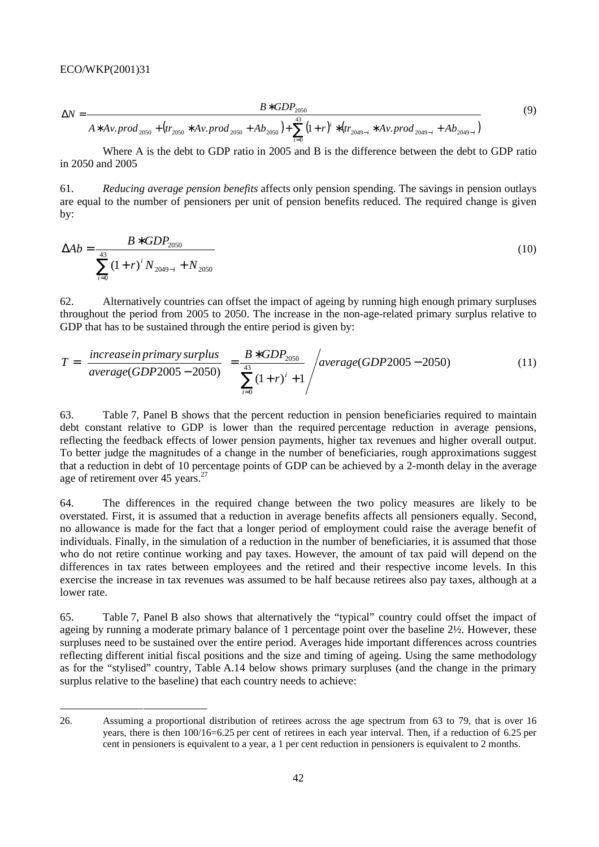$$
\Delta N = \frac{B * GDP_{2050}}{A * Av.prod_{2050} + (tr_{2050} * Av.prod_{2050} + Ab_{2050}) + \sum_{i=0}^{43} (1+r)^i * (tr_{2049-i} * Av.prod_{2049-i} + Ab_{2049-i})}
$$
(9)

Where A is the debt to GDP ratio in 2005 and B is the difference between the debt to GDP ratio in 2050 and 2005

61. *Reducing average pension benefits* affects only pension spending. The savings in pension outlays are equal to the number of pensioners per unit of pension benefits reduced. The required change is given by:

$$
\Delta A b = \frac{B * GDP_{2050}}{\sum_{i=0}^{43} (1+r)^i N_{2049-i} + N_{2050}}
$$
(10)

62. Alternatively countries can offset the impact of ageing by running high enough primary surpluses throughout the period from 2005 to 2050. The increase in the non-age-related primary surplus relative to GDP that has to be sustained through the entire period is given by:

$$
T = \left(\frac{\text{increase in primary surplus}}{\text{average(GDP2005} - 2050)}\right) = \frac{B * GDP_{2050}}{\sum_{i=0}^{43} (1+r)^i + 1} / \text{average(GDP2005 - 2050)}\tag{11}
$$

63. Table 7, Panel B shows that the percent reduction in pension beneficiaries required to maintain debt constant relative to GDP is lower than the required percentage reduction in average pensions, reflecting the feedback effects of lower pension payments, higher tax revenues and higher overall output. To better judge the magnitudes of a change in the number of beneficiaries, rough approximations suggest that a reduction in debt of 10 percentage points of GDP can be achieved by a 2-month delay in the average age of retirement over 45 years.<sup>27</sup>

64. The differences in the required change between the two policy measures are likely to be overstated. First, it is assumed that a reduction in average benefits affects all pensioners equally. Second, no allowance is made for the fact that a longer period of employment could raise the average benefit of individuals. Finally, in the simulation of a reduction in the number of beneficiaries, it is assumed that those who do not retire continue working and pay taxes. However, the amount of tax paid will depend on the differences in tax rates between employees and the retired and their respective income levels. In this exercise the increase in tax revenues was assumed to be half because retirees also pay taxes, although at a lower rate.

65. Table 7, Panel B also shows that alternatively the "typical" country could offset the impact of ageing by running a moderate primary balance of 1 percentage point over the baseline 2½. However, these surpluses need to be sustained over the entire period. Averages hide important differences across countries reflecting different initial fiscal positions and the size and timing of ageing. Using the same methodology as for the "stylised" country, Table A.14 below shows primary surpluses (and the change in the primary surplus relative to the baseline) that each country needs to achieve:

<sup>-</sup>26. Assuming a proportional distribution of retirees across the age spectrum from 63 to 79, that is over 16 years, there is then 100/16=6.25 per cent of retirees in each year interval. Then, if a reduction of 6.25 per cent in pensioners is equivalent to a year, a 1 per cent reduction in pensioners is equivalent to 2 months.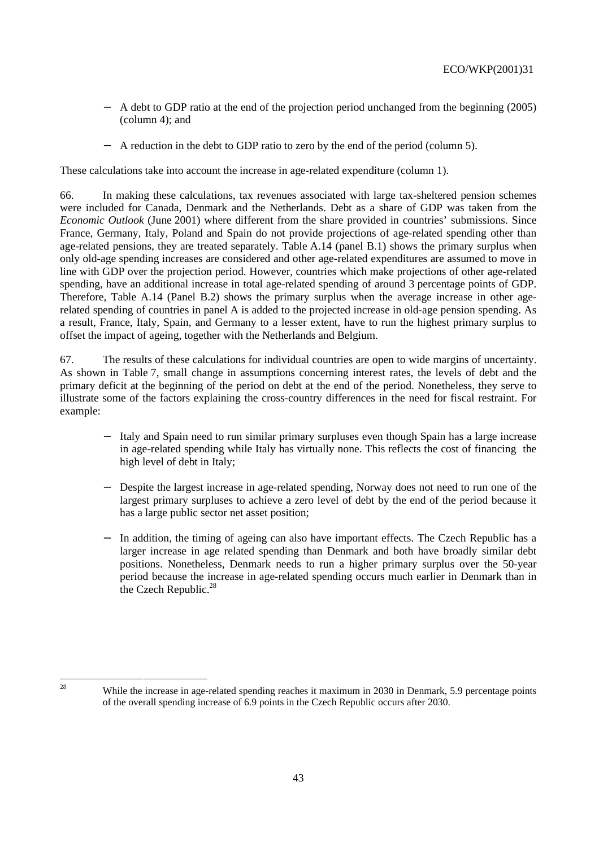- − A debt to GDP ratio at the end of the projection period unchanged from the beginning (2005) (column 4); and
- − A reduction in the debt to GDP ratio to zero by the end of the period (column 5).

These calculations take into account the increase in age-related expenditure (column 1).

66. In making these calculations, tax revenues associated with large tax-sheltered pension schemes were included for Canada, Denmark and the Netherlands. Debt as a share of GDP was taken from the *Economic Outlook* (June 2001) where different from the share provided in countries' submissions. Since France, Germany, Italy, Poland and Spain do not provide projections of age-related spending other than age-related pensions, they are treated separately. Table A.14 (panel B.1) shows the primary surplus when only old-age spending increases are considered and other age-related expenditures are assumed to move in line with GDP over the projection period. However, countries which make projections of other age-related spending, have an additional increase in total age-related spending of around 3 percentage points of GDP. Therefore, Table A.14 (Panel B.2) shows the primary surplus when the average increase in other agerelated spending of countries in panel A is added to the projected increase in old-age pension spending. As a result, France, Italy, Spain, and Germany to a lesser extent, have to run the highest primary surplus to offset the impact of ageing, together with the Netherlands and Belgium.

67. The results of these calculations for individual countries are open to wide margins of uncertainty. As shown in Table 7, small change in assumptions concerning interest rates, the levels of debt and the primary deficit at the beginning of the period on debt at the end of the period. Nonetheless, they serve to illustrate some of the factors explaining the cross-country differences in the need for fiscal restraint. For example:

- − Italy and Spain need to run similar primary surpluses even though Spain has a large increase in age-related spending while Italy has virtually none. This reflects the cost of financing the high level of debt in Italy;
- − Despite the largest increase in age-related spending, Norway does not need to run one of the largest primary surpluses to achieve a zero level of debt by the end of the period because it has a large public sector net asset position;
- In addition, the timing of ageing can also have important effects. The Czech Republic has a larger increase in age related spending than Denmark and both have broadly similar debt positions. Nonetheless, Denmark needs to run a higher primary surplus over the 50-year period because the increase in age-related spending occurs much earlier in Denmark than in the Czech Republic. $28$

<sup>&</sup>lt;sup>28</sup> While the increase in age-related spending reaches it maximum in 2030 in Denmark, 5.9 percentage points of the overall spending increase of 6.9 points in the Czech Republic occurs after 2030.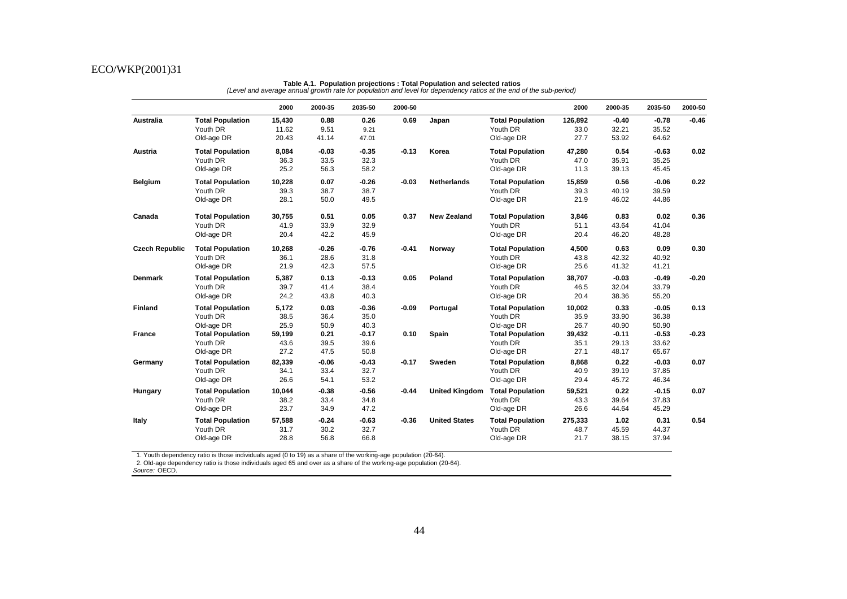|                       |                                                   | 2000                     | 2000-35                 | 2035-50                 | 2000-50 |                       |                                                   | 2000                    | 2000-35                   | 2035-50                   | 2000-50 |
|-----------------------|---------------------------------------------------|--------------------------|-------------------------|-------------------------|---------|-----------------------|---------------------------------------------------|-------------------------|---------------------------|---------------------------|---------|
| <b>Australia</b>      | <b>Total Population</b><br>Youth DR<br>Old-age DR | 15,430<br>11.62<br>20.43 | 0.88<br>9.51<br>41.14   | 0.26<br>9.21<br>47.01   | 0.69    | Japan                 | <b>Total Population</b><br>Youth DR<br>Old-age DR | 126,892<br>33.0<br>27.7 | $-0.40$<br>32.21<br>53.92 | $-0.78$<br>35.52<br>64.62 | $-0.46$ |
| <b>Austria</b>        | <b>Total Population</b><br>Youth DR<br>Old-age DR | 8.084<br>36.3<br>25.2    | $-0.03$<br>33.5<br>56.3 | $-0.35$<br>32.3<br>58.2 | $-0.13$ | Korea                 | <b>Total Population</b><br>Youth DR<br>Old-age DR | 47.280<br>47.0<br>11.3  | 0.54<br>35.91<br>39.13    | $-0.63$<br>35.25<br>45.45 | 0.02    |
| <b>Belgium</b>        | <b>Total Population</b><br>Youth DR<br>Old-age DR | 10,228<br>39.3<br>28.1   | 0.07<br>38.7<br>50.0    | $-0.26$<br>38.7<br>49.5 | $-0.03$ | <b>Netherlands</b>    | <b>Total Population</b><br>Youth DR<br>Old-age DR | 15,859<br>39.3<br>21.9  | 0.56<br>40.19<br>46.02    | $-0.06$<br>39.59<br>44.86 | 0.22    |
| Canada                | <b>Total Population</b><br>Youth DR<br>Old-age DR | 30,755<br>41.9<br>20.4   | 0.51<br>33.9<br>42.2    | 0.05<br>32.9<br>45.9    | 0.37    | <b>New Zealand</b>    | <b>Total Population</b><br>Youth DR<br>Old-age DR | 3,846<br>51.1<br>20.4   | 0.83<br>43.64<br>46.20    | 0.02<br>41.04<br>48.28    | 0.36    |
| <b>Czech Republic</b> | <b>Total Population</b><br>Youth DR<br>Old-age DR | 10.268<br>36.1<br>21.9   | $-0.26$<br>28.6<br>42.3 | $-0.76$<br>31.8<br>57.5 | $-0.41$ | Norway                | <b>Total Population</b><br>Youth DR<br>Old-age DR | 4,500<br>43.8<br>25.6   | 0.63<br>42.32<br>41.32    | 0.09<br>40.92<br>41.21    | 0.30    |
| <b>Denmark</b>        | <b>Total Population</b><br>Youth DR<br>Old-age DR | 5,387<br>39.7<br>24.2    | 0.13<br>41.4<br>43.8    | $-0.13$<br>38.4<br>40.3 | 0.05    | Poland                | <b>Total Population</b><br>Youth DR<br>Old-age DR | 38,707<br>46.5<br>20.4  | $-0.03$<br>32.04<br>38.36 | $-0.49$<br>33.79<br>55.20 | $-0.20$ |
| <b>Finland</b>        | <b>Total Population</b><br>Youth DR<br>Old-age DR | 5.172<br>38.5<br>25.9    | 0.03<br>36.4<br>50.9    | $-0.36$<br>35.0<br>40.3 | $-0.09$ | Portugal              | <b>Total Population</b><br>Youth DR<br>Old-age DR | 10.002<br>35.9<br>26.7  | 0.33<br>33.90<br>40.90    | $-0.05$<br>36.38<br>50.90 | 0.13    |
| <b>France</b>         | <b>Total Population</b><br>Youth DR<br>Old-age DR | 59,199<br>43.6<br>27.2   | 0.21<br>39.5<br>47.5    | $-0.17$<br>39.6<br>50.8 | 0.10    | Spain                 | <b>Total Population</b><br>Youth DR<br>Old-age DR | 39,432<br>35.1<br>27.1  | $-0.11$<br>29.13<br>48.17 | $-0.53$<br>33.62<br>65.67 | $-0.23$ |
| Germany               | <b>Total Population</b><br>Youth DR<br>Old-age DR | 82,339<br>34.1<br>26.6   | $-0.06$<br>33.4<br>54.1 | $-0.43$<br>32.7<br>53.2 | $-0.17$ | Sweden                | <b>Total Population</b><br>Youth DR<br>Old-age DR | 8,868<br>40.9<br>29.4   | 0.22<br>39.19<br>45.72    | $-0.03$<br>37.85<br>46.34 | 0.07    |
| Hungary               | <b>Total Population</b><br>Youth DR<br>Old-age DR | 10,044<br>38.2<br>23.7   | $-0.38$<br>33.4<br>34.9 | $-0.56$<br>34.8<br>47.2 | $-0.44$ | <b>United Kingdom</b> | <b>Total Population</b><br>Youth DR<br>Old-age DR | 59,521<br>43.3<br>26.6  | 0.22<br>39.64<br>44.64    | $-0.15$<br>37.83<br>45.29 | 0.07    |
| Italy                 | <b>Total Population</b><br>Youth DR<br>Old-age DR | 57.588<br>31.7<br>28.8   | $-0.24$<br>30.2<br>56.8 | $-0.63$<br>32.7<br>66.8 | $-0.36$ | <b>United States</b>  | <b>Total Population</b><br>Youth DR<br>Old-age DR | 275,333<br>48.7<br>21.7 | 1.02<br>45.59<br>38.15    | 0.31<br>44.37<br>37.94    | 0.54    |

## **Table A.1. Population projections : Total Population and selected ratios** (Level and average annual growth rate for population and level for dependency ratios at the end of the sub-period)

1. Youth dependency ratio is those individuals aged (0 to 19) as a share of the working-age population (20-64).

2. Old-age dependency ratio is those individuals aged 65 and over as a share of the working-age population (20-64). Source: OECD.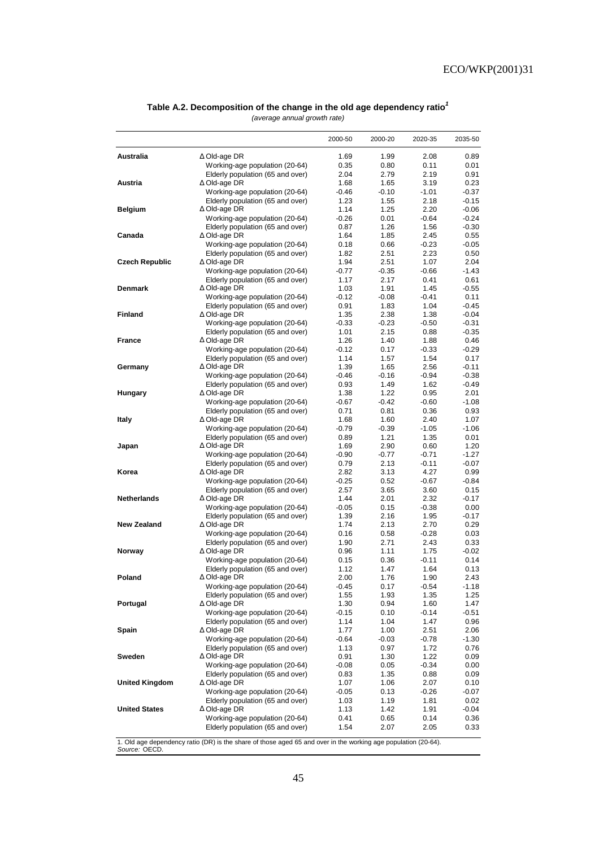# **Table A.2. Decomposition of the change in the old age dependency ratio<sup>1</sup>**

(average annual growth rate)

|                       |                                                         | 2000-50      | 2000-20      | 2020-35      | 2035-50      |
|-----------------------|---------------------------------------------------------|--------------|--------------|--------------|--------------|
| Australia             | $\Delta$ Old-age DR                                     | 1.69         | 1.99         | 2.08         | 0.89         |
|                       | Working-age population (20-64)                          | 0.35         | 0.80         | 0.11         | 0.01         |
|                       | Elderly population (65 and over)                        | 2.04         | 2.79         | 2.19         | 0.91         |
| Austria               | $\triangle$ Old-age DR                                  | 1.68         | 1.65         | 3.19         | 0.23         |
|                       | Working-age population (20-64)                          | $-0.46$      | $-0.10$      | $-1.01$      | $-0.37$      |
|                       | Elderly population (65 and over)                        | 1.23         | 1.55         | 2.18         | $-0.15$      |
| <b>Belgium</b>        | $\triangle$ Old-age DR                                  | 1.14         | 1.25         | 2.20         | $-0.06$      |
|                       | Working-age population (20-64)                          | $-0.26$      | 0.01         | $-0.64$      | $-0.24$      |
|                       | Elderly population (65 and over)                        | 0.87         | 1.26         | 1.56         | $-0.30$      |
| Canada                | $\triangle$ Old-age DR                                  | 1.64         | 1.85         | 2.45         | 0.55         |
|                       | Working-age population (20-64)                          | 0.18         | 0.66         | $-0.23$      | $-0.05$      |
|                       | Elderly population (65 and over)                        | 1.82         | 2.51         | 2.23         | 0.50         |
| <b>Czech Republic</b> | $\Delta$ Old-age DR                                     | 1.94         | 2.51         | 1.07         | 2.04         |
|                       | Working-age population (20-64)                          | $-0.77$      | $-0.35$      | $-0.66$      | $-1.43$      |
|                       | Elderly population (65 and over)                        | 1.17         | 2.17         | 0.41         | 0.61         |
| <b>Denmark</b>        | $\triangle$ Old-age DR                                  | 1.03         | 1.91         | 1.45         | $-0.55$      |
|                       | Working-age population (20-64)                          | $-0.12$      | $-0.08$      | $-0.41$      | 0.11         |
|                       | Elderly population (65 and over)                        | 0.91         | 1.83         | 1.04         | $-0.45$      |
| <b>Finland</b>        | $\Delta$ Old-age DR                                     | 1.35         | 2.38         | 1.38         | $-0.04$      |
|                       | Working-age population (20-64)                          | $-0.33$      | $-0.23$      | $-0.50$      | $-0.31$      |
|                       | Elderly population (65 and over)                        | 1.01         | 2.15         | 0.88         | $-0.35$      |
| <b>France</b>         | $\triangle$ Old-age DR                                  | 1.26         | 1.40         | 1.88         | 0.46         |
|                       | Working-age population (20-64)                          | $-0.12$      | 0.17         | $-0.33$      | $-0.29$      |
|                       | Elderly population (65 and over)                        | 1.14         | 1.57         | 1.54         | 0.17         |
| Germany               | $\triangle$ Old-age DR                                  | 1.39         | 1.65         | 2.56         | $-0.11$      |
|                       | Working-age population (20-64)                          | $-0.46$      | $-0.16$      | $-0.94$      | $-0.38$      |
|                       | Elderly population (65 and over)                        | 0.93         | 1.49         | 1.62         | $-0.49$      |
| Hungary               | $\Delta$ Old-age DR                                     | 1.38         | 1.22         | 0.95         | 2.01         |
|                       | Working-age population (20-64)                          | $-0.67$      | $-0.42$      | $-0.60$      | $-1.08$      |
|                       | Elderly population (65 and over)                        | 0.71         | 0.81         | 0.36         | 0.93         |
| Italy                 | $\triangle$ Old-age DR                                  | 1.68         | 1.60         | 2.40         | 1.07         |
|                       | Working-age population (20-64)                          | $-0.79$      | $-0.39$      | $-1.05$      | $-1.06$      |
|                       | Elderly population (65 and over)                        | 0.89         | 1.21         | 1.35         | 0.01         |
| Japan                 | $\Delta$ Old-age DR                                     | 1.69         | 2.90         | 0.60         | 1.20         |
|                       | Working-age population (20-64)                          | $-0.90$      | $-0.77$      | $-0.71$      | $-1.27$      |
|                       | Elderly population (65 and over)                        | 0.79         | 2.13         | $-0.11$      | $-0.07$      |
| Korea                 | $\triangle$ Old-age DR                                  | 2.82         | 3.13         | 4.27         | 0.99         |
|                       | Working-age population (20-64)                          | $-0.25$      | 0.52         | $-0.67$      | $-0.84$      |
|                       | Elderly population (65 and over)                        | 2.57         | 3.65         | 3.60         | 0.15         |
| Netherlands           | $\triangle$ Old-age DR                                  | 1.44         | 2.01         | 2.32         | $-0.17$      |
|                       | Working-age population (20-64)                          | $-0.05$      | 0.15         | $-0.38$      | 0.00         |
|                       | Elderly population (65 and over)                        | 1.39         | 2.16         | 1.95         | $-0.17$      |
| <b>New Zealand</b>    | $\Delta$ Old-age DR                                     | 1.74         | 2.13         | 2.70         | 0.29         |
|                       |                                                         | 0.16         | 0.58         | $-0.28$      | 0.03         |
|                       | Working-age population (20-64)                          | 1.90         | 2.71         | 2.43         | 0.33         |
| Norway                | Elderly population (65 and over)<br>$\Delta$ Old-age DR | 0.96         | 1.11         | 1.75         | $-0.02$      |
|                       | Working-age population (20-64)                          |              |              |              | 0.14         |
|                       |                                                         | 0.15         | 0.36         | $-0.11$      |              |
| Poland                | Elderly population (65 and over)                        | 1.12<br>2.00 | 1.47<br>1.76 | 1.64<br>1.90 | 0.13<br>2.43 |
|                       | $\Delta$ Old-age DR                                     |              |              |              |              |
|                       | Working-age population (20-64)                          | -0.45        | 0.17         | -0.54        | $-1.18$      |
|                       | Elderly population (65 and over)                        | 1.55         | 1.93         | 1.35         | 1.25         |
| Portugal              | $\Delta$ Old-age DR                                     | 1.30         | 0.94         | 1.60         | 1.47         |
|                       | Working-age population (20-64)                          | $-0.15$      | 0.10         | $-0.14$      | $-0.51$      |
|                       | Elderly population (65 and over)                        | 1.14         | 1.04         | 1.47         | 0.96         |
| Spain                 | $\Delta$ Old-age DR                                     | 1.77         | 1.00         | 2.51         | 2.06         |
|                       | Working-age population (20-64)                          | $-0.64$      | $-0.03$      | $-0.78$      | $-1.30$      |
|                       | Elderly population (65 and over)                        | 1.13         | 0.97         | 1.72         | 0.76         |
| Sweden                | $\Delta$ Old-age DR                                     | 0.91         | 1.30         | 1.22         | 0.09         |
|                       | Working-age population (20-64)                          | $-0.08$      | 0.05         | $-0.34$      | 0.00         |
|                       | Elderly population (65 and over)                        | 0.83         | 1.35         | 0.88         | 0.09         |
| <b>United Kingdom</b> | $\Delta$ Old-age DR                                     | 1.07         | 1.06         | 2.07         | 0.10         |
|                       | Working-age population (20-64)                          | $-0.05$      | 0.13         | $-0.26$      | $-0.07$      |
|                       | Elderly population (65 and over)                        | 1.03         | 1.19         | 1.81         | 0.02         |
| <b>United States</b>  | $\Delta$ Old-age DR                                     | 1.13         | 1.42         | 1.91         | $-0.04$      |
|                       |                                                         |              | 0.65         | 0.14         | 0.36         |
|                       | Working-age population (20-64)                          | 0.41         |              |              |              |
|                       | Elderly population (65 and over)                        | 1.54         | 2.07         | 2.05         | 0.33         |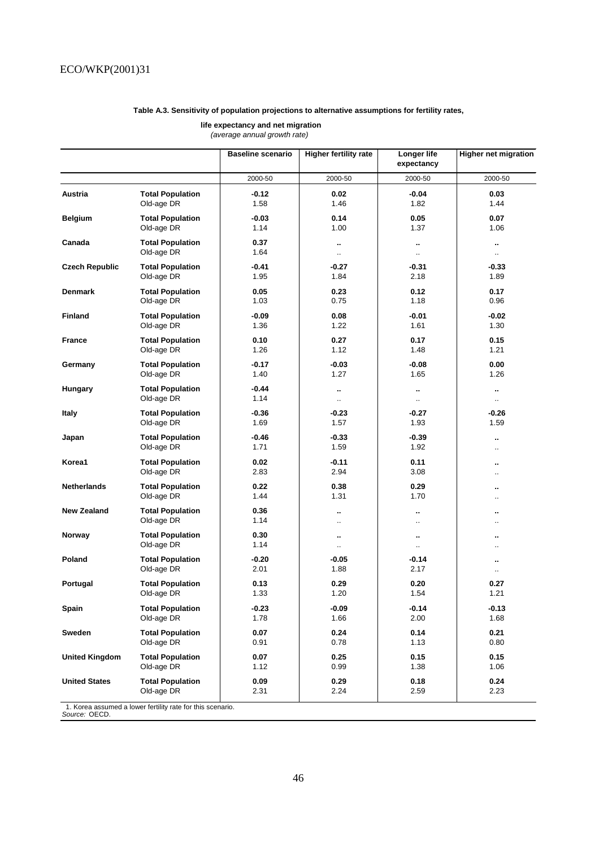#### **Table A.3. Sensitivity of population projections to alternative assumptions for fertility rates,**

 **life expectancy and net migration** (average annual growth rate)

|                       |                                       | <b>Baseline scenario</b> | <b>Higher fertility rate</b>      | Longer life<br>expectancy         | <b>Higher net migration</b> |
|-----------------------|---------------------------------------|--------------------------|-----------------------------------|-----------------------------------|-----------------------------|
|                       |                                       | 2000-50                  | 2000-50                           | 2000-50                           | 2000-50                     |
| Austria               | <b>Total Population</b>               | $-0.12$                  | 0.02                              | $-0.04$                           | 0.03                        |
|                       | Old-age DR                            | 1.58                     | 1.46                              | 1.82                              | 1.44                        |
| <b>Belgium</b>        | <b>Total Population</b>               | $-0.03$                  | 0.14                              | 0.05                              | 0.07                        |
|                       | Old-age DR                            | 1.14                     | 1.00                              | 1.37                              | 1.06                        |
| Canada                | <b>Total Population</b>               | 0.37                     | ٠.                                | $\ddot{\phantom{a}}$              | ٠.                          |
|                       | Old-age DR                            | 1.64                     | $\cdot$                           | $\ddot{\phantom{a}}$              |                             |
| <b>Czech Republic</b> | <b>Total Population</b>               | -0.41                    | $-0.27$                           | $-0.31$                           | -0.33                       |
|                       | Old-age DR                            | 1.95                     | 1.84                              | 2.18                              | 1.89                        |
| <b>Denmark</b>        | <b>Total Population</b>               | 0.05                     | 0.23                              | 0.12                              | 0.17                        |
|                       | Old-age DR                            | 1.03                     | 0.75                              | 1.18                              | 0.96                        |
| <b>Finland</b>        | <b>Total Population</b>               | -0.09                    | 0.08                              | $-0.01$                           | $-0.02$                     |
|                       | Old-age DR                            | 1.36                     | 1.22                              | 1.61                              | 1.30                        |
| <b>France</b>         | <b>Total Population</b>               | 0.10                     | 0.27                              | 0.17                              | 0.15                        |
|                       | Old-age DR                            | 1.26                     | 1.12                              | 1.48                              | 1.21                        |
| Germany               | <b>Total Population</b>               | $-0.17$                  | $-0.03$                           | $-0.08$                           | 0.00                        |
|                       | Old-age DR                            | 1.40                     | 1.27                              | 1.65                              | 1.26                        |
| Hungary               | <b>Total Population</b>               | $-0.44$                  | ٠.                                | ٠.                                | $\ddot{\phantom{1}}$        |
|                       | Old-age DR                            | 1.14                     | $\cdot$ .                         | $\cdot$ .                         | $\ddotsc$                   |
| Italy                 | <b>Total Population</b>               | $-0.36$                  | $-0.23$                           | $-0.27$                           | -0.26                       |
|                       | Old-age DR                            | 1.69                     | 1.57                              | 1.93                              | 1.59                        |
| Japan                 | <b>Total Population</b><br>Old-age DR | -0.46<br>1.71            | $-0.33$<br>1.59                   | $-0.39$<br>1.92                   | ۰.                          |
| Korea1                | <b>Total Population</b><br>Old-age DR | 0.02<br>2.83             | $-0.11$<br>2.94                   | 0.11<br>3.08                      |                             |
| <b>Netherlands</b>    | <b>Total Population</b><br>Old-age DR | 0.22<br>1.44             | 0.38<br>1.31                      | 0.29<br>1.70                      |                             |
| <b>New Zealand</b>    | <b>Total Population</b><br>Old-age DR | 0.36<br>1.14             | $\mathbf{r}$<br>$\ddotsc$         | ٠.<br>                            |                             |
| Norway                | <b>Total Population</b><br>Old-age DR | 0.30<br>1.14             | $\ddot{\phantom{1}}$<br>$\cdot$ . | $\ddot{\phantom{1}}$<br>$\cdot$ . |                             |
| Poland                | <b>Total Population</b><br>Old-age DR | -0.20<br>2.01            | $-0.05$<br>1.88                   | $-0.14$<br>2.17                   |                             |
| Portugal              | <b>Total Population</b>               | 0.13                     | 0.29                              | 0.20                              | 0.27                        |
|                       | Old-age DR                            | 1.33                     | 1.20                              | 1.54                              | 1.21                        |
| Spain                 | <b>Total Population</b>               | -0.23                    | -0.09                             | $-0.14$                           | $-0.13$                     |
|                       | Old-age DR                            | 1.78                     | 1.66                              | 2.00                              | 1.68                        |
| Sweden                | <b>Total Population</b>               | 0.07                     | 0.24                              | 0.14                              | 0.21                        |
|                       | Old-age DR                            | 0.91                     | 0.78                              | 1.13                              | 0.80                        |
| <b>United Kingdom</b> | <b>Total Population</b>               | 0.07                     | 0.25                              | 0.15                              | 0.15                        |
|                       | Old-age DR                            | 1.12                     | 0.99                              | 1.38                              | 1.06                        |
| <b>United States</b>  | <b>Total Population</b>               | 0.09                     | 0.29                              | 0.18                              | 0.24                        |
|                       | Old-age DR                            | 2.31                     | 2.24                              | 2.59                              | 2.23                        |

Source: OECD.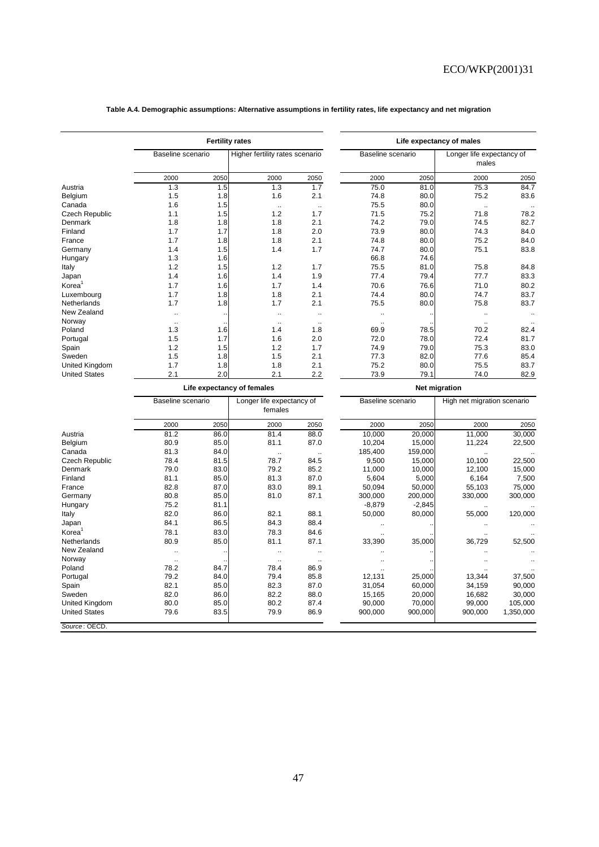| Higher fertility rates scenario<br>Baseline scenario<br>Baseline scenario<br>Longer life expectancy of<br>males<br>2000<br>2050<br>2000<br>2050<br>2000<br>2050<br>2050<br>2000<br>81.0<br>1.3<br>1.5<br>1.3<br>1.7<br>75.0<br>75.3<br>84.7<br>Austria<br>1.5<br>1.8<br>1.6<br>74.8<br>80.0<br>75.2<br>83.6<br>Belgium<br>2.1<br>75.5<br>80.0<br>Canada<br>1.6<br>1.5<br>$\ddot{\phantom{a}}$<br>$\ddot{\phantom{a}}$<br>$\ddot{\phantom{a}}$<br>$\ddot{\phantom{a}}$<br>Czech Republic<br>1.1<br>1.2<br>71.5<br>75.2<br>78.2<br>1.5<br>1.7<br>71.8<br>Denmark<br>1.8<br>1.8<br>1.8<br>2.1<br>74.2<br>79.0<br>74.5<br>82.7<br>Finland<br>1.7<br>1.7<br>1.8<br>2.0<br>73.9<br>80.0<br>84.0<br>74.3<br>France<br>1.7<br>1.8<br>2.1<br>74.8<br>80.0<br>75.2<br>84.0<br>1.8<br>1.4<br>1.4<br>1.7<br>74.7<br>80.0<br>75.1<br>83.8<br>Germany<br>1.5<br>1.3<br>1.6<br>66.8<br>74.6<br>Hungary<br>1.2<br>1.2<br>75.5<br>81.0<br>75.8<br>84.8<br>1.5<br>1.7<br>Italy<br>1.4<br>1.4<br>77.4<br>79.4<br>77.7<br>83.3<br>Japan<br>1.6<br>1.9<br>Korea <sup>1</sup><br>1.7<br>1.7<br>80.2<br>70.6<br>76.6<br>71.0<br>1.6<br>1.4<br>80.0<br>Luxembourg<br>1.7<br>1.8<br>1.8<br>2.1<br>74.4<br>74.7<br>83.7<br>Netherlands<br>1.7<br>1.7<br>2.1<br>75.5<br>80.0<br>75.8<br>83.7<br>1.8<br>New Zealand<br>$\mathbf{r}$<br>$\mathbf{r}$<br>$\ddot{\phantom{a}}$<br>$\ddot{\phantom{a}}$<br>ä.<br>$\ddot{\phantom{a}}$<br>Norway<br>$\ddot{\phantom{1}}$<br>$\ddot{\phantom{a}}$<br>$\ddot{\phantom{a}}$<br>$\sim$<br>$\ddot{\phantom{a}}$<br>78.5<br>Poland<br>1.3<br>1.6<br>1.4<br>69.9<br>70.2<br>82.4<br>1.8<br>1.5<br>1.7<br>78.0<br>81.7<br>Portugal<br>1.6<br>2.0<br>72.0<br>72.4<br>1.2<br>1.5<br>1.2<br>79.0<br>83.0<br>Spain<br>1.7<br>74.9<br>75.3<br>82.0<br>1.5<br>1.5<br>2.1<br>77.3<br>77.6<br>85.4<br>Sweden<br>1.8<br>83.7<br>United Kingdom<br>1.7<br>1.8<br>1.8<br>2.1<br>75.2<br>80.0<br>75.5<br><b>United States</b><br>2.1<br>2.0<br>73.9<br>79.1<br>74.0<br>82.9<br>2.1<br>2.2<br>Life expectancy of females<br>Net migration<br>Longer life expectancy of<br>Baseline scenario<br>High net migration scenario<br>Baseline scenario<br>females<br>2050<br>2000<br>2050<br>2000<br>2050<br>2000<br>2000<br>2050<br>81.2<br>81.4<br>88.0<br>10.000<br>20.000<br>30.000<br>86.0<br>11.000<br>Austria<br>Belgium<br>80.9<br>85.0<br>81.1<br>87.0<br>10,204<br>15,000<br>11,224<br>22,500<br>81.3<br>84.0<br>185,400<br>159,000<br>Canada<br>$\ddot{\phantom{a}}$<br>Czech Republic<br>78.4<br>81.5<br>78.7<br>84.5<br>9,500<br>15,000<br>10,100<br>22,500<br>83.0<br>11,000<br>10.000<br>Denmark<br>79.0<br>79.2<br>85.2<br>12.100<br>15,000<br>Finland<br>81.1<br>85.0<br>81.3<br>87.0<br>5,604<br>5,000<br>6,164<br>7,500<br>50,000<br>75,000<br>France<br>82.8<br>87.0<br>83.0<br>89.1<br>50,094<br>55,103<br>80.8<br>85.0<br>81.0<br>87.1<br>300,000<br>200,000<br>330,000<br>300,000<br>Germany<br>75.2<br>81.1<br>$-2,845$<br>$-8,879$<br>Hungary<br>82.0<br>86.0<br>82.1<br>88.1<br>50,000<br>80,000<br>120,000<br>Italy<br>55,000<br>86.5<br>Japan<br>84.1<br>84.3<br>88.4<br>ä.<br>ă.<br>Korea<br>78.1<br>83.0<br>78.3<br>84.6<br>80.9<br>85.0<br>33,390<br>35,000<br>52,500<br>Netherlands<br>81.1<br>87.1<br>36,729<br>New Zealand<br>$\ddotsc$<br>$\ddot{\phantom{a}}$<br>$\ddot{\phantom{a}}$<br>ä.<br>Norway<br>$\ddot{\phantom{a}}$<br>$\ddot{\phantom{a}}$<br>$\sim$<br>$\ddot{\phantom{a}}$<br>$\ddot{\phantom{a}}$<br>Poland<br>78.2<br>84.7<br>78.4<br>86.9<br>84.0<br>25,000<br>37,500<br>Portugal<br>79.2<br>79.4<br>85.8<br>12,131<br>13,344<br>82.1<br>85.0<br>82.3<br>60,000<br>Spain<br>87.0<br>31,054<br>34,159<br>90,000<br>20,000<br>30,000<br>Sweden<br>82.0<br>86.0<br>82.2<br>88.0<br>15,165<br>16,682<br>United Kingdom<br>80.2<br>90,000<br>70,000<br>99,000<br>105,000<br>80.0<br>85.0<br>87.4<br><b>United States</b><br>79.6<br>83.5<br>79.9<br>900,000<br>900,000<br>900,000<br>1,350,000<br>86.9<br>Source: OECD. |  | <b>Fertility rates</b> |  | Life expectancy of males |  |
|-----------------------------------------------------------------------------------------------------------------------------------------------------------------------------------------------------------------------------------------------------------------------------------------------------------------------------------------------------------------------------------------------------------------------------------------------------------------------------------------------------------------------------------------------------------------------------------------------------------------------------------------------------------------------------------------------------------------------------------------------------------------------------------------------------------------------------------------------------------------------------------------------------------------------------------------------------------------------------------------------------------------------------------------------------------------------------------------------------------------------------------------------------------------------------------------------------------------------------------------------------------------------------------------------------------------------------------------------------------------------------------------------------------------------------------------------------------------------------------------------------------------------------------------------------------------------------------------------------------------------------------------------------------------------------------------------------------------------------------------------------------------------------------------------------------------------------------------------------------------------------------------------------------------------------------------------------------------------------------------------------------------------------------------------------------------------------------------------------------------------------------------------------------------------------------------------------------------------------------------------------------------------------------------------------------------------------------------------------------------------------------------------------------------------------------------------------------------------------------------------------------------------------------------------------------------------------------------------------------------------------------------------------------------------------------------------------------------------------------------------------------------------------------------------------------------------------------------------------------------------------------------------------------------------------------------------------------------------------------------------------------------------------------------------------------------------------------------------------------------------------------------------------------------------------------------------------------------------------------------------------------------------------------------------------------------------------------------------------------------------------------------------------------------------------------------------------------------------------------------------------------------------------------------------------------------------------------------------------------------------------------------------------------------------------------------------------------------------------------------------------------------------------------------------------------------------------------------------------------------------------------------------------------------------------------------------------------|--|------------------------|--|--------------------------|--|
|                                                                                                                                                                                                                                                                                                                                                                                                                                                                                                                                                                                                                                                                                                                                                                                                                                                                                                                                                                                                                                                                                                                                                                                                                                                                                                                                                                                                                                                                                                                                                                                                                                                                                                                                                                                                                                                                                                                                                                                                                                                                                                                                                                                                                                                                                                                                                                                                                                                                                                                                                                                                                                                                                                                                                                                                                                                                                                                                                                                                                                                                                                                                                                                                                                                                                                                                                                                                                                                                                                                                                                                                                                                                                                                                                                                                                                                                                                                                                           |  |                        |  |                          |  |
|                                                                                                                                                                                                                                                                                                                                                                                                                                                                                                                                                                                                                                                                                                                                                                                                                                                                                                                                                                                                                                                                                                                                                                                                                                                                                                                                                                                                                                                                                                                                                                                                                                                                                                                                                                                                                                                                                                                                                                                                                                                                                                                                                                                                                                                                                                                                                                                                                                                                                                                                                                                                                                                                                                                                                                                                                                                                                                                                                                                                                                                                                                                                                                                                                                                                                                                                                                                                                                                                                                                                                                                                                                                                                                                                                                                                                                                                                                                                                           |  |                        |  |                          |  |
|                                                                                                                                                                                                                                                                                                                                                                                                                                                                                                                                                                                                                                                                                                                                                                                                                                                                                                                                                                                                                                                                                                                                                                                                                                                                                                                                                                                                                                                                                                                                                                                                                                                                                                                                                                                                                                                                                                                                                                                                                                                                                                                                                                                                                                                                                                                                                                                                                                                                                                                                                                                                                                                                                                                                                                                                                                                                                                                                                                                                                                                                                                                                                                                                                                                                                                                                                                                                                                                                                                                                                                                                                                                                                                                                                                                                                                                                                                                                                           |  |                        |  |                          |  |
|                                                                                                                                                                                                                                                                                                                                                                                                                                                                                                                                                                                                                                                                                                                                                                                                                                                                                                                                                                                                                                                                                                                                                                                                                                                                                                                                                                                                                                                                                                                                                                                                                                                                                                                                                                                                                                                                                                                                                                                                                                                                                                                                                                                                                                                                                                                                                                                                                                                                                                                                                                                                                                                                                                                                                                                                                                                                                                                                                                                                                                                                                                                                                                                                                                                                                                                                                                                                                                                                                                                                                                                                                                                                                                                                                                                                                                                                                                                                                           |  |                        |  |                          |  |
|                                                                                                                                                                                                                                                                                                                                                                                                                                                                                                                                                                                                                                                                                                                                                                                                                                                                                                                                                                                                                                                                                                                                                                                                                                                                                                                                                                                                                                                                                                                                                                                                                                                                                                                                                                                                                                                                                                                                                                                                                                                                                                                                                                                                                                                                                                                                                                                                                                                                                                                                                                                                                                                                                                                                                                                                                                                                                                                                                                                                                                                                                                                                                                                                                                                                                                                                                                                                                                                                                                                                                                                                                                                                                                                                                                                                                                                                                                                                                           |  |                        |  |                          |  |
|                                                                                                                                                                                                                                                                                                                                                                                                                                                                                                                                                                                                                                                                                                                                                                                                                                                                                                                                                                                                                                                                                                                                                                                                                                                                                                                                                                                                                                                                                                                                                                                                                                                                                                                                                                                                                                                                                                                                                                                                                                                                                                                                                                                                                                                                                                                                                                                                                                                                                                                                                                                                                                                                                                                                                                                                                                                                                                                                                                                                                                                                                                                                                                                                                                                                                                                                                                                                                                                                                                                                                                                                                                                                                                                                                                                                                                                                                                                                                           |  |                        |  |                          |  |
|                                                                                                                                                                                                                                                                                                                                                                                                                                                                                                                                                                                                                                                                                                                                                                                                                                                                                                                                                                                                                                                                                                                                                                                                                                                                                                                                                                                                                                                                                                                                                                                                                                                                                                                                                                                                                                                                                                                                                                                                                                                                                                                                                                                                                                                                                                                                                                                                                                                                                                                                                                                                                                                                                                                                                                                                                                                                                                                                                                                                                                                                                                                                                                                                                                                                                                                                                                                                                                                                                                                                                                                                                                                                                                                                                                                                                                                                                                                                                           |  |                        |  |                          |  |
|                                                                                                                                                                                                                                                                                                                                                                                                                                                                                                                                                                                                                                                                                                                                                                                                                                                                                                                                                                                                                                                                                                                                                                                                                                                                                                                                                                                                                                                                                                                                                                                                                                                                                                                                                                                                                                                                                                                                                                                                                                                                                                                                                                                                                                                                                                                                                                                                                                                                                                                                                                                                                                                                                                                                                                                                                                                                                                                                                                                                                                                                                                                                                                                                                                                                                                                                                                                                                                                                                                                                                                                                                                                                                                                                                                                                                                                                                                                                                           |  |                        |  |                          |  |
|                                                                                                                                                                                                                                                                                                                                                                                                                                                                                                                                                                                                                                                                                                                                                                                                                                                                                                                                                                                                                                                                                                                                                                                                                                                                                                                                                                                                                                                                                                                                                                                                                                                                                                                                                                                                                                                                                                                                                                                                                                                                                                                                                                                                                                                                                                                                                                                                                                                                                                                                                                                                                                                                                                                                                                                                                                                                                                                                                                                                                                                                                                                                                                                                                                                                                                                                                                                                                                                                                                                                                                                                                                                                                                                                                                                                                                                                                                                                                           |  |                        |  |                          |  |
|                                                                                                                                                                                                                                                                                                                                                                                                                                                                                                                                                                                                                                                                                                                                                                                                                                                                                                                                                                                                                                                                                                                                                                                                                                                                                                                                                                                                                                                                                                                                                                                                                                                                                                                                                                                                                                                                                                                                                                                                                                                                                                                                                                                                                                                                                                                                                                                                                                                                                                                                                                                                                                                                                                                                                                                                                                                                                                                                                                                                                                                                                                                                                                                                                                                                                                                                                                                                                                                                                                                                                                                                                                                                                                                                                                                                                                                                                                                                                           |  |                        |  |                          |  |
|                                                                                                                                                                                                                                                                                                                                                                                                                                                                                                                                                                                                                                                                                                                                                                                                                                                                                                                                                                                                                                                                                                                                                                                                                                                                                                                                                                                                                                                                                                                                                                                                                                                                                                                                                                                                                                                                                                                                                                                                                                                                                                                                                                                                                                                                                                                                                                                                                                                                                                                                                                                                                                                                                                                                                                                                                                                                                                                                                                                                                                                                                                                                                                                                                                                                                                                                                                                                                                                                                                                                                                                                                                                                                                                                                                                                                                                                                                                                                           |  |                        |  |                          |  |
|                                                                                                                                                                                                                                                                                                                                                                                                                                                                                                                                                                                                                                                                                                                                                                                                                                                                                                                                                                                                                                                                                                                                                                                                                                                                                                                                                                                                                                                                                                                                                                                                                                                                                                                                                                                                                                                                                                                                                                                                                                                                                                                                                                                                                                                                                                                                                                                                                                                                                                                                                                                                                                                                                                                                                                                                                                                                                                                                                                                                                                                                                                                                                                                                                                                                                                                                                                                                                                                                                                                                                                                                                                                                                                                                                                                                                                                                                                                                                           |  |                        |  |                          |  |
|                                                                                                                                                                                                                                                                                                                                                                                                                                                                                                                                                                                                                                                                                                                                                                                                                                                                                                                                                                                                                                                                                                                                                                                                                                                                                                                                                                                                                                                                                                                                                                                                                                                                                                                                                                                                                                                                                                                                                                                                                                                                                                                                                                                                                                                                                                                                                                                                                                                                                                                                                                                                                                                                                                                                                                                                                                                                                                                                                                                                                                                                                                                                                                                                                                                                                                                                                                                                                                                                                                                                                                                                                                                                                                                                                                                                                                                                                                                                                           |  |                        |  |                          |  |
|                                                                                                                                                                                                                                                                                                                                                                                                                                                                                                                                                                                                                                                                                                                                                                                                                                                                                                                                                                                                                                                                                                                                                                                                                                                                                                                                                                                                                                                                                                                                                                                                                                                                                                                                                                                                                                                                                                                                                                                                                                                                                                                                                                                                                                                                                                                                                                                                                                                                                                                                                                                                                                                                                                                                                                                                                                                                                                                                                                                                                                                                                                                                                                                                                                                                                                                                                                                                                                                                                                                                                                                                                                                                                                                                                                                                                                                                                                                                                           |  |                        |  |                          |  |
|                                                                                                                                                                                                                                                                                                                                                                                                                                                                                                                                                                                                                                                                                                                                                                                                                                                                                                                                                                                                                                                                                                                                                                                                                                                                                                                                                                                                                                                                                                                                                                                                                                                                                                                                                                                                                                                                                                                                                                                                                                                                                                                                                                                                                                                                                                                                                                                                                                                                                                                                                                                                                                                                                                                                                                                                                                                                                                                                                                                                                                                                                                                                                                                                                                                                                                                                                                                                                                                                                                                                                                                                                                                                                                                                                                                                                                                                                                                                                           |  |                        |  |                          |  |
|                                                                                                                                                                                                                                                                                                                                                                                                                                                                                                                                                                                                                                                                                                                                                                                                                                                                                                                                                                                                                                                                                                                                                                                                                                                                                                                                                                                                                                                                                                                                                                                                                                                                                                                                                                                                                                                                                                                                                                                                                                                                                                                                                                                                                                                                                                                                                                                                                                                                                                                                                                                                                                                                                                                                                                                                                                                                                                                                                                                                                                                                                                                                                                                                                                                                                                                                                                                                                                                                                                                                                                                                                                                                                                                                                                                                                                                                                                                                                           |  |                        |  |                          |  |
|                                                                                                                                                                                                                                                                                                                                                                                                                                                                                                                                                                                                                                                                                                                                                                                                                                                                                                                                                                                                                                                                                                                                                                                                                                                                                                                                                                                                                                                                                                                                                                                                                                                                                                                                                                                                                                                                                                                                                                                                                                                                                                                                                                                                                                                                                                                                                                                                                                                                                                                                                                                                                                                                                                                                                                                                                                                                                                                                                                                                                                                                                                                                                                                                                                                                                                                                                                                                                                                                                                                                                                                                                                                                                                                                                                                                                                                                                                                                                           |  |                        |  |                          |  |
|                                                                                                                                                                                                                                                                                                                                                                                                                                                                                                                                                                                                                                                                                                                                                                                                                                                                                                                                                                                                                                                                                                                                                                                                                                                                                                                                                                                                                                                                                                                                                                                                                                                                                                                                                                                                                                                                                                                                                                                                                                                                                                                                                                                                                                                                                                                                                                                                                                                                                                                                                                                                                                                                                                                                                                                                                                                                                                                                                                                                                                                                                                                                                                                                                                                                                                                                                                                                                                                                                                                                                                                                                                                                                                                                                                                                                                                                                                                                                           |  |                        |  |                          |  |
|                                                                                                                                                                                                                                                                                                                                                                                                                                                                                                                                                                                                                                                                                                                                                                                                                                                                                                                                                                                                                                                                                                                                                                                                                                                                                                                                                                                                                                                                                                                                                                                                                                                                                                                                                                                                                                                                                                                                                                                                                                                                                                                                                                                                                                                                                                                                                                                                                                                                                                                                                                                                                                                                                                                                                                                                                                                                                                                                                                                                                                                                                                                                                                                                                                                                                                                                                                                                                                                                                                                                                                                                                                                                                                                                                                                                                                                                                                                                                           |  |                        |  |                          |  |
|                                                                                                                                                                                                                                                                                                                                                                                                                                                                                                                                                                                                                                                                                                                                                                                                                                                                                                                                                                                                                                                                                                                                                                                                                                                                                                                                                                                                                                                                                                                                                                                                                                                                                                                                                                                                                                                                                                                                                                                                                                                                                                                                                                                                                                                                                                                                                                                                                                                                                                                                                                                                                                                                                                                                                                                                                                                                                                                                                                                                                                                                                                                                                                                                                                                                                                                                                                                                                                                                                                                                                                                                                                                                                                                                                                                                                                                                                                                                                           |  |                        |  |                          |  |
|                                                                                                                                                                                                                                                                                                                                                                                                                                                                                                                                                                                                                                                                                                                                                                                                                                                                                                                                                                                                                                                                                                                                                                                                                                                                                                                                                                                                                                                                                                                                                                                                                                                                                                                                                                                                                                                                                                                                                                                                                                                                                                                                                                                                                                                                                                                                                                                                                                                                                                                                                                                                                                                                                                                                                                                                                                                                                                                                                                                                                                                                                                                                                                                                                                                                                                                                                                                                                                                                                                                                                                                                                                                                                                                                                                                                                                                                                                                                                           |  |                        |  |                          |  |
|                                                                                                                                                                                                                                                                                                                                                                                                                                                                                                                                                                                                                                                                                                                                                                                                                                                                                                                                                                                                                                                                                                                                                                                                                                                                                                                                                                                                                                                                                                                                                                                                                                                                                                                                                                                                                                                                                                                                                                                                                                                                                                                                                                                                                                                                                                                                                                                                                                                                                                                                                                                                                                                                                                                                                                                                                                                                                                                                                                                                                                                                                                                                                                                                                                                                                                                                                                                                                                                                                                                                                                                                                                                                                                                                                                                                                                                                                                                                                           |  |                        |  |                          |  |
|                                                                                                                                                                                                                                                                                                                                                                                                                                                                                                                                                                                                                                                                                                                                                                                                                                                                                                                                                                                                                                                                                                                                                                                                                                                                                                                                                                                                                                                                                                                                                                                                                                                                                                                                                                                                                                                                                                                                                                                                                                                                                                                                                                                                                                                                                                                                                                                                                                                                                                                                                                                                                                                                                                                                                                                                                                                                                                                                                                                                                                                                                                                                                                                                                                                                                                                                                                                                                                                                                                                                                                                                                                                                                                                                                                                                                                                                                                                                                           |  |                        |  |                          |  |
|                                                                                                                                                                                                                                                                                                                                                                                                                                                                                                                                                                                                                                                                                                                                                                                                                                                                                                                                                                                                                                                                                                                                                                                                                                                                                                                                                                                                                                                                                                                                                                                                                                                                                                                                                                                                                                                                                                                                                                                                                                                                                                                                                                                                                                                                                                                                                                                                                                                                                                                                                                                                                                                                                                                                                                                                                                                                                                                                                                                                                                                                                                                                                                                                                                                                                                                                                                                                                                                                                                                                                                                                                                                                                                                                                                                                                                                                                                                                                           |  |                        |  |                          |  |
|                                                                                                                                                                                                                                                                                                                                                                                                                                                                                                                                                                                                                                                                                                                                                                                                                                                                                                                                                                                                                                                                                                                                                                                                                                                                                                                                                                                                                                                                                                                                                                                                                                                                                                                                                                                                                                                                                                                                                                                                                                                                                                                                                                                                                                                                                                                                                                                                                                                                                                                                                                                                                                                                                                                                                                                                                                                                                                                                                                                                                                                                                                                                                                                                                                                                                                                                                                                                                                                                                                                                                                                                                                                                                                                                                                                                                                                                                                                                                           |  |                        |  |                          |  |
|                                                                                                                                                                                                                                                                                                                                                                                                                                                                                                                                                                                                                                                                                                                                                                                                                                                                                                                                                                                                                                                                                                                                                                                                                                                                                                                                                                                                                                                                                                                                                                                                                                                                                                                                                                                                                                                                                                                                                                                                                                                                                                                                                                                                                                                                                                                                                                                                                                                                                                                                                                                                                                                                                                                                                                                                                                                                                                                                                                                                                                                                                                                                                                                                                                                                                                                                                                                                                                                                                                                                                                                                                                                                                                                                                                                                                                                                                                                                                           |  |                        |  |                          |  |
|                                                                                                                                                                                                                                                                                                                                                                                                                                                                                                                                                                                                                                                                                                                                                                                                                                                                                                                                                                                                                                                                                                                                                                                                                                                                                                                                                                                                                                                                                                                                                                                                                                                                                                                                                                                                                                                                                                                                                                                                                                                                                                                                                                                                                                                                                                                                                                                                                                                                                                                                                                                                                                                                                                                                                                                                                                                                                                                                                                                                                                                                                                                                                                                                                                                                                                                                                                                                                                                                                                                                                                                                                                                                                                                                                                                                                                                                                                                                                           |  |                        |  |                          |  |
|                                                                                                                                                                                                                                                                                                                                                                                                                                                                                                                                                                                                                                                                                                                                                                                                                                                                                                                                                                                                                                                                                                                                                                                                                                                                                                                                                                                                                                                                                                                                                                                                                                                                                                                                                                                                                                                                                                                                                                                                                                                                                                                                                                                                                                                                                                                                                                                                                                                                                                                                                                                                                                                                                                                                                                                                                                                                                                                                                                                                                                                                                                                                                                                                                                                                                                                                                                                                                                                                                                                                                                                                                                                                                                                                                                                                                                                                                                                                                           |  |                        |  |                          |  |
|                                                                                                                                                                                                                                                                                                                                                                                                                                                                                                                                                                                                                                                                                                                                                                                                                                                                                                                                                                                                                                                                                                                                                                                                                                                                                                                                                                                                                                                                                                                                                                                                                                                                                                                                                                                                                                                                                                                                                                                                                                                                                                                                                                                                                                                                                                                                                                                                                                                                                                                                                                                                                                                                                                                                                                                                                                                                                                                                                                                                                                                                                                                                                                                                                                                                                                                                                                                                                                                                                                                                                                                                                                                                                                                                                                                                                                                                                                                                                           |  |                        |  |                          |  |
|                                                                                                                                                                                                                                                                                                                                                                                                                                                                                                                                                                                                                                                                                                                                                                                                                                                                                                                                                                                                                                                                                                                                                                                                                                                                                                                                                                                                                                                                                                                                                                                                                                                                                                                                                                                                                                                                                                                                                                                                                                                                                                                                                                                                                                                                                                                                                                                                                                                                                                                                                                                                                                                                                                                                                                                                                                                                                                                                                                                                                                                                                                                                                                                                                                                                                                                                                                                                                                                                                                                                                                                                                                                                                                                                                                                                                                                                                                                                                           |  |                        |  |                          |  |
|                                                                                                                                                                                                                                                                                                                                                                                                                                                                                                                                                                                                                                                                                                                                                                                                                                                                                                                                                                                                                                                                                                                                                                                                                                                                                                                                                                                                                                                                                                                                                                                                                                                                                                                                                                                                                                                                                                                                                                                                                                                                                                                                                                                                                                                                                                                                                                                                                                                                                                                                                                                                                                                                                                                                                                                                                                                                                                                                                                                                                                                                                                                                                                                                                                                                                                                                                                                                                                                                                                                                                                                                                                                                                                                                                                                                                                                                                                                                                           |  |                        |  |                          |  |
|                                                                                                                                                                                                                                                                                                                                                                                                                                                                                                                                                                                                                                                                                                                                                                                                                                                                                                                                                                                                                                                                                                                                                                                                                                                                                                                                                                                                                                                                                                                                                                                                                                                                                                                                                                                                                                                                                                                                                                                                                                                                                                                                                                                                                                                                                                                                                                                                                                                                                                                                                                                                                                                                                                                                                                                                                                                                                                                                                                                                                                                                                                                                                                                                                                                                                                                                                                                                                                                                                                                                                                                                                                                                                                                                                                                                                                                                                                                                                           |  |                        |  |                          |  |
|                                                                                                                                                                                                                                                                                                                                                                                                                                                                                                                                                                                                                                                                                                                                                                                                                                                                                                                                                                                                                                                                                                                                                                                                                                                                                                                                                                                                                                                                                                                                                                                                                                                                                                                                                                                                                                                                                                                                                                                                                                                                                                                                                                                                                                                                                                                                                                                                                                                                                                                                                                                                                                                                                                                                                                                                                                                                                                                                                                                                                                                                                                                                                                                                                                                                                                                                                                                                                                                                                                                                                                                                                                                                                                                                                                                                                                                                                                                                                           |  |                        |  |                          |  |
|                                                                                                                                                                                                                                                                                                                                                                                                                                                                                                                                                                                                                                                                                                                                                                                                                                                                                                                                                                                                                                                                                                                                                                                                                                                                                                                                                                                                                                                                                                                                                                                                                                                                                                                                                                                                                                                                                                                                                                                                                                                                                                                                                                                                                                                                                                                                                                                                                                                                                                                                                                                                                                                                                                                                                                                                                                                                                                                                                                                                                                                                                                                                                                                                                                                                                                                                                                                                                                                                                                                                                                                                                                                                                                                                                                                                                                                                                                                                                           |  |                        |  |                          |  |
|                                                                                                                                                                                                                                                                                                                                                                                                                                                                                                                                                                                                                                                                                                                                                                                                                                                                                                                                                                                                                                                                                                                                                                                                                                                                                                                                                                                                                                                                                                                                                                                                                                                                                                                                                                                                                                                                                                                                                                                                                                                                                                                                                                                                                                                                                                                                                                                                                                                                                                                                                                                                                                                                                                                                                                                                                                                                                                                                                                                                                                                                                                                                                                                                                                                                                                                                                                                                                                                                                                                                                                                                                                                                                                                                                                                                                                                                                                                                                           |  |                        |  |                          |  |
|                                                                                                                                                                                                                                                                                                                                                                                                                                                                                                                                                                                                                                                                                                                                                                                                                                                                                                                                                                                                                                                                                                                                                                                                                                                                                                                                                                                                                                                                                                                                                                                                                                                                                                                                                                                                                                                                                                                                                                                                                                                                                                                                                                                                                                                                                                                                                                                                                                                                                                                                                                                                                                                                                                                                                                                                                                                                                                                                                                                                                                                                                                                                                                                                                                                                                                                                                                                                                                                                                                                                                                                                                                                                                                                                                                                                                                                                                                                                                           |  |                        |  |                          |  |
|                                                                                                                                                                                                                                                                                                                                                                                                                                                                                                                                                                                                                                                                                                                                                                                                                                                                                                                                                                                                                                                                                                                                                                                                                                                                                                                                                                                                                                                                                                                                                                                                                                                                                                                                                                                                                                                                                                                                                                                                                                                                                                                                                                                                                                                                                                                                                                                                                                                                                                                                                                                                                                                                                                                                                                                                                                                                                                                                                                                                                                                                                                                                                                                                                                                                                                                                                                                                                                                                                                                                                                                                                                                                                                                                                                                                                                                                                                                                                           |  |                        |  |                          |  |
|                                                                                                                                                                                                                                                                                                                                                                                                                                                                                                                                                                                                                                                                                                                                                                                                                                                                                                                                                                                                                                                                                                                                                                                                                                                                                                                                                                                                                                                                                                                                                                                                                                                                                                                                                                                                                                                                                                                                                                                                                                                                                                                                                                                                                                                                                                                                                                                                                                                                                                                                                                                                                                                                                                                                                                                                                                                                                                                                                                                                                                                                                                                                                                                                                                                                                                                                                                                                                                                                                                                                                                                                                                                                                                                                                                                                                                                                                                                                                           |  |                        |  |                          |  |
|                                                                                                                                                                                                                                                                                                                                                                                                                                                                                                                                                                                                                                                                                                                                                                                                                                                                                                                                                                                                                                                                                                                                                                                                                                                                                                                                                                                                                                                                                                                                                                                                                                                                                                                                                                                                                                                                                                                                                                                                                                                                                                                                                                                                                                                                                                                                                                                                                                                                                                                                                                                                                                                                                                                                                                                                                                                                                                                                                                                                                                                                                                                                                                                                                                                                                                                                                                                                                                                                                                                                                                                                                                                                                                                                                                                                                                                                                                                                                           |  |                        |  |                          |  |
|                                                                                                                                                                                                                                                                                                                                                                                                                                                                                                                                                                                                                                                                                                                                                                                                                                                                                                                                                                                                                                                                                                                                                                                                                                                                                                                                                                                                                                                                                                                                                                                                                                                                                                                                                                                                                                                                                                                                                                                                                                                                                                                                                                                                                                                                                                                                                                                                                                                                                                                                                                                                                                                                                                                                                                                                                                                                                                                                                                                                                                                                                                                                                                                                                                                                                                                                                                                                                                                                                                                                                                                                                                                                                                                                                                                                                                                                                                                                                           |  |                        |  |                          |  |
|                                                                                                                                                                                                                                                                                                                                                                                                                                                                                                                                                                                                                                                                                                                                                                                                                                                                                                                                                                                                                                                                                                                                                                                                                                                                                                                                                                                                                                                                                                                                                                                                                                                                                                                                                                                                                                                                                                                                                                                                                                                                                                                                                                                                                                                                                                                                                                                                                                                                                                                                                                                                                                                                                                                                                                                                                                                                                                                                                                                                                                                                                                                                                                                                                                                                                                                                                                                                                                                                                                                                                                                                                                                                                                                                                                                                                                                                                                                                                           |  |                        |  |                          |  |
|                                                                                                                                                                                                                                                                                                                                                                                                                                                                                                                                                                                                                                                                                                                                                                                                                                                                                                                                                                                                                                                                                                                                                                                                                                                                                                                                                                                                                                                                                                                                                                                                                                                                                                                                                                                                                                                                                                                                                                                                                                                                                                                                                                                                                                                                                                                                                                                                                                                                                                                                                                                                                                                                                                                                                                                                                                                                                                                                                                                                                                                                                                                                                                                                                                                                                                                                                                                                                                                                                                                                                                                                                                                                                                                                                                                                                                                                                                                                                           |  |                        |  |                          |  |
|                                                                                                                                                                                                                                                                                                                                                                                                                                                                                                                                                                                                                                                                                                                                                                                                                                                                                                                                                                                                                                                                                                                                                                                                                                                                                                                                                                                                                                                                                                                                                                                                                                                                                                                                                                                                                                                                                                                                                                                                                                                                                                                                                                                                                                                                                                                                                                                                                                                                                                                                                                                                                                                                                                                                                                                                                                                                                                                                                                                                                                                                                                                                                                                                                                                                                                                                                                                                                                                                                                                                                                                                                                                                                                                                                                                                                                                                                                                                                           |  |                        |  |                          |  |
|                                                                                                                                                                                                                                                                                                                                                                                                                                                                                                                                                                                                                                                                                                                                                                                                                                                                                                                                                                                                                                                                                                                                                                                                                                                                                                                                                                                                                                                                                                                                                                                                                                                                                                                                                                                                                                                                                                                                                                                                                                                                                                                                                                                                                                                                                                                                                                                                                                                                                                                                                                                                                                                                                                                                                                                                                                                                                                                                                                                                                                                                                                                                                                                                                                                                                                                                                                                                                                                                                                                                                                                                                                                                                                                                                                                                                                                                                                                                                           |  |                        |  |                          |  |
|                                                                                                                                                                                                                                                                                                                                                                                                                                                                                                                                                                                                                                                                                                                                                                                                                                                                                                                                                                                                                                                                                                                                                                                                                                                                                                                                                                                                                                                                                                                                                                                                                                                                                                                                                                                                                                                                                                                                                                                                                                                                                                                                                                                                                                                                                                                                                                                                                                                                                                                                                                                                                                                                                                                                                                                                                                                                                                                                                                                                                                                                                                                                                                                                                                                                                                                                                                                                                                                                                                                                                                                                                                                                                                                                                                                                                                                                                                                                                           |  |                        |  |                          |  |
|                                                                                                                                                                                                                                                                                                                                                                                                                                                                                                                                                                                                                                                                                                                                                                                                                                                                                                                                                                                                                                                                                                                                                                                                                                                                                                                                                                                                                                                                                                                                                                                                                                                                                                                                                                                                                                                                                                                                                                                                                                                                                                                                                                                                                                                                                                                                                                                                                                                                                                                                                                                                                                                                                                                                                                                                                                                                                                                                                                                                                                                                                                                                                                                                                                                                                                                                                                                                                                                                                                                                                                                                                                                                                                                                                                                                                                                                                                                                                           |  |                        |  |                          |  |
|                                                                                                                                                                                                                                                                                                                                                                                                                                                                                                                                                                                                                                                                                                                                                                                                                                                                                                                                                                                                                                                                                                                                                                                                                                                                                                                                                                                                                                                                                                                                                                                                                                                                                                                                                                                                                                                                                                                                                                                                                                                                                                                                                                                                                                                                                                                                                                                                                                                                                                                                                                                                                                                                                                                                                                                                                                                                                                                                                                                                                                                                                                                                                                                                                                                                                                                                                                                                                                                                                                                                                                                                                                                                                                                                                                                                                                                                                                                                                           |  |                        |  |                          |  |
|                                                                                                                                                                                                                                                                                                                                                                                                                                                                                                                                                                                                                                                                                                                                                                                                                                                                                                                                                                                                                                                                                                                                                                                                                                                                                                                                                                                                                                                                                                                                                                                                                                                                                                                                                                                                                                                                                                                                                                                                                                                                                                                                                                                                                                                                                                                                                                                                                                                                                                                                                                                                                                                                                                                                                                                                                                                                                                                                                                                                                                                                                                                                                                                                                                                                                                                                                                                                                                                                                                                                                                                                                                                                                                                                                                                                                                                                                                                                                           |  |                        |  |                          |  |
|                                                                                                                                                                                                                                                                                                                                                                                                                                                                                                                                                                                                                                                                                                                                                                                                                                                                                                                                                                                                                                                                                                                                                                                                                                                                                                                                                                                                                                                                                                                                                                                                                                                                                                                                                                                                                                                                                                                                                                                                                                                                                                                                                                                                                                                                                                                                                                                                                                                                                                                                                                                                                                                                                                                                                                                                                                                                                                                                                                                                                                                                                                                                                                                                                                                                                                                                                                                                                                                                                                                                                                                                                                                                                                                                                                                                                                                                                                                                                           |  |                        |  |                          |  |

#### **Table A.4. Demographic assumptions: Alternative assumptions in fertility rates, life expectancy and net migration**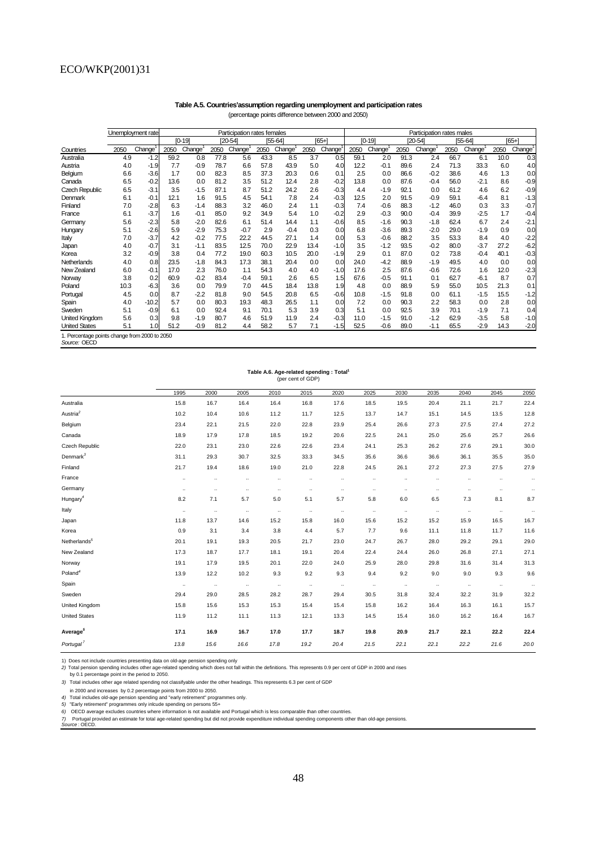#### **Table A.5. Countries'assumption regarding unemployment and participation rates**

Countries 2050 Change<sup>1</sup> 2050 Change<sup>1</sup> 2050 Change<sup>1</sup> 2050 Change<sup>1</sup> 2050 Change<sup>1</sup> 2050 Change<sup>1</sup> 2050 Change<sup>1</sup> 2050 Change<sup>1</sup> Australia 4.9 -1.2 59.2 0.8 77.8 5.6 43.3 8.5 3.7 0.5 59.1 2.0 91.3 2.4 66.7 6.1 10.0 0.3 Austria 4.0 -1.9 7.7 -0.9 78.7 6.6 57.8 43.9 5.0 4.0 12.2 -0.1 89.6 2.4 71.3 33.3 6.0 4.0 Belgium 6.6 -3.6 1.7 0.0 82.3 8.5 37.3 20.3 0.6 0.1 2.5 0.0 86.6 -0.2 38.6 4.6 1.3 0.0 Canada 6.5 -0.2 13.6 0.0 81.2 3.5 51.2 12.4 2.8 -0.2 13.8 0.0 87.6 -0.4 56.0 -2.1 8.6 -0.9 Czech Republic 6.5 -3.1 3.5 -1.5 87.1 8.7 51.2 24.2 2.6 -0.3 4.4 -1.9 92.1 0.0 61.2 4.6 6.2 -0.9 Denmark 6.1 -0.1 12.1 1.6 91.5 4.5 54.1 7.8 2.4 -0.3 12.5 2.0 91.5 -0.9 59.1 -6.4 8.1 -1.3 Finland 7.0 -2.8 6.3 -1.4 88.3 3.2 46.0 2.4 1.1 -0.3 7.4 -0.6 88.3 -1.2 46.0 0.3 3.3 -0.7 France 6.1 -3.7 1.6 -0.1 85.0 9.2 34.9 5.4 1.0 -0.2 2.9 -0.3 90.0 -0.4 39.9 -2.5 1.7 -0.4 Germany 5.6 -2.3 5.8 -2.0 82.6 6.1 51.4 14.4 1.1 -0.6 8.5 -1.6 90.3 -1.8 62.4 6.7 2.4 -2.1 Hungary 5.1 -2.6 5.9 -2.9 75.3 -0.7 2.9 -0.4 0.3 0.0 6.8 -3.6 89.3 -2.0 29.0 -1.9 0.9 0.0 Italy 7.0 -3.7 4.2 -0.2 77.5 22.2 44.5 27.1 1.4 0.0 5.3 -0.6 88.2 3.5 53.3 8.4 4.0 -2.2 Japan 4.0 -0.7 3.1 -1.1 83.5 12.5 70.0 22.9 13.4 -1.0 3.5 -1.2 93.5 -0.2 80.0 -3.7 27.2 -6.2 Korea 3.2 -0.9 3.8 0.4 77.2 19.0 60.3 10.5 20.0 -1.9 2.9 0.1 87.0 0.2 73.8 -0.4 40.1 -0.3 Netherlands 4.0 0.8 23.5 -1.8 84.3 17.3 38.1 20.4 0.0 0.0 24.0 -4.2 88.9 -1.9 49.5 4.0 0.0 0.0 New Zealand 6.0 -0.1 17.0 2.3 76.0 1.1 54.3 4.0 4.0 -1.0 17.6 2.5 87.6 -0.6 72.6 1.6 12.0 -2.3 Norway 3.8 0.2 60.9 -0.2 83.4 -0.4 59.1 2.6 6.5 1.5 67.6 -0.5 91.1 0.1 62.7 -6.1 8.7 0.7 Poland 10.3 -6.3 3.6 0.0 79.9 7.0 44.5 18.4 13.8 1.9 4.8 0.0 88.9 5.9 55.0 10.5 21.3 0.1 Portugal 4.5 0.0 8.7 -2.2 81.8 9.0 54.5 20.8 6.5 -0.6 10.8 -1.5 91.8 0.0 61.1 -1.5 15.5 -1.2 Spain 4.0 -10.2 5.7 0.0 80.3 19.3 48.3 26.5 1.1 0.0 7.2 0.0 90.3 2.2 58.3 0.0 2.8 0.0 Sweden 5.1 -0.9 6.1 0.0 92.4 9.1 70.1 5.3 3.9 0.3 5.1 0.0 92.5 3.9 70.1 -1.9 7.1 0.4 United Kingdom 5.6 0.3 9.8 -1.9 80.7 4.6 51.9 11.9 2.4 -0.3 11.0 -1.5 91.0 -1.2 62.9 -3.5 5.8 -1.0 United States 5.1 1.0 51.2 -0.9 81.2 4.4 58.2 5.7 7.1 -1.5 52.5 -0.6 89.0 -1.1 65.5 -2.9 14.3 -2.0 [20-54] [55-64] [65+]<br>2050 Change<sup>1</sup> 2050 Change<sup>1</sup> 2050 Change<sup>1</sup> Unemployment rate **Participation rates females** Participation rates males<br>  $[0-19]$   $[20-54]$   $[65+4]$   $[0-19]$   $[20-54]$   $[55-64]$   $[65+4]$   $[10-19]$   $[20-54]$   $[55-64]$ [0-19] [20-54] [55-64] [65+] [0-19]<br>2050 Change<sup>1</sup> 2050 Change<sup>1</sup> 2050 Change<sup>1</sup> 2050 Change<sup>1</sup> 2050 Change

1. Percentage points change from 2000 to 2050 Source: OECD

#### Table A.6. Age-related spending : Total<sup>1</sup> (per cent of GDP)

|                          | 1995     | 2000      | 2005     | 2010     | 2015     | 2020     | 2025     | 2030     | 2035         | 2040      | 2045      | 2050         |
|--------------------------|----------|-----------|----------|----------|----------|----------|----------|----------|--------------|-----------|-----------|--------------|
| Australia                | 15.8     | 16.7      | 16.4     | 16.4     | 16.8     | 17.6     | 18.5     | 19.5     | 20.4         | 21.1      | 21.7      | 22.4         |
| Austria <sup>2</sup>     | 10.2     | 10.4      | 10.6     | 11.2     | 11.7     | 12.5     | 13.7     | 14.7     | 15.1         | 14.5      | 13.5      | 12.8         |
| Belgium                  | 23.4     | 22.1      | 21.5     | 22.0     | 22.8     | 23.9     | 25.4     | 26.6     | 27.3         | 27.5      | 27.4      | 27.2         |
| Canada                   | 18.9     | 17.9      | 17.8     | 18.5     | 19.2     | 20.6     | 22.5     | 24.1     | 25.0         | 25.6      | 25.7      | 26.6         |
| Czech Republic           | 22.0     | 23.1      | 23.0     | 22.6     | 22.6     | 23.4     | 24.1     | 25.3     | 26.2         | 27.6      | 29.1      | 30.0         |
| Denmark <sup>3</sup>     | 31.1     | 29.3      | 30.7     | 32.5     | 33.3     | 34.5     | 35.6     | 36.6     | 36.6         | 36.1      | 35.5      | 35.0         |
| Finland                  | 21.7     | 19.4      | 18.6     | 19.0     | 21.0     | 22.8     | 24.5     | 26.1     | 27.2         | 27.3      | 27.5      | 27.9         |
| France                   | $\ldots$ | $\cdots$  | $\cdots$ | $\cdots$ | $\cdots$ | $\cdots$ | $\cdots$ | $\cdots$ | $\cdot\cdot$ | $\cdots$  | $\ldots$  | $\cdot$      |
| Germany                  | $\ldots$ | $\ddotsc$ | $\cdots$ | $\cdots$ | $\cdots$ | $\cdots$ | $\cdots$ | $\ldots$ | $\cdot\cdot$ |           | $\cdots$  | $\ddotsc$    |
| Hungary <sup>4</sup>     | 8.2      | 7.1       | 5.7      | 5.0      | 5.1      | 5.7      | 5.8      | 6.0      | 6.5          | 7.3       | 8.1       | 8.7          |
| Italy                    | $\ldots$ | $\cdots$  | $\ldots$ | $\cdots$ | $\ldots$ | $\cdots$ | $\ldots$ | $\cdots$ | $\ldots$     | $\ldots$  | $\ldots$  | $\cdot\cdot$ |
| Japan                    | 11.8     | 13.7      | 14.6     | 15.2     | 15.8     | 16.0     | 15.6     | 15.2     | 15.2         | 15.9      | 16.5      | 16.7         |
| Korea                    | 0.9      | 3.1       | 3.4      | 3.8      | 4.4      | 5.7      | 7.7      | 9.6      | 11.1         | 11.8      | 11.7      | 11.6         |
| Netherlands <sup>5</sup> | 20.1     | 19.1      | 19.3     | 20.5     | 21.7     | 23.0     | 24.7     | 26.7     | 28.0         | 29.2      | 29.1      | 29.0         |
| New Zealand              | 17.3     | 18.7      | 17.7     | 18.1     | 19.1     | 20.4     | 22.4     | 24.4     | 26.0         | 26.8      | 27.1      | 27.1         |
| Norway                   | 19.1     | 17.9      | 19.5     | 20.1     | 22.0     | 24.0     | 25.9     | 28.0     | 29.8         | 31.6      | 31.4      | 31.3         |
| Poland <sup>4</sup>      | 13.9     | 12.2      | 10.2     | 9.3      | 9.2      | 9.3      | 9.4      | 9.2      | 9.0          | 9.0       | 9.3       | 9.6          |
| Spain                    | $\ldots$ | $\ldots$  | $\ldots$ | $\ldots$ | $\ldots$ | $\ldots$ | $\ldots$ | $\ldots$ | $\ldots$     | $\ddotsc$ | $\ddotsc$ | $\ddotsc$    |
| Sweden                   | 29.4     | 29.0      | 28.5     | 28.2     | 28.7     | 29.4     | 30.5     | 31.8     | 32.4         | 32.2      | 31.9      | 32.2         |
| United Kingdom           | 15.8     | 15.6      | 15.3     | 15.3     | 15.4     | 15.4     | 15.8     | 16.2     | 16.4         | 16.3      | 16.1      | 15.7         |
| <b>United States</b>     | 11.9     | 11.2      | 11.1     | 11.3     | 12.1     | 13.3     | 14.5     | 15.4     | 16.0         | 16.2      | 16.4      | 16.7         |
| Average <sup>5</sup>     | 17.1     | 16.9      | 16.7     | 17.0     | 17.7     | 18.7     | 19.8     | 20.9     | 21.7         | 22.1      | 22.2      | 22.4         |
| Portugal <sup>7</sup>    | 13.8     | 15.6      | 16.6     | 17.8     | 19.2     | 20.4     | 21.5     | 22.1     | 22.1         | 22.2      | 21.6      | 20.0         |

1) Does not include countries presenting data on old-age pension spending only

2) Total pension spending includes other age-related spending which does not fall within the definitions. This represents 0.9 per cent of GDP in 2000 and rises by 0.1 percentage point in the period to 2050.

3) Total includes other age related spending not classifyable under the other headings. This represents 6.3 per cent of GDP

in 2000 and increases by 0.2 percentage points from 2000 to 2050. 4) Total includes old-age pension spending and "early retirement" programmes only.

5) "Early retirement" programmes only inlcude spending on persons 55+ 6) OECD average excludes countries where information is not available and Portugal which is less comparable than other countries.

7) Portugal provided an estimate for total age-related spending but did not provide expenditure individual spending components other than old-age pensions. Source : OECD.

(percentage points difference between 2000 and 2050)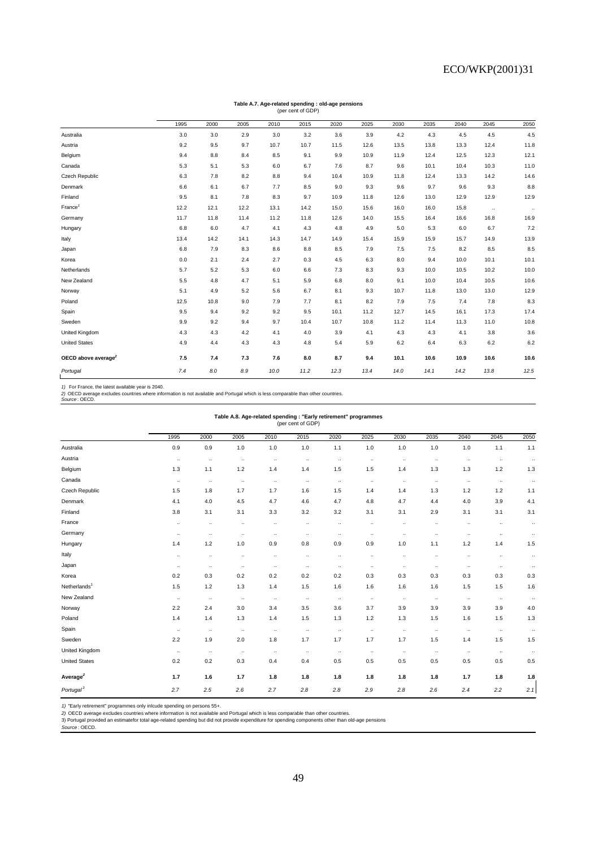## **Table A.7. Age-related spending : old-age pensions** (per cent of GDP)

|                                 | 1995 | 2000 | 2005 | 2010 | 2015 | 2020 | 2025 | 2030 | 2035 | 2040 | 2045     | 2050      |
|---------------------------------|------|------|------|------|------|------|------|------|------|------|----------|-----------|
| Australia                       | 3.0  | 3.0  | 2.9  | 3.0  | 3.2  | 3.6  | 3.9  | 4.2  | 4.3  | 4.5  | 4.5      | 4.5       |
| Austria                         | 9.2  | 9.5  | 9.7  | 10.7 | 10.7 | 11.5 | 12.6 | 13.5 | 13.8 | 13.3 | 12.4     | 11.8      |
| Belgium                         | 9.4  | 8.8  | 8.4  | 8.5  | 9.1  | 9.9  | 10.9 | 11.9 | 12.4 | 12.5 | 12.3     | 12.1      |
| Canada                          | 5.3  | 5.1  | 5.3  | 6.0  | 6.7  | 7.6  | 8.7  | 9.6  | 10.1 | 10.4 | 10.3     | 11.0      |
| Czech Republic                  | 6.3  | 7.8  | 8.2  | 8.8  | 9.4  | 10.4 | 10.9 | 11.8 | 12.4 | 13.3 | 14.2     | 14.6      |
| Denmark                         | 6.6  | 6.1  | 6.7  | 7.7  | 8.5  | 9.0  | 9.3  | 9.6  | 9.7  | 9.6  | 9.3      | 8.8       |
| Finland                         | 9.5  | 8.1  | 7.8  | 8.3  | 9.7  | 10.9 | 11.8 | 12.6 | 13.0 | 12.9 | 12.9     | 12.9      |
| France <sup>1</sup>             | 12.2 | 12.1 | 12.2 | 13.1 | 14.2 | 15.0 | 15.6 | 16.0 | 16.0 | 15.8 | $\ldots$ | $\ddotsc$ |
| Germany                         | 11.7 | 11.8 | 11.4 | 11.2 | 11.8 | 12.6 | 14.0 | 15.5 | 16.4 | 16.6 | 16.8     | 16.9      |
| Hungary                         | 6.8  | 6.0  | 4.7  | 4.1  | 4.3  | 4.8  | 4.9  | 5.0  | 5.3  | 6.0  | 6.7      | 7.2       |
| Italy                           | 13.4 | 14.2 | 14.1 | 14.3 | 14.7 | 14.9 | 15.4 | 15.9 | 15.9 | 15.7 | 14.9     | 13.9      |
| Japan                           | 6.8  | 7.9  | 8.3  | 8.6  | 8.8  | 8.5  | 7.9  | 7.5  | 7.5  | 8.2  | 8.5      | 8.5       |
| Korea                           | 0.0  | 2.1  | 2.4  | 2.7  | 0.3  | 4.5  | 6.3  | 8.0  | 9.4  | 10.0 | 10.1     | 10.1      |
| Netherlands                     | 5.7  | 5.2  | 5.3  | 6.0  | 6.6  | 7.3  | 8.3  | 9.3  | 10.0 | 10.5 | 10.2     | 10.0      |
| New Zealand                     | 5.5  | 4.8  | 4.7  | 5.1  | 5.9  | 6.8  | 8.0  | 9.1  | 10.0 | 10.4 | 10.5     | 10.6      |
| Norway                          | 5.1  | 4.9  | 5.2  | 5.6  | 6.7  | 8.1  | 9.3  | 10.7 | 11.8 | 13.0 | 13.0     | 12.9      |
| Poland                          | 12.5 | 10.8 | 9.0  | 7.9  | 7.7  | 8.1  | 8.2  | 7.9  | 7.5  | 7.4  | 7.8      | 8.3       |
| Spain                           | 9.5  | 9.4  | 9.2  | 9.2  | 9.5  | 10.1 | 11.2 | 12.7 | 14.5 | 16.1 | 17.3     | 17.4      |
| Sweden                          | 9.9  | 9.2  | 9.4  | 9.7  | 10.4 | 10.7 | 10.8 | 11.2 | 11.4 | 11.3 | 11.0     | 10.8      |
| United Kingdom                  | 4.3  | 4.3  | 4.2  | 4.1  | 4.0  | 3.9  | 4.1  | 4.3  | 4.3  | 4.1  | 3.8      | 3.6       |
| <b>United States</b>            | 4.9  | 4.4  | 4.3  | 4.3  | 4.8  | 5.4  | 5.9  | 6.2  | 6.4  | 6.3  | 6.2      | 6.2       |
| OECD above average <sup>2</sup> | 7.5  | 7.4  | 7.3  | 7.6  | 8.0  | 8.7  | 9.4  | 10.1 | 10.6 | 10.9 | 10.6     | 10.6      |
| Portugal                        | 7.4  | 8.0  | 8.9  | 10.0 | 11.2 | 12.3 | 13.4 | 14.0 | 14.1 | 14.2 | 13.8     | 12.5      |

1) For France, the latest available year is 2040.<br>2) OECD average excludes countries where information is not available and Portugal which is less comparable than other countries.<br>Source: OECD.

| Table A.8. Age-related spending : "Early retirement" programmes<br>(per cent of GDP) |              |           |              |           |              |           |           |              |           |              |                      |                      |  |
|--------------------------------------------------------------------------------------|--------------|-----------|--------------|-----------|--------------|-----------|-----------|--------------|-----------|--------------|----------------------|----------------------|--|
|                                                                                      | 1995         | 2000      | 2005         | 2010      | 2015         | 2020      | 2025      | 2030         | 2035      | 2040         | 2045                 | 2050                 |  |
| Australia                                                                            | 0.9          | 0.9       | 1.0          | 1.0       | $1.0$        | 1.1       | 1.0       | $1.0$        | 1.0       | 1.0          | 1.1                  | 1.1                  |  |
| Austria                                                                              | $\ldots$     | $\ddotsc$ | $\ldots$     | $\ddotsc$ | $\ldots$     | $\ldots$  | $\ldots$  | $\ldots$     | $\ddotsc$ | $\ldots$     | $\cdot\cdot$         | $\ldots$             |  |
| Belgium                                                                              | 1.3          | 1.1       | 1.2          | 1.4       | 1.4          | 1.5       | 1.5       | 1.4          | 1.3       | 1.3          | 1.2                  | 1.3                  |  |
| Canada                                                                               | $\cdots$     | $\ldots$  | $\ldots$     | $\ldots$  | $\ldots$     | $\ldots$  | $\ldots$  | $\ldots$     | $\ddotsc$ | $\ldots$     | $\ddot{\phantom{1}}$ | $\ldots$             |  |
| Czech Republic                                                                       | 1.5          | 1.8       | 1.7          | 1.7       | 1.6          | 1.5       | 1.4       | 1.4          | 1.3       | $1.2$        | 1.2                  | 1.1                  |  |
| Denmark                                                                              | 4.1          | 4.0       | 4.5          | 4.7       | 4.6          | 4.7       | 4.8       | 4.7          | 4.4       | 4.0          | 3.9                  | 4.1                  |  |
| Finland                                                                              | 3.8          | 3.1       | 3.1          | 3.3       | 3.2          | 3.2       | 3.1       | 3.1          | 2.9       | 3.1          | 3.1                  | 3.1                  |  |
| France                                                                               | $\cdots$     | $\ldots$  | $\ldots$     | $\ldots$  | $\ldots$     | $\ldots$  | $\ldots$  | $\ldots$     |           | $\ldots$     | $\ldots$             | $\ldots$             |  |
| Germany                                                                              | $\cdots$     | $\ldots$  | $\ldots$     | $\ldots$  | $\ldots$     | $\ldots$  | $\ldots$  | $\ldots$     | $\ddotsc$ | $\ldots$     | $\ldots$             | $\cdot\cdot$         |  |
| Hungary                                                                              | 1.4          | 1.2       | 1.0          | 0.9       | 0.8          | 0.9       | 0.9       | 1.0          | 1.1       | 1.2          | 1.4                  | 1.5                  |  |
| Italy                                                                                | $\cdots$     | $\ldots$  | $\ldots$     | $\ldots$  | $\ldots$     | $\ldots$  | $\ldots$  | $\cdots$     |           | $\ldots$     | $\ddotsc$            | $\cdots$             |  |
| Japan                                                                                | $\cdots$     | $\ldots$  | $\ddotsc$    | $\ldots$  | $\ldots$     | $\ldots$  | $\ddotsc$ | $\ldots$     | $\ddotsc$ | $\ldots$     | $\ddotsc$            | $\ddotsc$            |  |
| Korea                                                                                | 0.2          | 0.3       | 0.2          | 0.2       | 0.2          | 0.2       | 0.3       | 0.3          | 0.3       | 0.3          | 0.3                  | 0.3                  |  |
| Netherlands <sup>1</sup>                                                             | 1.5          | 1.2       | 1.3          | 1.4       | 1.5          | 1.6       | 1.6       | 1.6          | 1.6       | 1.5          | 1.5                  | 1.6                  |  |
| New Zealand                                                                          | $\ldots$     | $\ldots$  | $\ldots$     | $\ldots$  | $\ldots$     | $\ldots$  | $\ldots$  | $\ldots$     | $\ldots$  | $\ldots$     | $\ldots$             | $\ddotsc$            |  |
| Norway                                                                               | 2.2          | 2.4       | 3.0          | 3.4       | 3.5          | 3.6       | 3.7       | 3.9          | 3.9       | 3.9          | 3.9                  | 4.0                  |  |
| Poland                                                                               | 1.4          | 1.4       | 1.3          | 1.4       | 1.5          | 1.3       | 1.2       | 1.3          | 1.5       | 1.6          | 1.5                  | 1.3                  |  |
| Spain                                                                                | $\cdot\cdot$ | $\ldots$  | $\cdot\cdot$ | $\ldots$  | $\cdot\cdot$ | $\ldots$  | $\ldots$  | $\cdot\cdot$ | $\ldots$  | $\cdot\cdot$ | $\ldots$             | $\cdot\cdot$         |  |
| Sweden                                                                               | 2.2          | 1.9       | 2.0          | 1.8       | 1.7          | 1.7       | 1.7       | 1.7          | 1.5       | 1.4          | 1.5                  | 1.5                  |  |
| United Kingdom                                                                       | $\ldots$     | $\ldots$  | $\ldots$     | $\ddotsc$ | $\ldots$     | $\ddotsc$ | $\ldots$  | $\ldots$     | $\ldots$  | $\ddotsc$    | $\ldots$             | $\ddot{\phantom{0}}$ |  |
| <b>United States</b>                                                                 | 0.2          | 0.2       | 0.3          | 0.4       | 0.4          | 0.5       | 0.5       | 0.5          | 0.5       | 0.5          | 0.5                  | 0.5                  |  |
| Average $^2$                                                                         | 1.7          | 1.6       | 1.7          | 1.8       | 1.8          | 1.8       | 1.8       | 1.8          | 1.8       | $1.7$        | 1.8                  | 1.8                  |  |
| Portugal <sup>3</sup>                                                                | 2.7          | 2.5       | 2.6          | 2.7       | 2.8          | 2.8       | 2.9       | 2.8          | 2.6       | 2.4          | 2.2                  | 2.1                  |  |

1) "Early retirement" programmes only inlcude spending on persons 55+.<br>2) OECD average excludes countries where information is not available and Portugal which is less comparable than other countries.<br>3) Portugal provided

Source : OECD.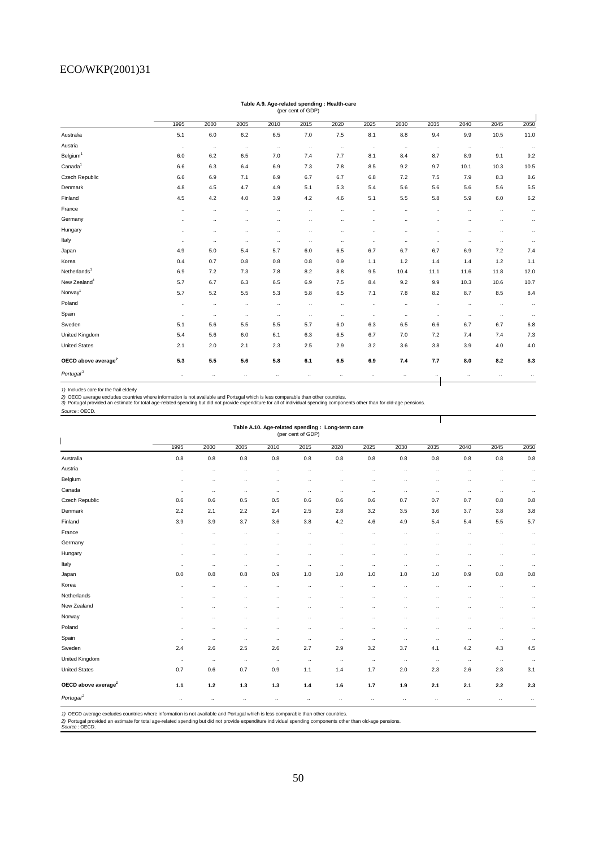### **Table A.9. Age-related spending : Health-care** (per cent of GDP)

|                                 |           |           |                      |                      | $\mu$ of $\mu$ or $\mu$ or $\mu$ |                      |          |           |                      |           |           |                      |
|---------------------------------|-----------|-----------|----------------------|----------------------|----------------------------------|----------------------|----------|-----------|----------------------|-----------|-----------|----------------------|
|                                 | 1995      | 2000      | 2005                 | 2010                 | 2015                             | 2020                 | 2025     | 2030      | 2035                 | 2040      | 2045      | 2050                 |
| Australia                       | 5.1       | 6.0       | 6.2                  | 6.5                  | $7.0$                            | 7.5                  | 8.1      | 8.8       | 9.4                  | 9.9       | 10.5      | 11.0                 |
| Austria                         | $\ldots$  | $\ldots$  | $\ldots$             | $\ldots$             | $\ldots$                         | $\ldots$             | $\cdots$ | $\ldots$  | $\ddotsc$            | $\ldots$  | $\ldots$  | $\ldots$             |
| Belgium <sup>1</sup>            | 6.0       | 6.2       | 6.5                  | 7.0                  | 7.4                              | 7.7                  | 8.1      | 8.4       | 8.7                  | 8.9       | 9.1       | 9.2                  |
| Canada <sup>1</sup>             | 6.6       | 6.3       | 6.4                  | 6.9                  | 7.3                              | 7.8                  | 8.5      | 9.2       | 9.7                  | 10.1      | 10.3      | 10.5                 |
| Czech Republic                  | 6.6       | 6.9       | 7.1                  | 6.9                  | 6.7                              | 6.7                  | 6.8      | 7.2       | 7.5                  | 7.9       | 8.3       | 8.6                  |
| Denmark                         | 4.8       | 4.5       | 4.7                  | 4.9                  | 5.1                              | 5.3                  | 5.4      | 5.6       | 5.6                  | 5.6       | 5.6       | 5.5                  |
| Finland                         | 4.5       | 4.2       | 4.0                  | 3.9                  | 4.2                              | 4.6                  | 5.1      | 5.5       | 5.8                  | 5.9       | 6.0       | 6.2                  |
| France                          | $\cdots$  | $\cdots$  | $\cdots$             | $\cdots$             | $\cdots$                         | $\cdots$             | $\cdots$ | $\cdots$  | $\ldots$             | $\cdots$  | $\cdots$  | $\cdots$             |
| Germany                         | $\ddotsc$ | $\ddotsc$ | $\ddotsc$            |                      | $\ddotsc$                        |                      |          | $\ddotsc$ | $\ddot{\phantom{a}}$ | $\ddotsc$ | $\ddotsc$ |                      |
| Hungary                         | $\ddotsc$ |           |                      |                      | $\ddot{\phantom{0}}$             |                      |          | $\cdots$  |                      | $\ddotsc$ | $\cdots$  | $\cdots$             |
| Italy                           | $\ldots$  | $\ddotsc$ | $\ddot{\phantom{a}}$ | $\ddot{\phantom{a}}$ | $\ldots$                         | $\ddot{\phantom{a}}$ | $\ldots$ | $\cdots$  | $\ldots$             | $\cdots$  | $\ldots$  | $\ldots$             |
| Japan                           | 4.9       | 5.0       | 5.4                  | 5.7                  | 6.0                              | 6.5                  | 6.7      | 6.7       | 6.7                  | 6.9       | 7.2       | 7.4                  |
| Korea                           | 0.4       | 0.7       | 0.8                  | 0.8                  | 0.8                              | 0.9                  | 1.1      | 1.2       | 1.4                  | 1.4       | 1.2       | 1.1                  |
| Netherlands <sup>1</sup>        | 6.9       | 7.2       | 7.3                  | 7.8                  | 8.2                              | $8.8\,$              | 9.5      | 10.4      | 11.1                 | 11.6      | 11.8      | 12.0                 |
| New Zealand <sup>1</sup>        | 5.7       | 6.7       | 6.3                  | 6.5                  | 6.9                              | 7.5                  | 8.4      | 9.2       | 9.9                  | 10.3      | 10.6      | 10.7                 |
| Norway <sup>1</sup>             | 5.7       | 5.2       | 5.5                  | 5.3                  | 5.8                              | 6.5                  | 7.1      | 7.8       | 8.2                  | 8.7       | 8.5       | 8.4                  |
| Poland                          | $\ldots$  |           |                      |                      |                                  |                      |          | $\ddotsc$ |                      |           |           | $\cdots$             |
| Spain                           | $\cdots$  | $\ddotsc$ | $\cdot\cdot$         | $\ddot{\phantom{0}}$ | $\cdots$                         | ٠.                   | $\cdots$ | $\cdots$  | $\cdots$             | $\cdots$  | $\cdots$  | $\cdot\cdot$         |
| Sweden                          | 5.1       | 5.6       | 5.5                  | 5.5                  | 5.7                              | 6.0                  | 6.3      | 6.5       | 6.6                  | 6.7       | 6.7       | 6.8                  |
| United Kingdom                  | 5.4       | 5.6       | 6.0                  | 6.1                  | 6.3                              | 6.5                  | 6.7      | 7.0       | 7.2                  | 7.4       | 7.4       | 7.3                  |
| <b>United States</b>            | 2.1       | 2.0       | 2.1                  | 2.3                  | 2.5                              | 2.9                  | 3.2      | 3.6       | 3.8                  | 3.9       | 4.0       | 4.0                  |
| OECD above average <sup>2</sup> | 5.3       | 5.5       | 5.6                  | 5.8                  | 6.1                              | $6.5\,$              | 6.9      | 7.4       | 7.7                  | 8.0       | 8.2       | 8.3                  |
| Portugal <sup>3</sup>           | $\cdots$  | $\ddotsc$ | $\ddotsc$            | $\cdots$             | $\cdot\cdot$                     | $\cdot$ .            | $\ldots$ | $\ldots$  | $\ddot{\phantom{0}}$ | $\ldots$  | $\cdots$  | $\ddot{\phantom{0}}$ |

1) Includes care for the frail elderly

2) OECD average excludes countries where information is not available and Portugal which is less comparable than other countries.<br>3) Portugal provided an estimate for total age-related spending but did not provide expendit

| Source: OECD.                                                         |                      |              |                      |                      |                      |                      |              |                      |                      |           |              |              |  |
|-----------------------------------------------------------------------|----------------------|--------------|----------------------|----------------------|----------------------|----------------------|--------------|----------------------|----------------------|-----------|--------------|--------------|--|
| Table A.10. Age-related spending: Long-term care<br>(per cent of GDP) |                      |              |                      |                      |                      |                      |              |                      |                      |           |              |              |  |
|                                                                       | 1995                 | 2000         | 2005                 | 2010                 | 2015                 | 2020                 | 2025         | 2030                 | 2035                 | 2040      | 2045         | 2050         |  |
| Australia                                                             | 0.8                  | 0.8          | 0.8                  | $0.8\,$              | 0.8                  | 0.8                  | 0.8          | 0.8                  | 0.8                  | 0.8       | 0.8          | 0.8          |  |
| Austria                                                               | $\cdot\cdot$         | $\ldots$     | $\cdot\cdot$         | $\ldots$             | $\ldots$             | $\cdots$             | $\cdots$     | $\cdots$             | $\ldots$             | $\cdots$  | $\ddotsc$    | $\cdot\cdot$ |  |
| Belgium                                                               | $\cdots$             | $\ddotsc$    | $\ddot{\phantom{a}}$ | ٠.                   | $\ddotsc$            | $\ddotsc$            |              | $\ddotsc$            | $\ddot{\phantom{a}}$ |           | $\ddotsc$    | $\cdots$     |  |
| Canada                                                                | $\cdot\cdot$         | $\ldots$     | $\cdot\cdot$         | $\ldots$             | $\ldots$             | $\ldots$             | $\ldots$     | $\cdots$             | $\ldots$             | $\ldots$  | $\cdots$     | $\cdot\cdot$ |  |
| Czech Republic                                                        | 0.6                  | 0.6          | 0.5                  | 0.5                  | 0.6                  | 0.6                  | 0.6          | 0.7                  | 0.7                  | 0.7       | 0.8          | 0.8          |  |
| Denmark                                                               | 2.2                  | 2.1          | 2.2                  | 2.4                  | 2.5                  | 2.8                  | 3.2          | 3.5                  | 3.6                  | 3.7       | 3.8          | 3.8          |  |
| Finland                                                               | 3.9                  | 3.9          | 3.7                  | 3.6                  | 3.8                  | 4.2                  | 4.6          | 4.9                  | 5.4                  | 5.4       | 5.5          | 5.7          |  |
| France                                                                | $\ldots$             | $\ldots$     | $\ldots$             | $\ldots$             | $\ldots$             | $\ldots$             | $\ldots$     | $\ldots$             | $\ldots$             | $\ldots$  | $\ldots$     | $\ddotsc$    |  |
| Germany                                                               | $\cdots$             | $\ldots$     | ٠.                   | ٠.                   | $\ddot{\phantom{0}}$ | $\ddotsc$            |              | $\ddotsc$            | $\ddot{\phantom{0}}$ | $\cdots$  | $\ldots$     | $\cdot\cdot$ |  |
| Hungary                                                               | $\cdots$             | $\ldots$     | $\cdot\cdot$         | $\cdots$             | $\cdots$             | $\cdots$             | $\cdots$     | $\cdots$             | $\ldots$             | $\cdots$  | $\cdots$     | $\ddotsc$    |  |
| Italy                                                                 | $\ldots$             | $\ldots$     | $\ldots$             | $\ldots$             | $\ldots$             | $\ddotsc$            | $\ddotsc$    | $\ldots$             | $\ddotsc$            | $\cdots$  | $\cdot\cdot$ | $\cdot\cdot$ |  |
| Japan                                                                 | 0.0                  | 0.8          | 0.8                  | 0.9                  | $1.0$                | $1.0$                | 1.0          | 1.0                  | 1.0                  | 0.9       | 0.8          | 0.8          |  |
| Korea                                                                 | $\ldots$             | $\ldots$     | $\ldots$             | $\ldots$             | $\ldots$             | $\ldots$             | $\ldots$     | $\ldots$             | $\ldots$             | $\ldots$  | $\ldots$     | $\ddotsc$    |  |
| Netherlands                                                           | $\cdots$             | $\cdot\cdot$ | $\cdot\cdot$         | $\cdots$             | $\cdots$             | $\ddotsc$            | $\cdots$     | $\ldots$             | $\ddot{\phantom{0}}$ | $\cdots$  | $\cdot\cdot$ | $\cdot\cdot$ |  |
| New Zealand                                                           | $\ddot{\phantom{a}}$ | $\cdot\cdot$ | $\ddot{\phantom{a}}$ | $\ddot{\phantom{a}}$ | $\ddot{\phantom{a}}$ | $\ddot{\phantom{a}}$ | ٠.           | $\ddot{\phantom{a}}$ | $\ddot{\phantom{a}}$ | $\cdots$  | $\ldots$     | $\cdots$     |  |
| Norway                                                                | $\ddot{\phantom{0}}$ | $\ddotsc$    |                      | $\ldots$             | $\ddotsc$            |                      | $\ldots$     | $\ldots$             | $\ddot{\phantom{0}}$ | $\ddotsc$ | $\cdots$     | $\cdot\cdot$ |  |
| Poland                                                                | $\cdots$             | $\cdot\cdot$ | $\cdot\cdot$         | $\cdots$             | $\cdots$             | $\ddotsc$            |              | ٠.                   | $\ddot{\phantom{0}}$ | $\cdots$  | $\cdots$     | $\cdots$     |  |
| Spain                                                                 | $\ddotsc$            | $\ldots$     | $\ldots$             | $\ldots$             | $\ldots$             | $\ldots$             | $\ldots$     | $\ldots$             | $\ldots$             | $\ldots$  | $\ldots$     | $\cdot\cdot$ |  |
| Sweden                                                                | 2.4                  | 2.6          | 2.5                  | 2.6                  | 2.7                  | 2.9                  | 3.2          | 3.7                  | 4.1                  | 4.2       | 4.3          | 4.5          |  |
| United Kingdom                                                        | $\ldots$             | $\ldots$     | $\ldots$             | $\ldots$             | $\ldots$             | $\ldots$             | $\ldots$     | $\ldots$             | $\ldots$             | $\ldots$  | $\ldots$     | $\ddotsc$    |  |
| <b>United States</b>                                                  | 0.7                  | 0.6          | 0.7                  | 0.9                  | 1.1                  | 1.4                  | 1.7          | 2.0                  | 2.3                  | 2.6       | 2.8          | 3.1          |  |
| OECD above average <sup>1</sup>                                       | 1.1                  | $1.2$        | $1.3$                | $1.3$                | 1.4                  | 1.6                  | $1.7$        | 1.9                  | 2.1                  | 2.1       | $2.2\,$      | 2.3          |  |
| Portugal <sup>2</sup>                                                 | $\ldots$             | $\ddotsc$    | $\cdots$             | $\ddot{\phantom{0}}$ | $\ddotsc$            | $\cdot$ .            | $\cdot\cdot$ | $\cdot\cdot$         | $\cdot\cdot$         |           | $\cdots$     | $\cdots$     |  |

1) OECD average excludes countries where information is not available and Portugal which is less comparable than other countries.

2) Portugal provided an estimate for total age-related spending but did not provide expenditure individual spending components other than old-age pensions. Source : OECD.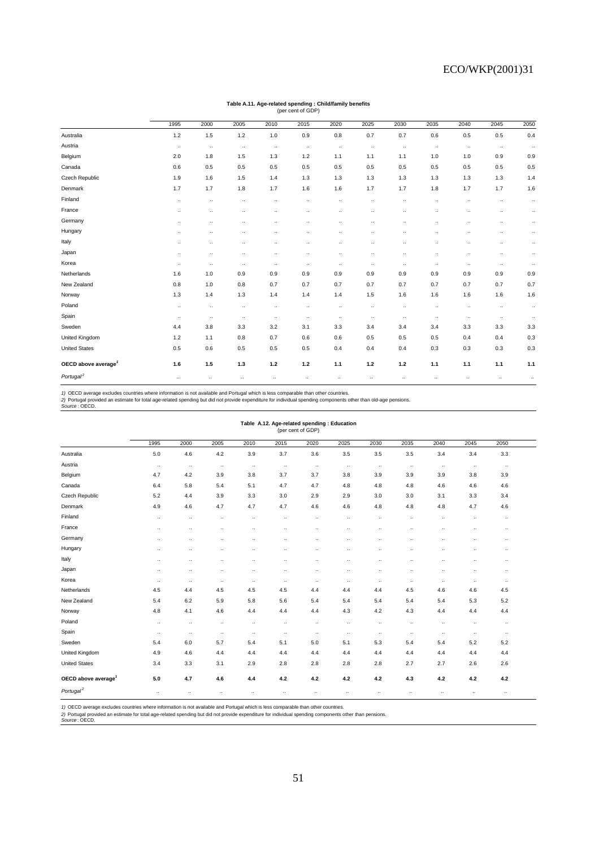## **Table A.11. Age-related spending : Child/family benefits** (per cent of GDP)

|                                 | 1995                 | 2000                 | 2005                 | 2010                 | 2015      | 2020                 | 2025         | 2030                 | 2035         | 2040      | 2045      | 2050                 |
|---------------------------------|----------------------|----------------------|----------------------|----------------------|-----------|----------------------|--------------|----------------------|--------------|-----------|-----------|----------------------|
| Australia                       | 1.2                  | 1.5                  | 1.2                  | 1.0                  | 0.9       | 0.8                  | 0.7          | 0.7                  | 0.6          | 0.5       | 0.5       | 0.4                  |
| Austria                         | $\ldots$             | $\ldots$             | $\ddotsc$            | $\ddotsc$            | $\cdots$  | $\ldots$             | $\ldots$     | $\ddot{\phantom{0}}$ | $\ldots$     | $\ldots$  | $\cdots$  | $\cdot\cdot$         |
| Belgium                         | 2.0                  | 1.8                  | 1.5                  | 1.3                  | $1.2$     | 1.1                  | 1.1          | 1.1                  | 1.0          | 1.0       | 0.9       | 0.9                  |
| Canada                          | 0.6                  | 0.5                  | 0.5                  | 0.5                  | 0.5       | 0.5                  | 0.5          | 0.5                  | 0.5          | 0.5       | 0.5       | 0.5                  |
| Czech Republic                  | 1.9                  | 1.6                  | 1.5                  | 1.4                  | 1.3       | 1.3                  | 1.3          | 1.3                  | 1.3          | 1.3       | 1.3       | 1.4                  |
| Denmark                         | 1.7                  | 1.7                  | 1.8                  | 1.7                  | 1.6       | 1.6                  | 1.7          | 1.7                  | 1.8          | 1.7       | 1.7       | 1.6                  |
| Finland                         | $\ldots$             | $\cdots$             | $\cdot\cdot$         | $\ldots$             | $\ldots$  | $\ldots$             | $\ddotsc$    | $\cdots$             | $\ldots$     | $\ldots$  | $\ldots$  | $\ddot{\phantom{0}}$ |
| France                          | $\ldots$             | $\ddotsc$            | $\ddot{\phantom{0}}$ | ٠.                   |           | $\ddot{\phantom{0}}$ | $\ddotsc$    | $\ddotsc$            | $\ddotsc$    | ٠.        | $\ldots$  | $\ddotsc$            |
| Germany                         | $\ddot{\phantom{a}}$ | $\ddotsc$            | $\ddotsc$            | $\ddotsc$            |           | $\cdots$             | $\ddotsc$    | $\ddotsc$            | $\ddotsc$    | $\ldots$  | $\ldots$  | $\ddot{\phantom{0}}$ |
| Hungary                         | $\ddotsc$            | $\ddotsc$            | $\ddot{\phantom{0}}$ | $\ddot{\phantom{0}}$ |           | $\cdots$             | $\cdot\cdot$ | $\ddotsc$            | $\ddotsc$    | $\ddotsc$ | $\ldots$  | $\ddotsc$            |
| Italy                           | $\ddotsc$            | $\ddot{\phantom{a}}$ | $\ddotsc$            | $\ddot{\phantom{0}}$ | $\ddotsc$ | $\ddotsc$            | $\ddotsc$    | $\ddotsc$            | $\ddotsc$    | $\ddotsc$ | $\ddotsc$ | $\ddotsc$            |
| Japan                           | $\ldots$             | $\ddotsc$            | $\ddot{\phantom{0}}$ | $\ddot{\phantom{0}}$ |           | $\cdots$             | $\ddotsc$    | $\ddotsc$            | $\ddotsc$    | $\ldots$  | $\cdots$  | $\ddotsc$            |
| Korea                           | $\ddotsc$            | $\ddotsc$            | $\ddotsc$            | $\cdots$             | $\cdots$  | $\cdots$             | $\ddotsc$    | $\cdots$             | $\cdots$     | $\ldots$  | $\cdots$  | $\ddotsc$            |
| Netherlands                     | 1.6                  | 1.0                  | 0.9                  | 0.9                  | 0.9       | 0.9                  | 0.9          | 0.9                  | 0.9          | 0.9       | 0.9       | 0.9                  |
| New Zealand                     | 0.8                  | 1.0                  | 0.8                  | 0.7                  | 0.7       | 0.7                  | 0.7          | 0.7                  | 0.7          | 0.7       | 0.7       | 0.7                  |
| Norway                          | 1.3                  | 1.4                  | 1.3                  | 1.4                  | 1.4       | 1.4                  | 1.5          | 1.6                  | 1.6          | 1.6       | 1.6       | 1.6                  |
| Poland                          | $\ddotsc$            | $\ldots$             | $\ddotsc$            | $\ldots$             | $\ldots$  | $\ldots$             | $\ddotsc$    | $\ldots$             | $\ldots$     | $\ldots$  | $\ldots$  | $\ddotsc$            |
| Spain                           | $\ldots$             | $\cdots$             | $\ddotsc$            | $\cdots$             | $\ldots$  | $\cdots$             | $\ldots$     | $\ldots$             | $\ldots$     | $\cdots$  | $\ldots$  | $\ddotsc$            |
| Sweden                          | 4.4                  | 3.8                  | 3.3                  | 3.2                  | 3.1       | 3.3                  | 3.4          | 3.4                  | 3.4          | 3.3       | 3.3       | 3.3                  |
| United Kingdom                  | 1.2                  | 1.1                  | 0.8                  | 0.7                  | 0.6       | 0.6                  | 0.5          | 0.5                  | 0.5          | 0.4       | 0.4       | 0.3                  |
| <b>United States</b>            | 0.5                  | 0.6                  | 0.5                  | 0.5                  | 0.5       | 0.4                  | 0.4          | 0.4                  | 0.3          | 0.3       | 0.3       | 0.3                  |
| OECD above average <sup>1</sup> | 1.6                  | 1.5                  | $1.3$                | $1.2$                | $1.2$     | $1.1$                | $1.2$        | $1.2$                | 1.1          | $1.1$     | 1.1       | 1.1                  |
| Portugal <sup>2</sup>           | $\cdots$             | $\cdot\cdot$         | $\cdots$             | $\cdots$             | $\cdots$  | $\cdots$             | $\cdots$     | $\cdots$             | $\cdot\cdot$ | $\cdots$  | $\cdots$  | $\cdot\cdot$         |

1) OECD average excludes countries where information is not available and Portugal which is less comparable than other countries.<br>2) Portugal provided an estimate for total age-related spending but did not provide expendit

| Table A.12. Age-related spending: Education<br>(per cent of GDP) |           |           |                      |                      |                      |           |           |           |                      |              |              |              |
|------------------------------------------------------------------|-----------|-----------|----------------------|----------------------|----------------------|-----------|-----------|-----------|----------------------|--------------|--------------|--------------|
|                                                                  | 1995      | 2000      | 2005                 | 2010                 | 2015                 | 2020      | 2025      | 2030      | 2035                 | 2040         | 2045         | 2050         |
| Australia                                                        | 5.0       | 4.6       | 4.2                  | 3.9                  | 3.7                  | 3.6       | 3.5       | 3.5       | 3.5                  | 3.4          | 3.4          | 3.3          |
| Austria                                                          | $\ldots$  | $\ldots$  | $\ldots$             | $\ldots$             | $\ldots$             | $\ldots$  | $\ldots$  | $\ldots$  | $\ldots$             | $\cdot\cdot$ | $\ldots$     | $\ldots$     |
| Belgium                                                          | 4.7       | 4.2       | 3.9                  | 3.8                  | 3.7                  | 3.7       | 3.8       | 3.9       | 3.9                  | 3.9          | 3.8          | 3.9          |
| Canada                                                           | 6.4       | 5.8       | 5.4                  | 5.1                  | 4.7                  | 4.7       | 4.8       | 4.8       | 4.8                  | 4.6          | 4.6          | 4.6          |
| Czech Republic                                                   | 5.2       | 4.4       | 3.9                  | 3.3                  | 3.0                  | 2.9       | 2.9       | 3.0       | 3.0                  | 3.1          | 3.3          | 3.4          |
| Denmark                                                          | 4.9       | 4.6       | 4.7                  | 4.7                  | 4.7                  | 4.6       | 4.6       | 4.8       | 4.8                  | 4.8          | 4.7          | 4.6          |
| Finland                                                          | $\ddotsc$ | $\ldots$  | $\ldots$             | $\cdot\cdot$         | $\cdot\cdot$         | $\ldots$  | $\ldots$  | $\ldots$  | $\cdot\cdot$         | $\ldots$     | $\cdot\cdot$ | $\cdots$     |
| France                                                           | $\ddotsc$ | $\ldots$  | $\cdots$             | $\cdots$             | $\cdots$             | $\cdots$  | $\cdots$  | $\cdots$  | $\cdots$             | $\cdot\cdot$ | $\cdots$     | $\cdots$     |
| Germany                                                          | $\cdots$  | $\cdots$  | $\ldots$             | $\cdots$             | $\cdots$             | $\cdots$  | $\cdots$  | $\cdots$  | $\cdots$             | $\cdot\cdot$ | $\cdots$     | $\cdots$     |
| Hungary                                                          | $\ddotsc$ | $\ddotsc$ | $\ddot{\phantom{a}}$ | $\ldots$             | $\ddot{\phantom{a}}$ | $\cdots$  | $\ddotsc$ |           | $\ddot{\phantom{0}}$ | $\cdot\cdot$ | $\cdots$     | $\cdots$     |
| Italy                                                            | $\cdots$  | $\ddotsc$ | $\ldots$             | $\ddotsc$            | $\ddot{\phantom{a}}$ | $\ldots$  | $\ddotsc$ | $\cdots$  | $\cdots$             | $\cdot\cdot$ | $\cdots$     | $\cdots$     |
| Japan                                                            | $\ddotsc$ | $\ldots$  | $\ldots$             | $\ldots$             | $\ldots$             | $\ldots$  | $\ldots$  | $\ddotsc$ | $\ldots$             | $\ddotsc$    | $\ldots$     | $\cdots$     |
| Korea                                                            | $\ldots$  | $\cdots$  | $\ldots$             | $\ldots$             | $\ldots$             | $\cdots$  | $\ldots$  | $\ldots$  | $\ldots$             | $\ldots$     | $\ldots$     | $\cdots$     |
| Netherlands                                                      | 4.5       | 4.4       | 4.5                  | 4.5                  | 4.5                  | 4.4       | 4.4       | 4.4       | 4.5                  | 4.6          | 4.6          | 4.5          |
| New Zealand                                                      | 5.4       | 6.2       | 5.9                  | 5.8                  | 5.6                  | 5.4       | 5.4       | 5.4       | 5.4                  | 5.4          | 5.3          | 5.2          |
| Norway                                                           | 4.8       | 4.1       | 4.6                  | 4.4                  | 4.4                  | 4.4       | 4.3       | 4.2       | 4.3                  | 4.4          | 4.4          | 4.4          |
| Poland                                                           | $\ldots$  | $\ldots$  | $\cdot\cdot$         | $\cdot\cdot$         | $\cdot\cdot$         | $\ldots$  | $\ldots$  | $\ldots$  | $\ldots$             | $\ldots$     | $\cdot\cdot$ | $\cdot\cdot$ |
| Spain                                                            | $\ldots$  | $\ldots$  | $\ldots$             | $\ddot{\phantom{0}}$ | $\ldots$             | $\ddotsc$ | $\ldots$  | $\ldots$  | $\ldots$             | $\ddotsc$    | $\ldots$     | $\ldots$     |
| Sweden                                                           | 5.4       | 6.0       | 5.7                  | 5.4                  | 5.1                  | 5.0       | 5.1       | 5.3       | 5.4                  | 5.4          | 5.2          | 5.2          |
| United Kingdom                                                   | 4.9       | 4.6       | 4.4                  | 4.4                  | 4.4                  | 4.4       | 4.4       | 4.4       | 4.4                  | 4.4          | 4.4          | 4.4          |
| <b>United States</b>                                             | 3.4       | 3.3       | 3.1                  | 2.9                  | 2.8                  | 2.8       | 2.8       | 2.8       | 2.7                  | 2.7          | 2.6          | 2.6          |
| OECD above average <sup>1</sup>                                  | 5.0       | 4.7       | 4.6                  | 4.4                  | 4.2                  | 4.2       | 4.2       | 4.2       | 4.3                  | 4.2          | 4.2          | 4.2          |
| Portugal <sup>2</sup>                                            | $\ldots$  | $\ldots$  | $\cdot\cdot$         | $\cdots$             | $\ldots$             | $\ldots$  | $\ldots$  | $\cdots$  | $\ldots$             |              | $\cdot\cdot$ | $\cdots$     |

1) OECD average excludes countries where information is not available and Portugal which is less comparable than other countries.<br>2) Portugal provided an estimate for total age-related spending but did not provide expendit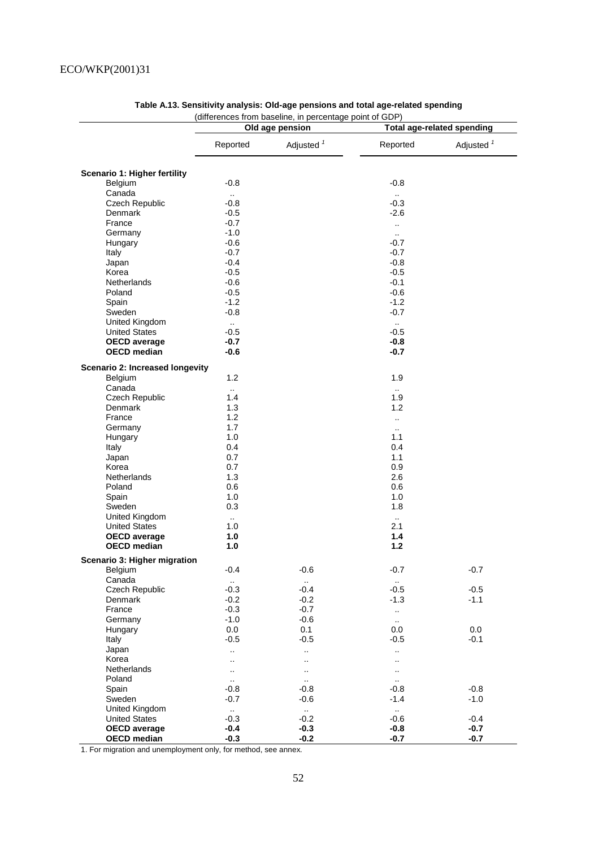|                                         |                  | (differences from baseline, in percentage point of GDP)<br>Old age pension |                      | <b>Total age-related spending</b> |
|-----------------------------------------|------------------|----------------------------------------------------------------------------|----------------------|-----------------------------------|
|                                         | Reported         | Adjusted <sup>1</sup>                                                      | Reported             | Adjusted <sup>1</sup>             |
|                                         |                  |                                                                            |                      |                                   |
| <b>Scenario 1: Higher fertility</b>     |                  |                                                                            |                      |                                   |
| Belgium                                 | $-0.8$           |                                                                            | $-0.8$               |                                   |
| Canada                                  | $\sim$           |                                                                            | $\sim$               |                                   |
| Czech Republic                          | $-0.8$           |                                                                            | $-0.3$               |                                   |
| Denmark                                 | $-0.5$           |                                                                            | $-2.6$               |                                   |
| France                                  | $-0.7$           |                                                                            | $\ddot{\phantom{a}}$ |                                   |
| Germany                                 | $-1.0$           |                                                                            | $\sim$               |                                   |
| Hungary                                 | $-0.6$           |                                                                            | $-0.7$               |                                   |
| Italy                                   | $-0.7$<br>$-0.4$ |                                                                            | $-0.7$<br>$-0.8$     |                                   |
| Japan                                   | $-0.5$           |                                                                            | $-0.5$               |                                   |
| Korea<br>Netherlands                    | $-0.6$           |                                                                            | $-0.1$               |                                   |
| Poland                                  | $-0.5$           |                                                                            | $-0.6$               |                                   |
| Spain                                   | $-1.2$           |                                                                            | $-1.2$               |                                   |
| Sweden                                  | $-0.8$           |                                                                            | $-0.7$               |                                   |
| United Kingdom                          |                  |                                                                            | $\ddot{\phantom{a}}$ |                                   |
| <b>United States</b>                    | $\sim$<br>$-0.5$ |                                                                            | $-0.5$               |                                   |
| <b>OECD</b> average                     | $-0.7$           |                                                                            | $-0.8$               |                                   |
| <b>OECD</b> median                      | $-0.6$           |                                                                            | $-0.7$               |                                   |
| <b>Scenario 2: Increased longevity</b>  |                  |                                                                            |                      |                                   |
| Belgium                                 | 1.2              |                                                                            | 1.9                  |                                   |
| Canada                                  | $\ddotsc$        |                                                                            |                      |                                   |
| Czech Republic                          | 1.4              |                                                                            | 1.9                  |                                   |
| Denmark                                 | 1.3              |                                                                            | 1.2                  |                                   |
| France                                  | 1.2              |                                                                            | $\ddot{\phantom{a}}$ |                                   |
| Germany                                 | 1.7              |                                                                            | $\sim$               |                                   |
| Hungary                                 | 1.0              |                                                                            | 1.1                  |                                   |
| Italy                                   | 0.4              |                                                                            | 0.4                  |                                   |
| Japan                                   | 0.7              |                                                                            | 1.1                  |                                   |
| Korea                                   | 0.7              |                                                                            | 0.9                  |                                   |
| <b>Netherlands</b>                      | 1.3              |                                                                            | 2.6                  |                                   |
| Poland                                  | 0.6              |                                                                            | 0.6                  |                                   |
| Spain                                   | 1.0              |                                                                            | 1.0                  |                                   |
| Sweden                                  | 0.3              |                                                                            | 1.8                  |                                   |
| United Kingdom                          | $\ddotsc$        |                                                                            | $\sim$               |                                   |
| <b>United States</b>                    | 1.0              |                                                                            | 2.1                  |                                   |
| <b>OECD</b> average                     | 1.0              |                                                                            | 1.4                  |                                   |
| <b>OECD</b> median                      | 1.0              |                                                                            | $1.2$                |                                   |
| Scenario 3: Higher migration<br>Belgium | $-0.4$           | $-0.6$                                                                     | $-0.7$               | $-0.7$                            |
| Canada                                  | $\sim$           | $\mathbf{u}$                                                               |                      |                                   |
| Czech Republic                          | $-0.3$           | $-0.4$                                                                     | $\sim$<br>$-0.5$     | $-0.5$                            |
| <b>Denmark</b>                          | $-0.2$           | $-0.2$                                                                     | $-1.3$               | $-1.1$                            |
| France                                  | $-0.3$           | $-0.7$                                                                     | $\sim$               |                                   |
| Germany                                 | $-1.0$           | $-0.6$                                                                     | $\sim$               |                                   |
| Hungary                                 | 0.0              | 0.1                                                                        | 0.0                  | 0.0                               |
| Italy                                   | $-0.5$           | $-0.5$                                                                     | $-0.5$               | $-0.1$                            |
| Japan                                   | $\ddotsc$        | $\ddotsc$                                                                  | $\sim$               |                                   |
| Korea                                   |                  | Ω.                                                                         | $\ddot{\phantom{a}}$ |                                   |
| Netherlands                             |                  | ٠.                                                                         | $\ddot{\phantom{1}}$ |                                   |
| Poland                                  | $\sim$           | $\ddotsc$                                                                  | $\sim$               |                                   |
| Spain                                   | $-0.8$           | $-0.8$                                                                     | $-0.8$               | $-0.8$                            |
| Sweden                                  | $-0.7$           | $-0.6$                                                                     | $-1.4$               | $-1.0$                            |
| United Kingdom                          | $\sim$           | $\mathcal{L}_{\mathcal{A}}$                                                | $\sim$               |                                   |
| <b>United States</b>                    | $-0.3$           | $-0.2$                                                                     | $-0.6$               | $-0.4$                            |
| <b>OECD</b> average                     | $-0.4$           | $-0.3$                                                                     | $-0.8$               | $-0.7$                            |
| <b>OECD</b> median                      | $-0.3$           | $-0.2$                                                                     | $-0.7$               | $-0.7$                            |

### **Table A.13. Sensitivity analysis: Old-age pensions and total age-related spending**

1. For migration and unemployment only, for method, see annex.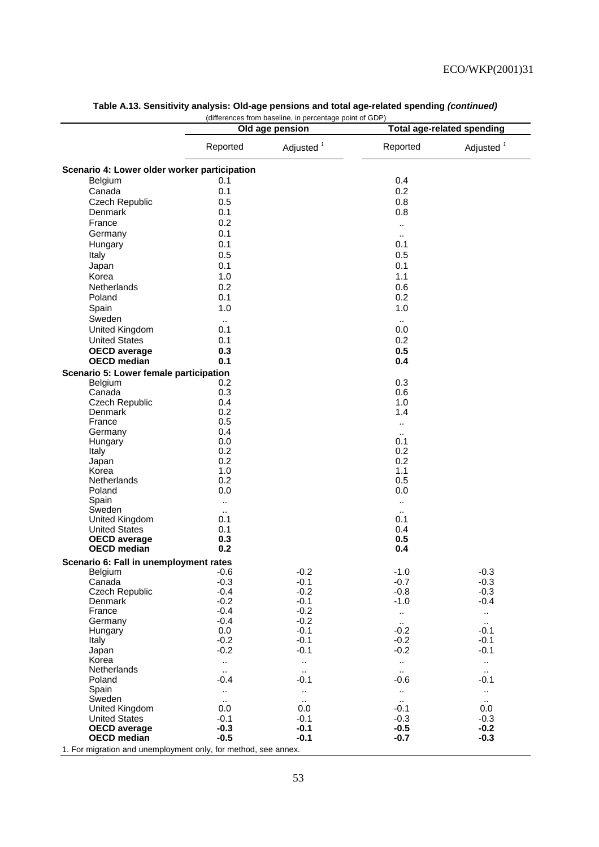|                                                                | Old age pension      |                       |                  | <b>Total age-related spending</b> |  |
|----------------------------------------------------------------|----------------------|-----------------------|------------------|-----------------------------------|--|
|                                                                | Reported             | Adjusted <sup>1</sup> | Reported         | Adjusted <sup>1</sup>             |  |
| Scenario 4: Lower older worker participation                   |                      |                       |                  |                                   |  |
| Belgium                                                        | 0.1                  |                       | 0.4              |                                   |  |
| Canada                                                         | 0.1                  |                       | 0.2              |                                   |  |
| <b>Czech Republic</b>                                          | 0.5                  |                       | 0.8              |                                   |  |
| Denmark                                                        | 0.1                  |                       | 0.8              |                                   |  |
| France                                                         | 0.2                  |                       | ٠.               |                                   |  |
| Germany                                                        | 0.1                  |                       | ٠.               |                                   |  |
| Hungary                                                        | 0.1                  |                       | 0.1              |                                   |  |
| Italy                                                          | 0.5                  |                       | 0.5              |                                   |  |
| Japan                                                          | 0.1                  |                       | 0.1              |                                   |  |
| Korea                                                          | 1.0                  |                       | 1.1              |                                   |  |
| Netherlands                                                    | 0.2                  |                       | 0.6              |                                   |  |
| Poland                                                         | 0.1                  |                       | 0.2              |                                   |  |
| Spain                                                          | 1.0                  |                       | 1.0              |                                   |  |
| Sweden                                                         | $\ddotsc$            |                       | $\ddotsc$        |                                   |  |
| United Kingdom                                                 | 0.1                  |                       | 0.0              |                                   |  |
| <b>United States</b>                                           | 0.1                  |                       | 0.2              |                                   |  |
| <b>OECD</b> average                                            | 0.3                  |                       | 0.5              |                                   |  |
| <b>OECD</b> median                                             | 0.1                  |                       | 0.4              |                                   |  |
| Scenario 5: Lower female participation                         |                      |                       |                  |                                   |  |
| Belgium                                                        | 0.2                  |                       | 0.3              |                                   |  |
| Canada                                                         | 0.3                  |                       | 0.6              |                                   |  |
| Czech Republic                                                 | 0.4                  |                       | 1.0              |                                   |  |
| Denmark                                                        | 0.2                  |                       | 1.4              |                                   |  |
| France                                                         | 0.5                  |                       |                  |                                   |  |
| Germany                                                        | 0.4                  |                       | $\ddotsc$        |                                   |  |
| Hungary                                                        | 0.0                  |                       | 0.1              |                                   |  |
| <b>Italy</b>                                                   | 0.2                  |                       | 0.2              |                                   |  |
| Japan<br>Korea                                                 | 0.2<br>1.0           |                       | 0.2<br>1.1       |                                   |  |
| Netherlands                                                    | 0.2                  |                       | 0.5              |                                   |  |
| Poland                                                         | 0.0                  |                       | 0.0              |                                   |  |
| Spain                                                          | $\ddot{\phantom{0}}$ |                       | ٠.               |                                   |  |
| Sweden                                                         | $\ldots$             |                       | $\cdot$ .        |                                   |  |
| United Kingdom                                                 | 0.1                  |                       | 0.1              |                                   |  |
| <b>United States</b>                                           | 0.1                  |                       | 0.4              |                                   |  |
| <b>OECD</b> average                                            | 0.3                  |                       | 0.5              |                                   |  |
| <b>OECD</b> median                                             | 0.2                  |                       | 0.4              |                                   |  |
| Scenario 6: Fall in unemployment rates                         |                      |                       |                  |                                   |  |
| Belgium                                                        | $-0.6$               | $-0.2$                | $-1.0$           | $-0.3$                            |  |
| Canada                                                         | $-0.3$               | $-0.1$                | $-0.7$           | $-0.3$                            |  |
| Czech Republic                                                 | $-0.4$               | $-0.2$                | $-0.8$           | $-0.3$                            |  |
| Denmark                                                        | $-0.2$               | $-0.1$                | $-1.0$           | $-0.4$                            |  |
| France                                                         | $-0.4$               | $-0.2$                | Ω.               | $\ddot{\phantom{a}}$              |  |
| Germany                                                        | $-0.4$<br>0.0        | $-0.2$<br>$-0.1$      | $\sim$<br>$-0.2$ | $\sim$<br>$-0.1$                  |  |
| Hungary<br>Italy                                               | $-0.2$               | $-0.1$                | $-0.2$           | $-0.1$                            |  |
| Japan                                                          | $-0.2$               | $-0.1$                | $-0.2$           | $-0.1$                            |  |
| Korea                                                          | $\ddot{\phantom{1}}$ | н.                    | Ω.               | $\ddotsc$                         |  |
| Netherlands                                                    | $\ddotsc$            | $\sim$                | $\ldots$         | $\mathbf{a}$                      |  |
| Poland                                                         | $-0.4$               | $-0.1$                | $-0.6$           | $-0.1$                            |  |
| Spain                                                          | $\ddot{\phantom{1}}$ | $\ddot{\phantom{1}}$  | $\sim$           | $\ddot{\phantom{1}}$              |  |
| Sweden                                                         | $\ddot{\phantom{1}}$ | $\ddot{\phantom{1}}$  | $\sim$           | $\sim$                            |  |
| United Kingdom                                                 | 0.0                  | 0.0                   | $-0.1$           | 0.0                               |  |
| <b>United States</b>                                           | $-0.1$               | $-0.1$                | $-0.3$           | $-0.3$                            |  |
| <b>OECD</b> average                                            | $-0.3$               | $-0.1$                | $-0.5$           | $-0.2$                            |  |
| <b>OECD</b> median                                             | $-0.5$               | $-0.1$                | $-0.7$           | $-0.3$                            |  |
| 1. For migration and unemployment only, for method, see annex. |                      |                       |                  |                                   |  |

#### **Table A.13. Sensitivity analysis: Old-age pensions and total age-related spending (continued)** (differences from baseline, in percentage point of GDP)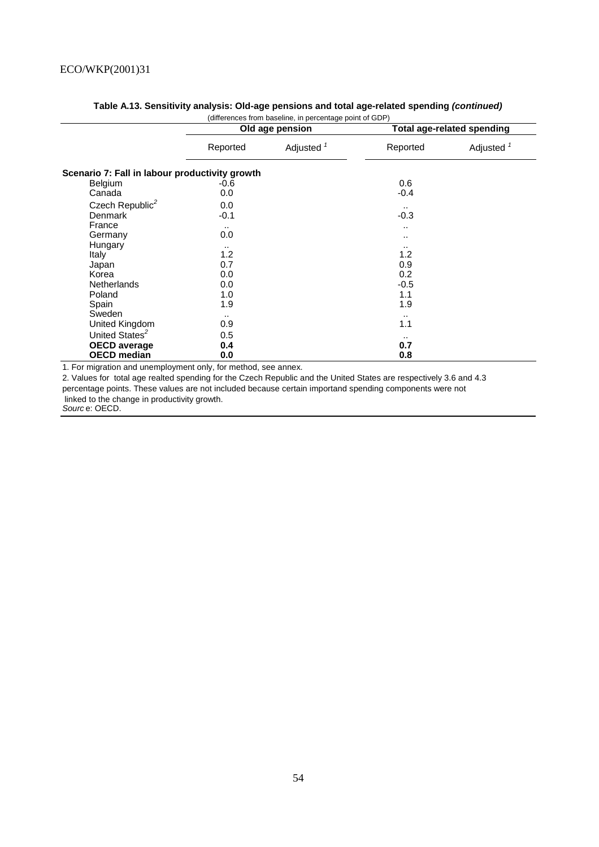|                                                | (differences from baseline, in percentage point of GDP) |                       |                                   |                       |  |  |
|------------------------------------------------|---------------------------------------------------------|-----------------------|-----------------------------------|-----------------------|--|--|
|                                                | Old age pension                                         |                       | <b>Total age-related spending</b> |                       |  |  |
|                                                | Reported                                                | Adjusted <sup>1</sup> | Reported                          | Adjusted <sup>1</sup> |  |  |
| Scenario 7: Fall in labour productivity growth |                                                         |                       |                                   |                       |  |  |
| Belgium                                        | $-0.6$                                                  |                       | 0.6                               |                       |  |  |
| Canada                                         | 0.0                                                     |                       | $-0.4$                            |                       |  |  |
| Czech Republic <sup>2</sup>                    | 0.0                                                     |                       | $\sim$                            |                       |  |  |
| Denmark                                        | $-0.1$                                                  |                       | $-0.3$                            |                       |  |  |
| France                                         | $\cdots$                                                |                       | ٠.                                |                       |  |  |
| Germany                                        | 0.0                                                     |                       |                                   |                       |  |  |
| Hungary                                        | $\cdot$ .                                               |                       |                                   |                       |  |  |
| Italy                                          | 1.2                                                     |                       | 1.2                               |                       |  |  |
| Japan                                          | 0.7                                                     |                       | 0.9                               |                       |  |  |
| Korea                                          | 0.0                                                     |                       | 0.2                               |                       |  |  |
| <b>Netherlands</b>                             | 0.0                                                     |                       | $-0.5$                            |                       |  |  |
| Poland                                         | 1.0                                                     |                       | 1.1                               |                       |  |  |
| Spain                                          | 1.9                                                     |                       | 1.9                               |                       |  |  |
| Sweden                                         |                                                         |                       | $\cdot$ .                         |                       |  |  |
| United Kingdom                                 | 0.9                                                     |                       | 1.1                               |                       |  |  |
| United States <sup>2</sup>                     | 0.5                                                     |                       | $\cdots$                          |                       |  |  |
| <b>OECD</b> average                            | 0.4                                                     |                       | 0.7                               |                       |  |  |
| <b>OECD</b> median                             | 0.0                                                     |                       | 0.8                               |                       |  |  |

# **Table A.13. Sensitivity analysis: Old-age pensions and total age-related spending (continued)**

1. For migration and unemployment only, for method, see annex.

2. Values for total age realted spending for the Czech Republic and the United States are respectively 3.6 and 4.3 percentage points. These values are not included because certain importand spending components were not linked to the change in productivity growth.

Sourc e: OECD.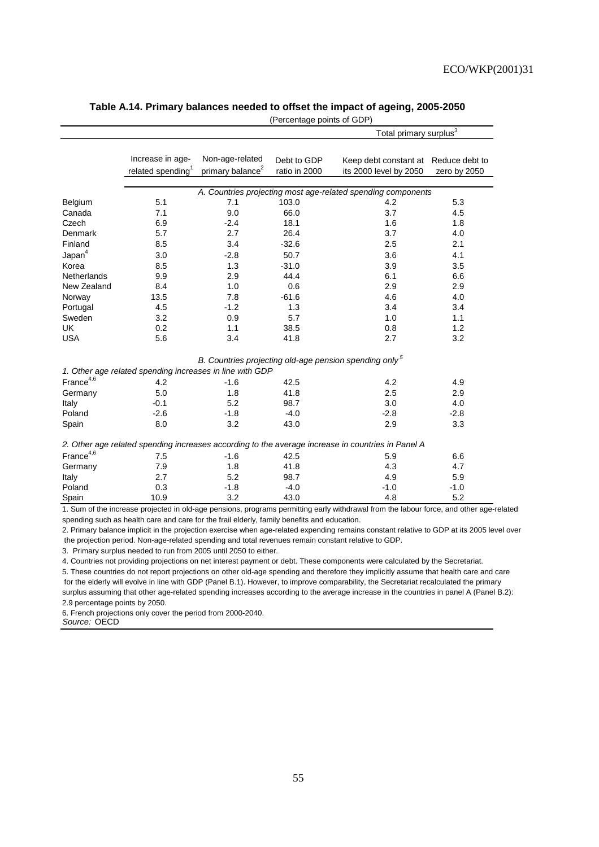|                       |                                                              |                                                 |                              | Total primary surplus <sup>3</sup>                                                                |              |  |  |  |
|-----------------------|--------------------------------------------------------------|-------------------------------------------------|------------------------------|---------------------------------------------------------------------------------------------------|--------------|--|--|--|
|                       | Increase in age-<br>related spending <sup>1</sup>            | Non-age-related<br>primary balance <sup>2</sup> | Debt to GDP<br>ratio in 2000 | Keep debt constant at Reduce debt to<br>its 2000 level by 2050                                    | zero by 2050 |  |  |  |
|                       | A. Countries projecting most age-related spending components |                                                 |                              |                                                                                                   |              |  |  |  |
| Belgium               | 5.1                                                          | 7.1                                             | 103.0                        | 4.2                                                                                               | 5.3          |  |  |  |
| Canada                | 7.1                                                          | 9.0                                             | 66.0                         | 3.7                                                                                               | 4.5          |  |  |  |
| Czech                 | 6.9                                                          | $-2.4$                                          | 18.1                         | 1.6                                                                                               | 1.8          |  |  |  |
| Denmark               | 5.7                                                          | 2.7                                             | 26.4                         | 3.7                                                                                               | 4.0          |  |  |  |
| Finland               | 8.5                                                          | 3.4                                             | $-32.6$                      | 2.5                                                                                               | 2.1          |  |  |  |
| Japan <sup>4</sup>    | 3.0                                                          | $-2.8$                                          | 50.7                         | 3.6                                                                                               | 4.1          |  |  |  |
| Korea                 | 8.5                                                          | 1.3                                             | $-31.0$                      | 3.9                                                                                               | 3.5          |  |  |  |
| Netherlands           | 9.9                                                          | 2.9                                             | 44.4                         | 6.1                                                                                               | 6.6          |  |  |  |
| New Zealand           | 8.4                                                          | 1.0                                             | 0.6                          | 2.9                                                                                               | 2.9          |  |  |  |
| Norway                | 13.5                                                         | 7.8                                             | $-61.6$                      | 4.6                                                                                               | 4.0          |  |  |  |
| Portugal              | 4.5                                                          | $-1.2$                                          | 1.3                          | 3.4                                                                                               | 3.4          |  |  |  |
| Sweden                | 3.2                                                          | 0.9                                             | 5.7                          | 1.0                                                                                               | 1.1          |  |  |  |
| UK                    | 0.2                                                          | 1.1                                             | 38.5                         | 0.8                                                                                               | 1.2          |  |  |  |
| <b>USA</b>            | 5.6                                                          | 3.4                                             | 41.8                         | 2.7                                                                                               | 3.2          |  |  |  |
|                       |                                                              |                                                 |                              | B. Countries projecting old-age pension spending only <sup>5</sup>                                |              |  |  |  |
|                       | 1. Other age related spending increases in line with GDP     |                                                 |                              |                                                                                                   |              |  |  |  |
| $France^{4,6}$        | 4.2                                                          | $-1.6$                                          | 42.5                         | 4.2                                                                                               | 4.9          |  |  |  |
| Germany               | 5.0                                                          | 1.8                                             | 41.8                         | 2.5                                                                                               | 2.9          |  |  |  |
| Italy                 | $-0.1$                                                       | 5.2                                             | 98.7                         | 3.0                                                                                               | 4.0          |  |  |  |
| Poland                | $-2.6$                                                       | $-1.8$                                          | $-4.0$                       | $-2.8$                                                                                            | $-2.8$       |  |  |  |
| Spain                 | 8.0                                                          | 3.2                                             | 43.0                         | 2.9                                                                                               | 3.3          |  |  |  |
|                       |                                                              |                                                 |                              | 2. Other age related spending increases according to the average increase in countries in Panel A |              |  |  |  |
| France <sup>4,6</sup> | 7.5                                                          | $-1.6$                                          | 42.5                         | 5.9                                                                                               | 6.6          |  |  |  |
| Germany               | 7.9                                                          | 1.8                                             | 41.8                         | 4.3                                                                                               | 4.7          |  |  |  |
| Italy                 | 2.7                                                          | 5.2                                             | 98.7                         | 4.9                                                                                               | 5.9          |  |  |  |
| Poland                | 0.3                                                          | $-1.8$                                          | $-4.0$                       | $-1.0$                                                                                            | $-1.0$       |  |  |  |
| Spain                 | 10.9                                                         | 3.2                                             | 43.0                         | 4.8                                                                                               | 5.2          |  |  |  |

#### **Table A.14. Primary balances needed to offset the impact of ageing, 2005-2050**

(Percentage points of GDP)

1. Sum of the increase projected in old-age pensions, programs permitting early withdrawal from the labour force, and other age-related spending such as health care and care for the frail elderly, family benefits and education.

2. Primary balance implicit in the projection exercise when age-related expending remains constant relative to GDP at its 2005 level over the projection period. Non-age-related spending and total revenues remain constant relative to GDP.

3. Primary surplus needed to run from 2005 until 2050 to either.

4. Countries not providing projections on net interest payment or debt. These components were calculated by the Secretariat. 5. These countries do not report projections on other old-age spending and therefore they implicitly assume that health care and care for the elderly will evolve in line with GDP (Panel B.1). However, to improve comparability, the Secretariat recalculated the primary surplus assuming that other age-related spending increases according to the average increase in the countries in panel A (Panel B.2): 2.9 percentage points by 2050.

6. French projections only cover the period from 2000-2040.

Source: OECD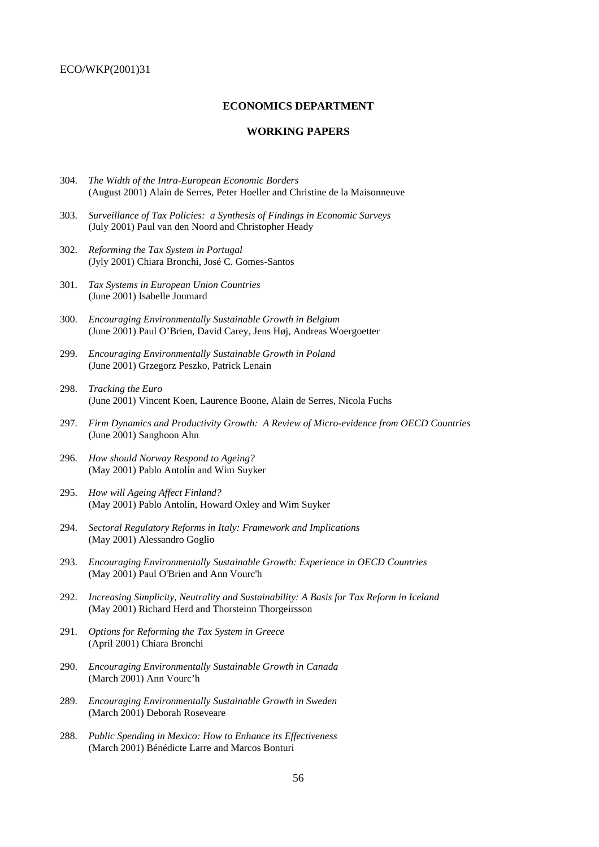#### **ECONOMICS DEPARTMENT**

### **WORKING PAPERS**

- 304. *The Width of the Intra-European Economic Borders* (August 2001) Alain de Serres, Peter Hoeller and Christine de la Maisonneuve
- 303. *Surveillance of Tax Policies: a Synthesis of Findings in Economic Surveys* (July 2001) Paul van den Noord and Christopher Heady
- 302. *Reforming the Tax System in Portugal* (Jyly 2001) Chiara Bronchi, José C. Gomes-Santos
- 301. *Tax Systems in European Union Countries* (June 2001) Isabelle Joumard
- 300. *Encouraging Environmentally Sustainable Growth in Belgium* (June 2001) Paul O'Brien, David Carey, Jens Høj, Andreas Woergoetter
- 299. *Encouraging Environmentally Sustainable Growth in Poland* (June 2001) Grzegorz Peszko, Patrick Lenain
- 298. *Tracking the Euro* (June 2001) Vincent Koen, Laurence Boone, Alain de Serres, Nicola Fuchs
- 297. *Firm Dynamics and Productivity Growth: A Review of Micro-evidence from OECD Countries* (June 2001) Sanghoon Ahn
- 296. *How should Norway Respond to Ageing?* (May 2001) Pablo Antolín and Wim Suyker
- 295. *How will Ageing Affect Finland?* (May 2001) Pablo Antolín, Howard Oxley and Wim Suyker
- 294. *Sectoral Regulatory Reforms in Italy: Framework and Implications* (May 2001) Alessandro Goglio
- 293. *Encouraging Environmentally Sustainable Growth: Experience in OECD Countries* (May 2001) Paul O'Brien and Ann Vourc'h
- 292. *Increasing Simplicity, Neutrality and Sustainability: A Basis for Tax Reform in Iceland* (May 2001) Richard Herd and Thorsteinn Thorgeirsson
- 291. *Options for Reforming the Tax System in Greece* (April 2001) Chiara Bronchi
- 290. *Encouraging Environmentally Sustainable Growth in Canada* (March 2001) Ann Vourc'h
- 289. *Encouraging Environmentally Sustainable Growth in Sweden* (March 2001) Deborah Roseveare
- 288. *Public Spending in Mexico: How to Enhance its Effectiveness* (March 2001) Bénédicte Larre and Marcos Bonturi